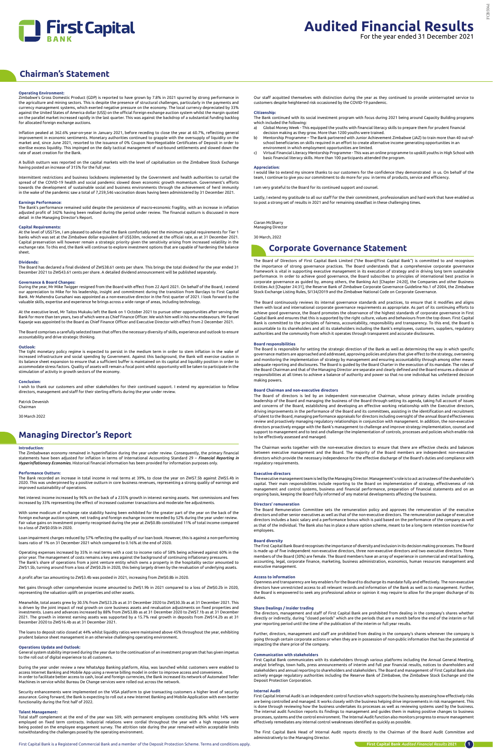

## **Chairman's Statement**

## **Managing Director's Report**

## **Operating Environment:**

Zimbabwe's Gross Domestic Product (GDP) is reported to have grown by 7.8% in 2021 spurred by strong performance in the agriculture and mining sectors. This is despite the presence of structural challenges, particularly in the payments and currency management systems, which exerted negative pressure on the economy. The local currency depreciated by 33% against the United States of America dollar (US\$) on the official foreign exchange auction system whilst the margin quoted on the parallel market increased rapidly in the last quarter. This was against the backdrop of a substantial funding backlog for allocated foreign exchange auctions.

Inflation peaked at 362.6% year-on-year in January 2021, before receding to close the year at 60.7%, reflecting general improvement in economic sentiments. Monetary authorities continued to grapple with the oversupply of liquidity on the market and, since June 2021, resorted to the issuance of 0% Coupon Non-Negotiable Certificates of Deposit in order to sterilise excess liquidity. This impinged on the daily tactical management of out-bound settlements and slowed down the rate of asset creation for the Bank.

A bullish outturn was reported on the capital markets with the level of capitalisation on the Zimbabwe Stock Exchange having posted an increase of 315% for the full year.

Intermittent restrictions and business lockdowns implemented by the Government and health authorities to curtail the spread of the COVID-19 health and social pandemic slowed down economic growth momentum. Government's efforts towards the development of sustainable social and business environments through the achievement of herd immunity in the wake of the pandemic saw a total of 7,259,546 vaccination doses having been administered by 31 December 2021.

At the executive level, Mr Taitos Mukuku left the Bank on 1 October 2021 to pursue other opportunities after serving the<br>Bank for more than ten years, two of which were as Chief Finance Officer. We wish him well in his new Kapanje was appointed to the Board as Chief Finance Officer and Executive Director with effect from 2 December 2021.

## **Earnings Performance:**

The Bank's performance remained solid despite the persistence of macro-economic fragility, with an increase in inflation adjusted profit of 342% having been realised during the period under review. The financial outturn is discussed in more detail in the Managing Director's Report.

## **Capital Requirements:**

At the level of US\$75m, I am pleased to advise that the Bank comfortably met the minimum capital requirements for Tier 1 banks which was set at the Zimbabwe dollar equivalent of US\$30m, reckoned at the official rate, as at 31 December 2021. Capital preservation will however remain a strategic priority given the sensitivity arising from increased volatility in the exchange rate. To this end, the Bank will continue to explore investment options that are capable of hardening the balance sheet.

I**ntroduction:**<br>The Zimbabwean economy remained in hyperinflation during the year under review. Consequently, the primary financial<br>statements have been adjusted for inflation in terms of International Accounting Standard *Hyperinflationary Economies.* Historical financial information has been provided for information purposes only.

## **Dividends:**

The Board has declared a final dividend of ZW\$38.61 cents per share. This brings the total dividend for the year ended 31 December 2021 to ZW\$43.61 cents per share. A detailed dividend announcement will be published separately.

## **Governance & Board Changes:**

Operating expenses increased by 35% in real terms with a cost to income ratio of 58% being achieved against 60% in the prior year. The management of costs remains a key area against the background of continuing inflationary pressures. The Bank's share of operations from a joint venture entity which owns a property in the hospitality sector amounted to<br>ZW\$1.5b, turning around from a loss of ZW\$0.2b in 2020, this being largely driven by the revaluation of

During the year, Mr Mike Twigger resigned from the Board with effect from 22 April 2021. On behalf of the Board, I extend our appreciation to Mike for his leadership, insight and commitment during the transition from Barclays to First Capital Bank. Mr Mahendra Gursahani was appointed as a non-executive director in the first quarter of 2021. I look forward to the valuable skills, expertise and experience he brings across a wide range of areas, including technology.

The Board comprises a carefully selected team that offers the necessary diversity of skills, experience and outlook to ensure accountability and drive strategic thinking.

## **Outlook:**

The tight monetary policy regime is expected to persist in the medium term in order to stem inflation in the wake of increased infrastructure and social spending by Government. Against this background, the Bank will exercise caution in its balance sheet expansion to ensure that a sufficient buffer is maintained on its capital and liquidity position in order to<br>accommodate stress factors. Quality of assets will remain a focal point whilst opportunity will stimulation of activity in growth sectors of the economy.

Our staff acquitted themselves with distinction during the year as they continued to provide uninterrupted service to customers despite heightened risk occasioned by the COVID-19 pandemic

## **Conclusion:**

I wish to thank our customers and other stakeholders for their continued support. I extend my appreciation to fellow directors, management and staff for their sterling efforts during the year under review.

Patrick Devenish

Chairman

30 March 2022

## **Performance Outturn:**

The Bank recorded an increase in total income in real terms at 39%, to close the year on ZW\$7.5b against ZW\$5.4b in 2020. This was underpinned by a positive outturn in core business revenues, representing a strong quality of earnings and improved sustainability of operations.

Net interest income increased by 96% on the back of a 235% growth in interest earning assets. Net commissions and fees increased by 33% representing the effect of increased customer transactions and moderate fee adjustments.

With some modicum of exchange rate stability having been exhibited for the greater part of the year on the back of the foreign exchange auction system, net trading and foreign exchange income receded by 52% during the year under review. Fair value gains on investment property recognised during the year at ZW\$0.8b constituted 11% of total income compared to a loss of ZW\$0.05b in 2020.

Loan impairment charges reduced by 57% reflecting the quality of our loan book. However, this is against a non-performing loans ratio of 1% on 31 December 2021 which compared to 0.16% at the end of 2020.

A profit after tax amounting to ZW\$3.4b was posted in 2021, increasing from ZW\$0.8b in 2020.

Net gains through other comprehensive income amounted to ZW\$1.9b in 2021 compared to a loss of ZW\$0.2b in 2020, representing the valuation uplift on properties and other assets.

Meanwhile, total assets grew by 30.5% from ZW\$23.2b as at 31 December 2020 to ZW\$30.3b as at 31 December 2021. This is driven by the joint impact of real growth on core business assets and revaluation adjustments on fixed properties and investments. Loans and advances increased by 88% from ZW\$3.8b as at 31 December 2020 to ZW\$7.1b as at 31 December 2021. The growth in interest earning assets was supported by a 15.7% real growth in deposits from ZW\$14.2b as at 31 December 2020 to ZW\$16.4b as at 31 December 2021.

The loans to deposit ratio closed at 44% whilst liquidity ratios were maintained above 45% throughout the year, exhibiting prudent balance sheet management in an otherwise challenging operating environment.

## **Operations Update and Outlook:**

General system stability improved during the year due to the continuation of an investment program that has given impetus to the roll out of digital experience to all customers.

During the year under review a new WhatsApp Banking platform, Alisa, was launched whilst customers were enabled to access Internet Banking and Mobile App using a reverse billing model in order to improve access and convenience. In order to facilitate better access to cash, local and foreign currencies, the Bank increased its network of Automated Teller Machines in service whilst Bureau De Change services were rolled out across the network.

Security enhancements were implemented on the VISA platform to give transacting customers a higher level of security assurance. Going forward, the Bank is expecting to roll out a new Internet Banking and Mobile Application with even better functionality during the first half of 2022.

## **Talent Management:**

Total staff complement at the end of the year was 509, with permanent employees constituting 86% whilst 14% were employed on fixed term contracts. Industrial relations were cordial throughout the year with a high response rate being posted on the employee engagement survey. The attrition rate during the year remained within acceptable limits notwithstanding the challenges posed by the operating environment.

## **Citizenship:**

The Bank continued with its social investment program with focus during 2021 being around Capacity Building programs which included the following:

- a) Global Money Week This equipped the youths with financial literacy skills to prepare them for prudent financial decision making as they grow. More than 1200 youths were trained. b) Mentorship Programme – The Bank partnered with Junior Achievement Zimbabwe (JAZ) to train more than 40 out-of-
- school beneficiaries on skills required in an effort to create alternative income generating opportunities in an environment in which employment opportunities are limited.
- c) Virtual Financial Literacy Mentorship Programme This was an online programme to upskill youths in High School with basic financial literacy skills. More than 100 participants attended the program.

## **Appreciation:**

I would like to extend my sincere thanks to our customers for the confidence they demonstrated in us. On behalf of the team, I continue to give you our commitment to do more for you in terms of products, service and efficiency.

I am very grateful to the Board for its continued support and counsel.

Lastly, I extend my gratitude to all our staff for the their commitment, professionalism and hard work that have enabled us to post a strong set of results in 2021 and for remaining steadfast in these challenging times.

Ciaran McSharry

Managing Director 30 March, 2022

The Board of Directors of First Capital Bank Limited ("the Board/First Capital Bank") is committed to and recognises the importance of strong governance practices. The Board understands that a comprehensive corporate governance framework is vital in supporting executive management in its execution of strategy and in driving long term sustainable performance. In order to achieve good governance, the Board subscribes to principles of international best practice in corporate governance as guided by, among others, the Banking Act [Chapter 24:20], the Companies and other Business Entities Act [Chapter 24:31], the Reserve Bank of Zimbabwe Corporate Governance Guideline No.1 of 2004, the Zimbabwe Stock Exchange Listing Rules, SI134/2019 and the Zimbabwe National Code on Corporate Governance.

The Board continuously reviews its internal governance standards and practices, to ensure that it modifies and aligns them with local and international corporate governance requirements as appropriate. As part of its continuing efforts to<br>achieve good governance, the Board promotes the observance of the highest standards of corporate gove Capital Bank and ensures that this is supported by the right culture, values and behaviours from the top down. First Capital<br>Bank is committed to the principles of fairness, accountability, responsibility and transparency. accountable to its shareholders and all its stakeholders including the Bank's employees, customers, suppliers, regulatory authorities and the community from which it operates through transparent and accurate disclosures.

## **Board responsibilities**

The Board is responsible for setting the strategic direction of the Bank as well as determining the way in which specific governance matters are approached and addressed, approving policies and plans that give effect to the strategy, overseeing and monitoring the implementation of strategy by management and ensuring accountability through among other means<br>adequate reporting and disclosures. The Board is guided by the Board Charter in the execution of its mandate the Board Chairman and that of the Managing Director are separate and clearly defined and the Board ensures a division of responsibilities at all times to achieve a balance of authority and power so that no one individual has unfettered decision making powers.

## **Board Chairman and non-executive directors**

The Board of directors is led by an independent non-executive Chairman, whose primary duties include providing leadership of the Board and managing the business of the Board through setting its agenda, taking full account of issues and concerns of the Board, establishing and developing an effective working relationship with the Executive directors, driving improvements in the performance of the Board and its committees, assisting in the identification and recruitment of talent to the Board, managing performance appraisals for directors including oversight of the annual Board effectiveness review and proactively managing regulatory relationships in conjunction with management. In addition, the non-executive<br>directors proactively engage with the Bank's management to challenge and improve strategy implementati support to management and to test and challenge the implementation of controls, processes and policies which enable risk to be effectively assessed and managed.

The Chairman works together with the non-executive directors to ensure that there are effective checks and balances between executive management and the Board. The majority of the Board members are independent non-executive directors which provide the necessary independence for the effective discharge of the Board's duties and compliance with regulatory requirements.

## **Executive directors**

The executive management team is led by the Managing Director. Management's role is to act as trustees of the shareholder's capital. Their main responsibilities include reporting to the Board on implementation of strategy, effectiveness of risk management and control systems, business and financial performance, preparation of financial statements and on an ongoing basis, keeping the Board fully informed of any material developments affecting the business.

### **Directors' remuneration**

The Board Remuneration Committee sets the remuneration policy and approves the remuneration of the executive directors and other senior executives as well as that of the non-executive directors. The remuneration package of executive directors includes a basic salary and a performance bonus which is paid based on the performance of the company as well as that of the individual. The Bank also has in place a share option scheme, meant to be a long term retention incentive for employees.

## **Board diversity**

The First Capital Bank Board recognises the importance of diversity and inclusion in its decision making processes. The Board is made up of five independent non-executive directors, three non-executive directors and two executive directors. Three members of the Board (30%) are female. The Board members have an array of experience in commercial and retail banking, accounting, legal, corporate finance, marketing, business administration, economics, human resources management and executive management.

## **Access to information**

Openness and transparency are key enablers for the Board to discharge its mandate fully and effectively. The non-executive directors have unrestricted access to all relevant records and information of the Bank as well as to management. Further, the Board is empowered to seek any professional advice or opinion it may require to allow for the proper discharge of its duties.

## **Share Dealings / Insider trading**

The directors, management and staff of First Capital Bank are prohibited from dealing in the company's shares whether directly or indirectly, during "closed periods" which are the periods that are a month before the end of the interim or full year reporting period until the time of the publication of the interim or full year results.

 Further, directors, management and staff are prohibited from dealing in the company's shares whenever the company is going through certain corporate actions or when they are in possession of non-public information that has the potential of impacting the share price of the company.

## **Communication with stakeholders**

First Capital Bank communicates with its stakeholders through various platforms including the Annual General Meeting, analyst briefings, town halls, press announcements of interim and full year financial results, notices to shareholders and stakeholders and annual reporting to shareholders and stakeholders. The Board and management of First Capital Bank also actively engage regulatory authorities including the Reserve Bank of Zimbabwe, the Zimbabwe Stock Exchange and the Deposit Protection Corporation.

## **Internal Audit**

First Capital Internal Audit is an independent control function which supports the business by assessing how effectively risks are being controlled and managed. It works closely with the business helping drive improvements in risk management. This is done through reviewing how the business undertakes its processes as well as reviewing systems used by the business. The internal audit function reports its findings to management and guides them in making positive changes to business processes, systems and the control environment. The Internal Audit function also monitors progress to ensure management effectively remediates any internal control weaknesses identified as quickly as possible.

The First Capital Bank Head of Internal Audit reports directly to the Chairman of the Board Audit Committee and administratively to the Managing Director.

## **Corporate Governance Statement**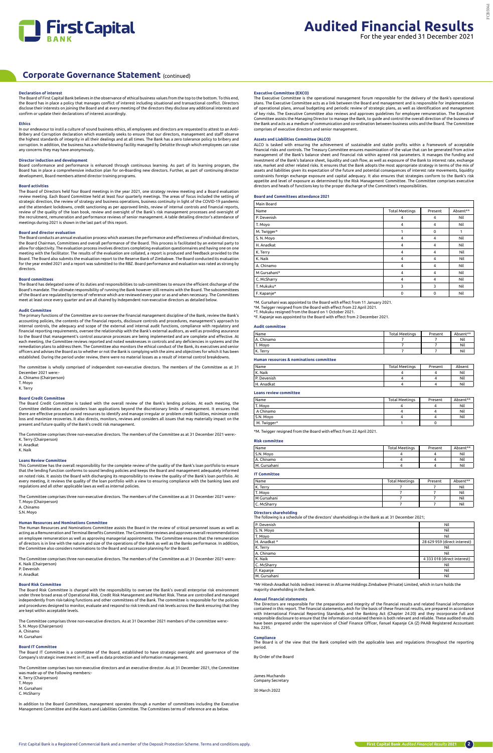

## **Declaration of interest**

The Board of First Capital Bank believes in the observance of ethical business values from the top to the bottom. To this end, the Board has in place a policy that manages conflict of interest including situational and transactional conflict. Directors disclose their interests on joining the Board and at every meeting of the directors they disclose any additional interests and confirm or update their declarations of interest accordingly.

## **Ethics**

In our endeavour to instil a culture of sound business ethics, all employees and directors are requested to attest to an Anti-Bribery and Corruption declaration which essentially seeks to ensure that our directors, management and staff observe the highest standards of integrity in all their dealings and at all times. The Bank has a zero tolerance policy to bribery and corruption. In addition, the business has a whistle-blowing facility managed by Deloitte through which employees can raise any concerns they may have anonymously.

## **Director induction and development**

Board conformance and performance is enhanced through continuous learning. As part of its learning program, the Board has in place a comprehensive induction plan for on-Boarding new directors. Further, as part of continuing director development, Board members attend director training programs.

## **Board activities**

The Board of Directors held four Board meetings in the year 2021, one strategy review meeting and a Board evaluation review meeting. Each Board Committee held at least four quarterly meetings. The areas of focus included the setting of strategic direction, the review of strategy and business operations, business continuity in light of the COVID-19 pandemic and the attendant lockdowns, credit sanctioning as per approved limits, review of internal controls and financial reports, review of the quality of the loan book, review and oversight of the Bank's risk management processes and oversight of the recruitment, remuneration and performance reviews of senior management. A table detailing director's attendance of meetings during 2021 is shown in the last part of this report.

The committee is wholly comprised of independent non-executive directors. The members of the Committee as at 31 December 2021 were:

## **Board and director evaluation**

The Board conducts an annual evaluation process which assesses the performance and effectiveness of individual directors, the Board Chairman, Committees and overall performance of the Board. This process is facilitated by an external party to allow for objectivity. The evaluation process involves directors completing evaluation questionnaires and having one on one meeting with the facilitator. The results of the evaluation are collated, a report is produced and feedback provided to the Board. The Board also submits the evaluation report to the Reserve Bank of Zimbabwe. The Board conducted its evaluation for the year ended 2021 and a report was submitted to the RBZ. Board performance and evaluation was rated as strong by directors.

### **Board committees**

The Board has delegated some of its duties and responsibilities to sub-committees to ensure the efficient discharge of the Board's mandate. The ultimate responsibility of running the Bank however still remains with the Board. The subcommittees of the Board are regulated by terms of reference which are reviewed every year or as and when necessary. The Committees meet at least once every quarter and are all chaired by Independent non-executive directors as detailed below.

## **Audit Committee**

under three broad areas of Operational Risk, Credit Risk Management and Market Risk. These are controlled and managed<br>independently from risk-taking functions and other committees of the Bank. The committee is responsible and procedures designed to monitor, evaluate and respond to risk trends and risk levels across the Bank ensuring that they are kept within acceptable levels.

The primary functions of the Committee are to oversee the financial management discipline of the Bank, review the Bank's accounting policies, the contents of the financial reports, disclosure controls and procedures, management's approach to internal controls, the adequacy and scope of the external and internal audit functions, compliance with regulatory and financial reporting requirements, oversee the relationship with the Bank's external auditors, as well as providing assurance to the Board that management's control assurance processes are being implemented and are complete and effective. At each meeting, the Committee reviews reported and noted weaknesses in controls and any deficiencies in systems and the remediation plans to address them. The Committee also monitors the ethical conduct of the Bank, its executives and senior officers and advises the Board as to whether or not the Bank is complying with the aims and objectives for which it has been established. During the period under review, there were no material losses as a result of internal control breakdowns.

A. Chinamo (Chairperson) T. Moyo

K. Terry

## **Board Credit Committee**

ALCO is tasked with ensuring the achievement of sustainable and stable profits within a framework of acceptable<br>financial risks and controls. The Treasury Committee ensures maximization of the value that can be generated f management of the Bank's balance sheet and financial risk within agreed risk parameters. It manages the funding and investment of the Bank's balance sheet, liquidity and cash flow, as well as exposure of the Bank to interest rate, exchange rate, market and other related risks. It ensures that the Bank adopts the most appropriate strategy in terms of the mix of assets and liabilities given its expectation of the future and potential consequences of interest rate movements, liquidity constraints foreign exchange exposure and capital adequacy. It also ensures that strategies conform to the Bank's risk appetite and level of exposure as determined by the Risk Management Committee. The Committee comprises executive directors and heads of functions key to the proper discharge of the Committee's responsibilities.

The Board Credit Committee is tasked with the overall review of the Bank's lending policies. At each meeting, the Committee deliberates and considers loan applications beyond the discretionary limits of management. It ensures that there are effective procedures and resources to identify and manage irregular or problem credit facilities, minimize credit loss and maximize recoveries. It also directs, monitors, reviews and considers all issues that may materially impact on the present and future quality of the Bank's credit risk management.

The Committee comprises three non-executive directors. The members of the Committee as at 31 December 2021 were:- K. Terry (Chairperson)

H. Anadkat

## K. Naik

## **Loans Review Committee**

This Committee has the overall responsibility for the complete review of the quality of the Bank's loan portfolio to ensure that the lending function conforms to sound lending policies and keeps the Board and management adequately informed on noted risks. It assists the Board with discharging its responsibility to review the quality of the Bank's loan portfolio. At every meeting, it reviews the quality of the loan portfolio with a view to ensuring compliance with the banking laws and regulations and all other applicable laws as well as internal policies.

The Committee comprises three non-executive directors. The members of the Committee as at 31 December 2021 were:- T. Moyo (Chairperson)

## A. Chinamo

S.N. Moyo

## **Human Resources and Nominations Committee**

The Human Resources and Nominations Committee assists the Board in the review of critical personnel issues as well as acting as a Remuneration and Terminal Benefits Committee. The Committee reviews and approves overall recommendations on employee remuneration as well as approving managerial appointments. The Committee ensures that the remuneration of directors is in line with the nature and size of the operations of the Bank as well as the Banks performance. In addition, the Committee also considers nominations to the Board and succession planning for the Board.

The Committee comprises three non-executive directors. The members of the Committee as at 31 December 2021 were:- K. Naik (Chairperson)

## P. Devenish

H. Anadkat

### **Board Risk Committee**

The Board Risk Committee is charged with the responsibility to oversee the Bank's overall enterprise risk environment

The Committee comprises three non-executive directors. As at 31 December 2021 members of the committee were:- S. N. Moyo (Chairperson)

A. Chinamo

M. Gursahani

## **Board IT Committee**

The Board IT Committee is a committee of the Board, established to have strategic oversight and governance of the Company's strategic investment in IT, as well as data protection and information management.

The Committee comprises two non-executive directors and an executive director. As at 31 December 2021, the Committee was made up of the following members:- K. Terry (Chairperson) T. Moyo M. Gursahani C. McSharry

In addition to the Board Committees, management operates through a number of committees including the Executive Management Committee and the Assets and Liabilities Committee. The Committees terms of reference are as below.

## **Executive Committee (EXCO)**

The Executive Committee is the operational management forum responsible for the delivery of the Bank's operational plans. The Executive Committee acts as a link between the Board and management and is responsible for implementation of operational plans, annual budgeting and periodic review of strategic plans, as well as identification and management<br>of key risks. The Executive Committee also reviews and approves guidelines for employee remuneration. Committee assists the Managing Director to manage the Bank, to guide and control the overall direction of the business of the Bank and acts as a medium of communication and co-ordination between business units and the Board. The Committee comprises of executive directors and senior management.

## **Assets and Liabilities Committee (ALCO)**

### **Board and Committees attendance 2021**

| Main Board   |                       |          |          |
|--------------|-----------------------|----------|----------|
| Name         | <b>Total Meetings</b> | Present  | Absent** |
| P. Devenish  | 4                     | 4        | Nil      |
| T. Moyo      | $\overline{4}$        | 4        | Nil      |
| M. Twigger*  | 1                     | $\Omega$ | 1        |
| S. N. Moyo   | 4                     | 4        | Nil      |
| H. Anadkat   | $\overline{4}$        | 4        | Nil      |
| K. Terry     | 4                     | 4        | Nil      |
| K. Naik      | 4                     | 4        | Nil      |
| A. Chinamo   | $\overline{4}$        | 4        | Nil      |
| M Gursahani* | $\overline{4}$        | 4        | Nil      |
| C. McSharry  | 4                     | 4        | Nil      |
| T. Mukuku*   | 3                     | 3        | Nil      |
| F. Kapanje*  | $\mathbf 0$           | 0        | Nil      |

M. Gursahani was appointed to the Board with effect from 11 January 2021.

\*M. Twigger resigned from the Board with effect from 22 April 2021.

\*T. Mukuku resigned from the Board on 1 October 2021. \*F. Kapanje was appointed to the Board with effect from 2 December 2021.

## **Audit committee**

| Name       | <b>Total Meetings</b> | Present | Absent** |
|------------|-----------------------|---------|----------|
| A. Chinamo |                       |         | Nil      |
| T. Moyo    |                       |         | Nil      |
| K. Terry   |                       |         | Nil      |

## **Human resources & nominations committee**

| Name        | <b>Total Meetings</b> | Present | Absent |
|-------------|-----------------------|---------|--------|
| K. Naik     |                       |         | Nil    |
| P. Devenish |                       |         | Nil    |
| H. Anadkat  |                       |         | Nil    |
|             |                       |         |        |

## **Loans review committee**

| Name        | <b>Total Meetings</b> | Present | Absent** |
|-------------|-----------------------|---------|----------|
| T. Moyo     |                       |         | Nil      |
| A Chinamo   |                       |         | Nil      |
| S.N. Moyo   |                       |         | Nil      |
| M. Twigger* |                       |         |          |

\*M. Twigger resigned from the Board with effect from 22 April 2021.

## **Risk committee**

| Name           | <b>Total Meetings</b> | Present | Absent** |
|----------------|-----------------------|---------|----------|
| S.N. Moyo      |                       |         | Nil      |
| A. Chinamo     |                       |         | Nil      |
| l M. Gursahani |                       |         | Nil      |

## **IT Committee**

| Name        | <b>Total Meetings</b> | Present | Absent** |
|-------------|-----------------------|---------|----------|
| K. Terry    |                       |         | Nil      |
| T. Moyo     |                       |         | Nil      |
| M Gursahani |                       |         | Nil      |
| C. McSharry |                       |         | Nil      |

## **Directors shareholding**

The following is a schedule of the directors' shareholdings in the Bank as at 31 December 2021;

| P. Devenish  | Nil                          |
|--------------|------------------------------|
| S. N. Moyo   | Nil                          |
| T. Moyo      | Nil                          |
| H. Anadkat * | 28 629 959 (direct interest) |
| K. Terry     | Nil                          |
| A. Chinamo   | Nil                          |
| K. Naik      | 4 333 018 (direct interest)  |
| C. McSharry  | Nil                          |
| F. Kapanje   | Nil                          |
| M. Gursahani | Nil                          |

\*Mr Hitesh Anadkat holds indirect interest in Afcarme Holdings Zimbabwe (Private) Limited, which in turn holds the majority shareholding in the Bank.

## **Annual financial statements**

The Directors are responsible for the preparation and integrity of the financial results and related financial information contained in this report. The financial statements,which for the basis of these financial results, are prepared in accordance with International Financial Reporting Standards and the Banking Act (Chapter 24:20) and they incorporate full and responsible disclosure to ensure that the information contained therein is both relevant and reliable. These audited results have been prepared under the supervision of Chief Finance Officer, Fanuel Kapanje CA (Z) PAAB Registered Accountant No. 2295.

## **Compliance**

The Board is of the view that the Bank complied with the applicable laws and regulations throughout the reporting period.

By Order of the Board

James Muchando Company Secretary

30 March 2022

## **Corporate Governance Statement** (continued)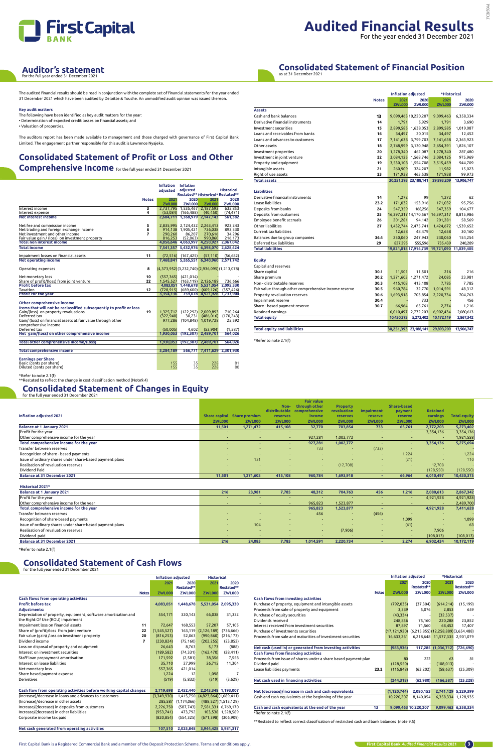

## For the year ended 31 December 2021

## **Consolidated Statement of Financial Position**

as at 31 December 2021

The audited financial results should be read in conjunction with the complete set of financial statements for the year ended 31 December 2021 which have been audited by Deloitte & Touche. An unmodified audit opinion was issued thereon.

**Key audit matters** 

The following have been identified as key audit matters for the year: • Determination of expected credit losses on financial assets; and

• Valuation of properties.

The auditors report has been made available to management and those charged with governance of First Capital Bank Limited. The engagement partner responsible for this audit is Lawrence Nyajeka.

# **Consolidated Statement of Profit or Loss and Other**

**Comprehensive Income** for the full year ended 31 December 2021

|                                                                                                  |              | Inflation Inflation<br>adiusted | adjusted                 |                                                | <b>Historical</b>  |
|--------------------------------------------------------------------------------------------------|--------------|---------------------------------|--------------------------|------------------------------------------------|--------------------|
|                                                                                                  |              |                                 |                          | Restated** Historical* Restated**              |                    |
|                                                                                                  | <b>Notes</b> | 2021                            | 2020                     | 2021                                           | 2020               |
|                                                                                                  |              | <b>ZWL000</b>                   | <b>ZWL000</b>            | <b>ZWL000</b>                                  | <b>ZWL000</b>      |
| Interest income                                                                                  | 3            |                                 |                          | 2.737.795 1.535.467 2.187.593                  | 635.853            |
| Interest expense                                                                                 | 4            | (53.084)                        | (166, 488)               | (40, 450)                                      | (74, 471)          |
| <b>Net interest income</b>                                                                       |              |                                 |                          | 2.684.711 1.368.979 2.147.143                  | 561,382            |
| Net fee and commission income                                                                    | 5            |                                 |                          | 2,835,995 2,124,432 2,263,413                  | 923,243            |
| Net trading and foreign exchange income                                                          | 6            |                                 | 914,138 1,905,421        | 726.038                                        | 893,330            |
| Net investment and other income                                                                  | 7            | 290.260                         | 86.207                   | 270,616                                        | 34,296             |
| Fair value gain / (loss) on investment property                                                  |              | 816,253                         | (52,063)                 | 990,860                                        | 216,173            |
| <b>Total non interest income</b>                                                                 |              |                                 |                          | 4,856,646 4,063,997 4,250,927 2,067,042        |                    |
| <b>Total income</b>                                                                              |              |                                 |                          | 7,541,357 5,432,976 6,398,070 2,628,424        |                    |
|                                                                                                  |              |                                 |                          |                                                |                    |
| Impairment losses on financial assets                                                            | 11           |                                 | $(72, 516)$ $(167, 425)$ | (57, 110)                                      | (56, 682)          |
| <b>Net operating income</b>                                                                      |              |                                 |                          | 7,468,841 5,265,551 6,340,960 2,571,742        |                    |
| Operating expenses                                                                               | 8            |                                 |                          | $(4,373,952)(3,232,740)(2,936,095)(1,213,078)$ |                    |
| Net monetary loss                                                                                | 10           | (557, 365)                      | (421, 014)               |                                                |                    |
| Share of profit/(loss) from joint venture                                                        | 22           | 1,545,527                       |                          | $(163, 119)$ 2, 126, 189                       | 736,666            |
| <b>Profit before tax</b>                                                                         |              |                                 |                          | 4.083.051 1.448.678 5.531.054                  | 2.095.330          |
| Taxation                                                                                         | 12           | (728, 915)                      | (689, 600)               | (609, 126)                                     | (357, 426)         |
| <b>Profit for the year</b>                                                                       |              | 3,354,136                       |                          | 759,078 4,921,928                              | 1,737,904          |
| Other comprehensive income<br>Items that will not be reclassified subsequently to profit or loss |              |                                 |                          |                                                |                    |
| Gain/(loss) on property revaluations                                                             | 19           | 1,325,712                       |                          | $(122, 292)$ 2,009,893                         | 710.264            |
| Deferred tax                                                                                     |              | (322,940)                       | 30.231                   | (486, 016)                                     | (170, 243)         |
| Gain/ (loss) on financial assets at fair value through other                                     |              | 977,286                         |                          | $(104,848)$ 1,019,728                          | 25,592             |
| comprehensive income<br>Deferred tax                                                             |              |                                 |                          |                                                |                    |
| Net gain/(loss) on other comprehensive income                                                    |              | (50,005)<br>1,930,053           | 4,602<br>(192, 307)      | (53,904)<br>2,489,701                          | (1,587)<br>564,026 |
|                                                                                                  |              |                                 |                          |                                                |                    |
| <b>Total other comprehensive income/(loss)</b>                                                   |              | 1,930,053                       | (192, 307)               | 2,489,701                                      | 564,026            |
| <b>Total comprehensive income</b>                                                                |              | 5,284,189                       |                          | 566,771 7,411,629                              | 2,301,930          |
| <b>Earnings per Share</b><br>Basic (cents per share)<br>Diluted (cents per share)                |              | 155<br>155                      | 35<br>35                 | 228<br>228                                     | 81<br>80           |

\*Refer to note 2.1(f) \*\*Restated to reflect the change in cost classification method (Note9.4)

|                                                       | <b>Inflation adjusted</b> |                       |                       | *Historical                                 |               |  |  |
|-------------------------------------------------------|---------------------------|-----------------------|-----------------------|---------------------------------------------|---------------|--|--|
|                                                       | <b>Notes</b>              | 2021                  | 2020                  | 2021                                        | 2020          |  |  |
| <b>Assets</b>                                         |                           | <b>ZWL000</b>         | <b>ZWL000</b>         | <b>ZWL000</b>                               | <b>ZWL000</b> |  |  |
| Cash and bank balances                                | 13                        |                       | 9,099,463 10,220,207  | 9,099,463                                   | 6,358,334     |  |  |
|                                                       | 14                        |                       |                       |                                             |               |  |  |
| Derivative financial instruments                      |                           | 1,791                 | 5,929                 | 1,791                                       | 3,690         |  |  |
| Investment securities                                 | 15                        |                       | 2,899,585 1,638,053   | 2,899,585                                   | 1,019,087     |  |  |
| Loans and receivables from banks                      | 16                        | 34,497                | 20,015                | 34,497                                      | 12,452        |  |  |
| Loans and advances to customers                       | 17                        |                       | 7,141,638 3,799,703   | 7,141,638                                   | 2,363,923     |  |  |
| Other assets                                          | 18                        |                       | 2,748,999 3,130,948   | 2,654,391                                   | 1,826,107     |  |  |
| Investment properties                                 | 20                        | 1,278,340             | 462,087               | 1,278,340                                   | 287,480       |  |  |
| Investment in joint venture                           | 22                        |                       | 3,084,125 1,568,746   | 3,084,125                                   | 975,969       |  |  |
| Property and equipment                                | 19                        |                       | 3,530,108 1,554,708   | 3,515,459                                   | 944,709       |  |  |
| Intangible assets                                     | 21                        | 260,909               | 324,207               | 11,982                                      | 15,023        |  |  |
| Right of use assets                                   | 23                        | 171,938               | 463,538               | 171,938                                     | 99,973        |  |  |
| <b>Total assets</b>                                   |                           |                       | 30,251,393 23,188,141 | 29,893,209                                  | 13,906,747    |  |  |
|                                                       |                           |                       |                       |                                             |               |  |  |
| <b>Liabilities</b>                                    |                           |                       |                       |                                             |               |  |  |
| Derivative financial instruments                      | 14                        | 1,272                 | 99                    | 1,272                                       | 62            |  |  |
| Lease liabilities                                     | 23.2                      | 171,032               | 153,916               | 171,032                                     | 95,756        |  |  |
| Deposits from banks                                   | 24                        | 547,359               | 168,256               | 547,359                                     | 104,677       |  |  |
| Deposits from customers                               | 25                        |                       |                       | 16,397,317 14,170,567 16,397,317            | 8,815,986     |  |  |
| Employee benefit accruals                             | 26                        | 201,281               | 94,142                | 201,281                                     | 58,569        |  |  |
| Other liabilities                                     | 27                        |                       | 1,432,744 2,475,741   | 1,424,672                                   | 1,539,652     |  |  |
| Current tax liabilities                               |                           | 12,658                | 48,479                | 12,658                                      | 30,160        |  |  |
| Balances due to group companies                       | 36.4                      | 230,060               | 247,943               | 230,060                                     | 154,254       |  |  |
| Deferred tax liabilities                              | 29                        | 827,295               | 555,596               | 735,439                                     | 240,289       |  |  |
| <b>Total liabilities</b>                              |                           |                       |                       | 19,821,018 17,914,739 19,721,090 11,039,405 |               |  |  |
|                                                       |                           |                       |                       |                                             |               |  |  |
| Equity                                                |                           |                       |                       |                                             |               |  |  |
| Capital and reserves                                  |                           |                       |                       |                                             |               |  |  |
| Share capital                                         | 30.1                      | 11,501                | 11,501                | 216                                         | 216           |  |  |
| Share premium                                         | 30.2                      |                       | 1,271,603 1,271,472   | 24,085                                      | 23,981        |  |  |
| Non - distributable reserves                          | 30.3                      | 415,108               | 415,108               | 7,785                                       | 7,785         |  |  |
| Fair value through other comprehensive income reserve | 30.5                      | 960,784               | 32,770                | 1,014,591                                   | 48,312        |  |  |
| Property revaluation reserves                         | 30.6                      | 1,693,918             | 703,854               | 2,220,734                                   | 704,763       |  |  |
| Impairment reserve                                    | 30.4                      |                       | 733                   |                                             | 456           |  |  |
| Share - based payment reserve                         | 30.7                      | 66,964                | 65,761                | 2,274                                       | 1,216         |  |  |
| Retained earnings                                     |                           |                       | 6,010,497 2,772,203   | 6,902,434                                   | 2,080,613     |  |  |
| <b>Total equity</b>                                   |                           | 10,430,375            | 5,273,402             | 10,172,119                                  | 2,867,342     |  |  |
|                                                       |                           |                       |                       |                                             |               |  |  |
| <b>Total equity and liabilities</b>                   |                           | 30,251,393 23,188,141 |                       | 29,893,209                                  | 13,906,747    |  |  |

\*Refer to note 2.1(f)

## **Consolidated Statement of Cash Flows** for the full year ended 31 December 2021

|                                                          |               |                             | Non-            | <b>Fair value</b><br>through other | <b>Property</b> |                          | Share-based              |                          |                     |
|----------------------------------------------------------|---------------|-----------------------------|-----------------|------------------------------------|-----------------|--------------------------|--------------------------|--------------------------|---------------------|
|                                                          |               |                             | distributable   | comprehensive                      | revaluation     | <b>Impairment</b>        | payment                  | <b>Retained</b>          |                     |
| Inflation adjusted 2021                                  |               | Share capital Share premium | <b>reserves</b> | income                             | <b>reserves</b> | reserve                  | <b>reserve</b>           | earnings                 | <b>Total equity</b> |
|                                                          | <b>ZWL000</b> | <b>ZWL000</b>               | <b>ZWL000</b>   | <b>ZWL000</b>                      | <b>ZWL000</b>   | <b>ZWL000</b>            | <b>ZWL000</b>            | <b>ZWL000</b>            | <b>ZWL000</b>       |
| <b>Balance at 1 January 2021</b>                         | 11,501        | 1,271,472                   | 415,108         | 32,770                             | 703,854         | 733                      | 65,761                   | 2,772,203                | 5,273,402           |
| Profit for the year                                      |               | <b>.</b>                    | $\sim$          |                                    |                 | <b>100</b>               | $\overline{\phantom{a}}$ | 3,354,136                | 3,354,136           |
| Other comprehensive income for the year                  | $\sim$        | $\overline{\phantom{0}}$    | $\sim$          | 927,281                            | 1,002,772       | <b>100</b>               | $\overline{\phantom{a}}$ |                          | 1,921,558           |
| Total comprehensive income for the year                  |               |                             |                 | 927,281                            | 1,002,772       |                          | ٠                        | 3,354,136                | 5,275,694           |
| Transfer between reserves                                |               |                             | . .             | 733                                |                 | (733)                    |                          | . .                      |                     |
| Recognition of share - based payments                    |               |                             |                 |                                    |                 | $\sim$                   | 1,224                    | $\overline{\phantom{a}}$ | 1,224               |
| Issue of ordinary shares under share-based payment plans |               | 131                         |                 |                                    |                 | $\overline{\phantom{a}}$ | (21)                     | <b>.</b>                 | 110                 |
| Realisation of revaluation reserves                      |               | . .                         |                 | <b>COLLEGE</b>                     | (12,708)        | $\sim$                   | $\sim$                   | 12,708                   |                     |
| Dividend Paid                                            |               | . .                         |                 |                                    |                 | $\sim$                   | $\sim$                   | (128, 550)               | (128, 550)          |
| <b>Balance at 31 December 2021</b>                       | 11,501        | 1,271,603                   | 415.108         | 960.784                            | 1,693,918       |                          | 66,964                   | 6,010,497                | 10,430,375          |

| וטו נווכ וטוג זכטו כווטכט ט ו טכנכוווטכו בטב                       |                           |               |                                  |                         |                                                                                              |                           |                      |                                    |                     |
|--------------------------------------------------------------------|---------------------------|---------------|----------------------------------|-------------------------|----------------------------------------------------------------------------------------------|---------------------------|----------------------|------------------------------------|---------------------|
|                                                                    | <b>Inflation adjusted</b> |               | <b>Historical</b>                |                         |                                                                                              | <b>Inflation adjusted</b> |                      | *Historical                        |                     |
|                                                                    | 2021                      | 2020          | 2021                             | 2020                    |                                                                                              | 2021                      | 2020                 | 2021                               | 2020                |
|                                                                    |                           | Restated**    |                                  | Restated**              |                                                                                              |                           | Restated**           |                                    | Restated**          |
| <b>Notes</b>                                                       | <b>ZWL000</b>             | <b>ZWL000</b> | <b>ZWL000</b>                    | <b>ZWL000</b>           | <b>Notes</b>                                                                                 | <b>ZWL000</b>             | <b>ZWL000</b>        | <b>ZWL000</b>                      | <b>ZWL000</b>       |
| <b>Cash flows from operating activities</b>                        |                           |               |                                  |                         | <b>Cash flows from investing activities</b>                                                  |                           |                      |                                    |                     |
| <b>Profit before tax</b>                                           | 4,083,051                 | 1.448.678     | 5,531,054 2,095,330              |                         | Purchase of property, equipment and intangible assets                                        | (792, 035)                | (37, 304)            | (614, 214)                         | (15, 199)           |
| <b>Adiustments:</b>                                                |                           |               |                                  |                         | Proceeds from sale of property and equipment                                                 | 3,339                     | 5.076                | 2.853                              | 659                 |
| Depreciation of property, equipment, software amortisation and     | 554,171                   | 320,143       | 66,038                           | 31,322                  | Purchase of equity securities                                                                | (43, 334)                 |                      | (32, 537)                          |                     |
| the Right Of Use (ROU) impairment                                  |                           |               |                                  |                         | Dividends received                                                                           | 248,856                   | 75,160               | 220,288                            | 23,852              |
| Impairment loss on financial assets<br>11                          | 72,647                    | 168,553       | 57,207                           | 57,105                  | Interest received from investment securities                                                 | 87,897                    | 71,560               | 68,452                             | 17,407              |
| Share of (profit)/loss from joint venture<br>22                    | (1,545,527)               | 163,119       | (2, 126, 189)                    | (736, 666)              | Purchase of investments securities                                                           | (17, 121, 920)            |                      | (6,215,855)(12,258,889)(3,654,488) |                     |
| Fair value (gain) /loss on investment property<br>20               | (816, 253)                | 52,063        | (990, 860)                       | (216, 173)              | Proceeds from sale and maturities of investment securities                                   | 16,633,261                |                      | 6,218,648 11,577,335 2,901,079     |                     |
| Dividend income                                                    | (230, 824)                | (75, 160)     | (202, 255)                       | (23, 852)               |                                                                                              |                           |                      |                                    |                     |
| Loss on disposal of property and equipment                         | 26,643                    | 8,763         | 5,173                            | (888)                   | Net cash (used in) or generated from investing activities                                    | (983, 936)                |                      | 117,285 (1,036,712) (726,690)      |                     |
| Interest on investment securities                                  | (189, 582)                | (74, 331)     | (162, 470)                       | (28, 411)               | <b>Cash flows from financing activities</b>                                                  |                           |                      |                                    |                     |
| Staff loan prepayment amortisation                                 | 171,592                   | (2,581)       | 38,356                           | 7,558                   | Proceeds from issue of shares under a share based payment plan                               | 80                        | 222                  | 63                                 | 81                  |
| Interest on lease liabilities                                      | 35,710                    | 27,999        | 26,715                           | 11,304                  | Dividend paid                                                                                | (128, 550)                |                      | (108, 013)                         |                     |
| Net monetary loss                                                  | 557,365                   | 421,014       |                                  |                         | Lease liabilities payments<br>23.2                                                           | (115, 848)                | (63, 202)            | (58, 637)                          | (25, 309)           |
| Share based payment expense                                        | 1,224                     | 12            | 1,098                            |                         |                                                                                              |                           |                      |                                    |                     |
| Derivatives                                                        | (519)                     | (5,832)       | (519)                            | (3,629)                 | Net cash used in financing activities                                                        | (244, 318)                | (62,980)             | (166, 587)                         | (25, 228)           |
|                                                                    |                           |               |                                  |                         |                                                                                              |                           |                      |                                    |                     |
| Cash flow from operating activities before working capital changes | 2,719,698                 | 2.452.440     | 2.243.348 1.193.007              |                         | Net (decrease)/increase in cash and cash equivalents                                         | (1, 120, 744)             | 2,080,153            | 2,741,129 5,229,399                |                     |
| (Increase)/decrease in loans and advances to customers             | (3,349,930)               |               | 1,415,750 (4,823,864)(1,689,411) |                         | Cash and cash equivalents at the beginning of the year                                       | 10,220,207                | 8,140,054            |                                    | 6,358,334 1,128,935 |
| (Increase)/decrease in other assets                                | 285,587                   | (1, 174, 066) |                                  | (488, 527)(1, 513, 129) |                                                                                              |                           |                      |                                    |                     |
| Increase/(decrease) in deposits from customers                     | 2,226,750                 | (587.743)     | 7,581,331 6,769,170              |                         | Cash and cash equivalents at the end of the year<br>13                                       |                           | 9,099,463 10,220,207 | 9,099,463 6,358,334                |                     |
| Increase/(decrease) in other liabilities                           | (953, 741)                | 473,792       |                                  | 103,538 1,528,589       | *Refer to note 2.1(f)                                                                        |                           |                      |                                    |                     |
| Corporate income tax paid                                          | (820, 854)                | (554, 325)    |                                  | $(671,398)$ $(306,909)$ |                                                                                              |                           |                      |                                    |                     |
|                                                                    |                           |               |                                  |                         | **Restated to reflect correct classification of restricted cash and bank balances (note 9.5) |                           |                      |                                    |                     |
| Net cash generated from operating activities                       | 107,510                   | 2,025,848     | 3,944,428 5,981,317              |                         |                                                                                              |                           |                      |                                    |                     |

| 2,867,342<br><b>Balance at 1 January 2021</b><br>216<br>23,981<br>7,785<br>48,312<br>704.763<br>456<br>1.216<br>2.080.613<br>Profit for the year<br>4,921,928<br>4,921,928<br><b>.</b><br>Other comprehensive income for the year<br>2,489,700<br>965,823<br>1,523,877<br><b>CONTINUES</b><br>$\overline{\phantom{a}}$<br>$\overline{\phantom{0}}$<br>$\sim$<br>Total comprehensive income for the year<br>7,411,628<br>1,523,877<br>4.921.928<br>965.823<br>Transfer between reserves<br>456<br>(456)<br>$\sim$<br><b>CONTINUES</b><br>-<br>. .<br><b>.</b><br>Recognition of share-based payments<br>1,099<br>1,099<br>$\sim$<br>$\overline{\phantom{a}}$<br><b>COL</b><br><b>.</b><br><b>CONTINUES</b><br>$\sim$<br>Issue of ordinary shares under share-based payment plans<br>(41)<br>63<br>104<br>$\sim$<br><b>.</b><br>Realisation of revaluation reserves<br>(7,906)<br>7,906<br><b>COL</b><br>-<br>$\overline{\phantom{0}}$<br>$\overline{\phantom{a}}$<br>Dividend paid<br>(108, 013)<br>(108, 013)<br>$\sim$<br>$\sim$<br>$\overline{\phantom{a}}$ | <b>Historical 2021*</b>            |     |        |       |           |           |       |           |            |
|---------------------------------------------------------------------------------------------------------------------------------------------------------------------------------------------------------------------------------------------------------------------------------------------------------------------------------------------------------------------------------------------------------------------------------------------------------------------------------------------------------------------------------------------------------------------------------------------------------------------------------------------------------------------------------------------------------------------------------------------------------------------------------------------------------------------------------------------------------------------------------------------------------------------------------------------------------------------------------------------------------------------------------------------------------------|------------------------------------|-----|--------|-------|-----------|-----------|-------|-----------|------------|
|                                                                                                                                                                                                                                                                                                                                                                                                                                                                                                                                                                                                                                                                                                                                                                                                                                                                                                                                                                                                                                                               |                                    |     |        |       |           |           |       |           |            |
|                                                                                                                                                                                                                                                                                                                                                                                                                                                                                                                                                                                                                                                                                                                                                                                                                                                                                                                                                                                                                                                               |                                    |     |        |       |           |           |       |           |            |
|                                                                                                                                                                                                                                                                                                                                                                                                                                                                                                                                                                                                                                                                                                                                                                                                                                                                                                                                                                                                                                                               |                                    |     |        |       |           |           |       |           |            |
|                                                                                                                                                                                                                                                                                                                                                                                                                                                                                                                                                                                                                                                                                                                                                                                                                                                                                                                                                                                                                                                               |                                    |     |        |       |           |           |       |           |            |
|                                                                                                                                                                                                                                                                                                                                                                                                                                                                                                                                                                                                                                                                                                                                                                                                                                                                                                                                                                                                                                                               |                                    |     |        |       |           |           |       |           |            |
|                                                                                                                                                                                                                                                                                                                                                                                                                                                                                                                                                                                                                                                                                                                                                                                                                                                                                                                                                                                                                                                               |                                    |     |        |       |           |           |       |           |            |
|                                                                                                                                                                                                                                                                                                                                                                                                                                                                                                                                                                                                                                                                                                                                                                                                                                                                                                                                                                                                                                                               |                                    |     |        |       |           |           |       |           |            |
|                                                                                                                                                                                                                                                                                                                                                                                                                                                                                                                                                                                                                                                                                                                                                                                                                                                                                                                                                                                                                                                               |                                    |     |        |       |           |           |       |           |            |
|                                                                                                                                                                                                                                                                                                                                                                                                                                                                                                                                                                                                                                                                                                                                                                                                                                                                                                                                                                                                                                                               |                                    |     |        |       |           |           |       |           |            |
|                                                                                                                                                                                                                                                                                                                                                                                                                                                                                                                                                                                                                                                                                                                                                                                                                                                                                                                                                                                                                                                               | <b>Balance at 31 December 2021</b> | 216 | 24,085 | 7,785 | 1,014,591 | 2,220,734 | 2,274 | 6,902,434 | 10,172,119 |

\*Refer to note 2.1(f)

## **Consolidated Statement of Changes in Equity** for the full year ended 31 December 2021

# **Auditor's statement** for the full year ended 31 December 2021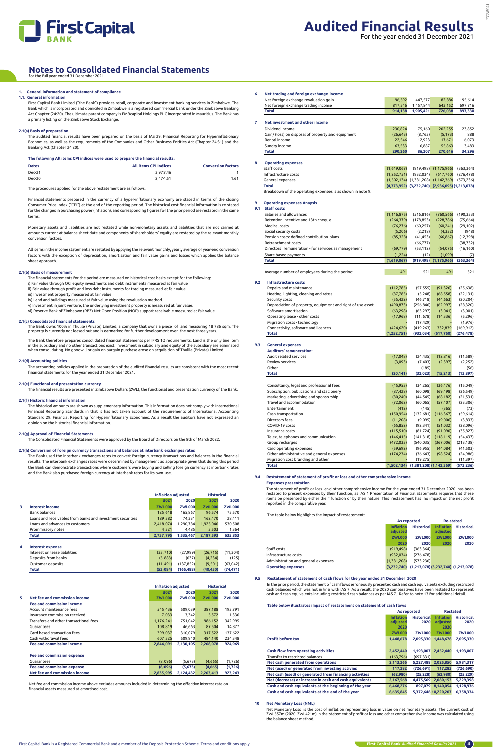

## **1. General information and statement of compliance 1.1. General information**

First Capital Bank Limited ("the Bank") provides retail, corporate and investment banking services in Zimbabwe. The Bank which is incorporated and domiciled in Zimbabwe is a registered commercial bank under the Zimbabwe Banking Act Chapter (24:20). The ultimate parent company is FMBcapital Holdings PLC incorporated in Mauritius. The Bank has a primary listing on the Zimbabwe Stock Exchange.

## **2.1(a) Basis of preparation**

The audited financial results have been prepared on the basis of IAS 29: Financial Reporting for Hyperinflationary Economies, as well as the requirements of the Companies and Other Business Entities Act (Chapter 24:31) and the Banking Act (Chapter 24.20).

#### **The following All items CPI indices were used to prepare the financial results:**

| <b>Dates</b>  | <b>All items CPI Indices</b> | <b>Conversion factors</b> |
|---------------|------------------------------|---------------------------|
| Dec-21        | 3.977.46                     |                           |
| <b>Dec-20</b> | 2.474.51                     | 1.61                      |

The procedures applied for the above restatement are as follows:

Financial statements prepared in the currency of a hyper-inflationary economy are stated in terms of the closing Consumer Price Index ("CPI") at the end of the reporting period. The historical cost financial information is re-stated for the changes in purchasing power (inflation), and corresponding figures for the prior period are restated in the same terms.

The Bank therefore prepares consolidated financial statements per IFRS 10 requirements. Land is the only line item in the subsidiary and no other transactions exist. Investment in subsidiary and equity of the subsidiary are eliminated<br>when consolidating. No goodwill or gain on bargain purchase arose on acquisition of Thulile (Private)

Monetary assets and liabilities are not restated while non-monetary assets and liabilities that are not carried at amounts current at balance sheet date and components of shareholders' equity are restated by the relevant monthly conversion factors.

All items in the income statement are restated by applying the relevant monthly, yearly average or year-end conversion factors with the exception of depreciation, amortisation and fair value gains and losses which applies the balance sheet approach.

## **2.1(b) Basis of measurement**

The financial statements for the period are measured on historical cost basis except for the following:

i) Fair value through OCI equity investments and debt instruments measured at fair value ii) Fair value through profit and loss debt instruments for trading measured at fair value

iii) Investment property measured at fair value

iv) Land and buildings measured at fair value using the revaluation method.

v) Investment in joint venture, the underlying investment property is measured at fair value. vi) Reserve Bank of Zimbabwe (RBZ) Net Open Position (NOP) support receivable measured at fair value

## **2.1(c) Consolidated financial statements**

The Bank owns 100% in Thulile (Private) Limited, a company that owns a piece of land measuring 18 786 sqm. The property is currently not leased out and is earmarked for further development over the next three years.

## **2.1(d) Accounting policies**

The accounting policies applied in the preparation of the audited financial results are consistent with the most recent financial statements for the year ended 31 December 2021.

## **2.1(e) Functional and presentation currency**

The financial results are presented in Zimbabwe Dollars (ZWL), the functional and presentation currency of the Bank.

## **2.1(f) Historic financial information**

The historical amounts are shown as supplementary information. This information does not comply with International Financial Reporting Standards in that it has not taken account of the requirements of International Accounting Standard 29: Financial Reporting for Hyperinflationary Economies. As a result the auditors have not expressed an opinion on the historical financial information.

## **2.1(g) Approval of Financial Statements**

The Consolidated Financial Statements were approved by the Board of Directors on the 8th of March 2022.

## **2.1(h) Conversion of foreign currency transactions and balances at interbank exchanges rates**

The Bank used the interbank exchanges rates to convert foreign currency transactions and balances in the financial results. The interbank exchanges rates were determined by management as appropriate given that during this period the Bank can demonstrate transactions where customers were buying and selling foreign currency at interbank rates and the Bank also purchased foreign currency at interbank rates for its own use.

|   |                                                             | <b>Inflation adjusted</b> |               | <b>Historical</b> |               |
|---|-------------------------------------------------------------|---------------------------|---------------|-------------------|---------------|
|   |                                                             | 2021                      | 2020          | 2021              | 2020          |
| 3 | <b>Interest income</b>                                      | <b>ZWL000</b>             | <b>ZWL000</b> | <b>ZWL000</b>     | <b>ZWL000</b> |
|   | <b>Bank balances</b>                                        | 125,618                   | 165,867       | 96.574            | 75,570        |
|   | Loans and receivables from banks and investment securities. | 189,582                   | 74.331        | 162.470           | 28.411        |
|   | Loans and advances to customers                             | 2,418,074                 | 1.290.784     | 1,925,046         | 530,508       |
|   | Prommissory notes                                           | 4,521                     | 4.485         | 3,503             | 1,364         |
|   | Total                                                       | 2,737,795                 | 1,535,467     | 2,187,593         | 635,853       |
| 4 | <b>Interest expense</b>                                     |                           |               |                   |               |
|   | Interest on lease liabilities                               | (35, 710)                 | (27.999)      | (26, 715)         | (11, 304)     |
|   | Deposits from banks                                         | (5,883)                   | (637)         | (4,234)           | (125)         |
|   | Customer deposits                                           | (11, 491)                 | (137, 852)    | (9,501)           | (63, 042)     |
|   | <b>Total</b>                                                | (53.084)                  | (166, 488)    | (40, 450)         | (74, 471)     |

|   |                                        | <b>Inflation adiusted</b> |               | <b>Historical</b> |               |
|---|----------------------------------------|---------------------------|---------------|-------------------|---------------|
|   |                                        | 2021                      | 2020          | 2021              | 2020          |
| 5 | Net fee and commission income          | <b>ZWL000</b>             | <b>ZWL000</b> | <b>ZWL000</b>     | <b>ZWL000</b> |
|   | <b>Fee and commission income</b>       |                           |               |                   |               |
|   | Account maintenance fees               | 545,436                   | 509,039       | 387,188           | 193,791       |
|   | Insurance commission received          | 7.033                     | 3.342         | 5.572             | 1,336         |
|   | Transfers and other transactional fees | 1,176,241                 | 751,042       | 986,152           | 342,995       |
|   | Guarantees                             | 108.819                   | 46.663        | 87.504            | 14,877        |
|   | Card based transaction fees            | 399,037                   | 310,079       | 317,522           | 137,622       |
|   | Cash withdrawal fees                   | 607,525                   | 509.940       | 484.140           | 234,348       |
|   | <b>Fee and commission income</b>       | 2.844.091                 | 2,130,105     | 2.268.078         | 924,969       |
|   |                                        |                           |               |                   |               |
|   | <b>Fee and commission expense</b>      |                           |               |                   |               |
|   | Guarantees                             | (8,096)                   | (5,673)       | (4,665)           | (1, 726)      |
|   | <b>Fee and commission expense</b>      | (8,096)                   | (5,673)       | (4,665)           | (1,726)       |
|   | Net fee and commission income          | 2.835.995                 | 2.124.432     | 2,263,413         | 923,243       |

Net fee and commission income above excludes amounts included in determining the effective interest rate on financial assets measured at amortised cost.

| 6 | Net trading and foreign exchange income            |             |                                                 |               |            |
|---|----------------------------------------------------|-------------|-------------------------------------------------|---------------|------------|
|   | Net foreign exchange revaluation gain              | 96,592      | 447.577                                         | 82,886        | 195,614    |
|   | Net foreign exchange trading income                | 817,546     | 1,457,844                                       | 643,152       | 697,716    |
|   | <b>Total</b>                                       | 914.138     | 1,905,421                                       | 726.038       | 893,330    |
| 7 | Net investment and other income                    |             |                                                 |               |            |
|   | Dividend income                                    | 230,824     | 75,160                                          | 202,255       | 23,852     |
|   | Gain/ (loss) on disposal of property and equipment | (26, 643)   | (8, 763)                                        | (5, 173)      | 888        |
|   | Rental income                                      | 22,546      | 12,923                                          | 17,671        | 6,073      |
|   | Sundry income                                      | 63,533      | 6,887                                           | 55.863        | 3,483      |
|   | Total                                              | 290.260     | 86.207                                          | 270,616       | 34,296     |
| 8 | <b>Operating expenses</b>                          |             |                                                 |               |            |
|   | Staff costs                                        | (1,619,067) | (919, 498)                                      | (1, 175, 966) | (363, 364) |
|   | Infrastructure costs                               | (1,252,751) | (932, 034)                                      | (617, 760)    | (276, 478) |
|   | General expenses                                   | (1,502,134) | (1,381,208)                                     | (1, 142, 369) | (573, 236) |
|   | Total                                              |             | (4,373,952) (3,232,740) (2,936,095) (1,213,078) |               |            |

Breakdown of the operating expenses is as shown in note 9.

## **9 Operating expenses Anaysis**

| 9.1 | <b>Staff costs</b>                                         |               |            |               |            |
|-----|------------------------------------------------------------|---------------|------------|---------------|------------|
|     | Salaries and allowances                                    | (1, 116, 875) | (516, 816) | (760, 566)    | (190, 353) |
|     | Retention incentive and 13th cheque                        | (264, 379)    | (178, 853) | (228, 786)    | (75, 664)  |
|     | Medical costs                                              | (76, 276)     | (60, 257)  | (60, 241)     | (29, 102)  |
|     | Social security costs                                      | (5,206)       | (2, 218)   | (4, 332)      | (948)      |
|     | Pension costs: defined contribution plans                  | (85, 328)     | (41, 453)  | (66, 867)     | (12, 398)  |
|     | Retrenchment costs                                         |               | (66, 777)  |               | (38, 732)  |
|     | Directors` remuneration - for services as management       | (69, 779)     | (53, 112)  | (54,075)      | (16, 160)  |
|     | Share based payments                                       | (1,224)       | (12)       | (1,099)       | (7)        |
|     | <b>Total</b>                                               | (1,619,067)   | (919, 498) | (1, 175, 966) | (363, 364) |
|     |                                                            |               |            |               |            |
|     | Average number of employees during the period:             | 491           | 521        | 491           | 521        |
| 9.2 | <b>Infrastructure costs</b>                                |               |            |               |            |
|     | Repairs and maintenance                                    | (112, 785)    | (57, 555)  | (91, 326)     | (25, 638)  |
|     | Heating, lighting, cleaning and rates                      | (87, 785)     | (5, 248)   | (68, 558)     | (22, 131)  |
|     | Security costs                                             | (55, 422)     | (46, 718)  | (44, 663)     | (20, 204)  |
|     | Depreciation of property, equipment and right of use asset | (490, 873)    | (256, 846) | (62, 997)     | (28, 320)  |
|     | Software amortisation                                      | (63, 298)     | (63, 297)  | (3,041)       | (3,001)    |
|     | Operating lease - other costs                              | (17,968)      | (11, 678)  | (14, 336)     | (5, 296)   |
|     | Migration costs - technology                               |               | (17, 429)  |               | (1,976)    |
|     | Connectivity, software and licences                        | (424, 620)    | (419, 263) | 332,839       | (169, 912) |
|     | <b>Total</b>                                               | (1, 252, 751) | (932, 034) | (617, 760)    | (276, 478) |

## **9.3 General expenses**

| <b>Auditors' remuneration:</b>            |             |                             |            |            |
|-------------------------------------------|-------------|-----------------------------|------------|------------|
| Audit related services                    | (17, 048)   | (24, 435)                   | (12, 816)  | (11, 589)  |
| <b>Review services</b>                    | (3,093)     | (7, 403)                    | (2, 397)   | (2,252)    |
| Other                                     |             | (185)                       |            | (56)       |
| Total                                     | (20, 141)   | (32,023)                    | (15, 213)  | (13, 897)  |
| Consultancy, legal and professional fees  | (45, 953)   | (34, 265)                   | (36, 476)  | (15,049)   |
| Subscription, publications and stationery | (87, 428)   | (60,098)                    | (69, 498)  | (26, 549)  |
| Marketing, advertising and sponsorship    | (80, 240)   | (44, 545)                   | (68, 182)  | (21, 531)  |
| Travel and accommodation                  | (72,062)    | (60, 065)                   | (57, 407)  | (23, 306)  |
| Entertainment                             | (412)       | (145)                       | (365)      | (73)       |
| Cash transportation                       | (150, 954)  | (132, 681)                  | (116, 367) | (59, 614)  |
| Directors fees                            | (11, 208)   | (9,095)                     | (9,006)    | (3,833)    |
| COVID-19 costs                            | (65, 852)   | (92, 341)                   | (51, 032)  | (28,096)   |
| Insurance costs                           | (115, 510)  | (81, 724)                   | (91,090)   | (35, 827)  |
| Telex, telephones and communication       | (146, 415)  | (141, 318)                  | (118, 119) | (54, 437)  |
| Group recharges                           | (472, 033)  | (540, 035)                  | (367,006)  | (213, 138) |
| Card operating expenses                   | (59, 692)   | (96, 955)                   | (44, 084)  | (41, 503)  |
| Other administrative and general expenses | (174, 234)  | (36, 643)                   | (98, 524)  | (24, 986)  |
| Migration cost branding and other         |             | (19, 275)                   |            | (11, 397)  |
| Total                                     | (1,502,134) | $(1,381,208)$ $(1,142,369)$ |            | (573, 236) |

#### **9.4 Restatement of statement of profit or loss and other comprehensive income**

## **Expenses presentation**

The statement of profit or loss and other comprehensive income for the year ended 31 December 2020 has been restated to present expenses by their function, as IAS 1 Presentation of Financial Statements requires that these items be presented by either their function or by their nature. This restatement has no impact on the net profit reported in the comparative year.

The table below highlights the impact of restatement:

|                                     | As reported                  |                   | <b>Re-stated</b>             |                                           |
|-------------------------------------|------------------------------|-------------------|------------------------------|-------------------------------------------|
|                                     | <b>Inflation</b><br>adjusted | <b>Historical</b> | <b>Inflation</b><br>adiusted | <b>Historical</b>                         |
|                                     | <b>ZWL000</b>                | <b>ZWL000</b>     | <b>ZWL000</b>                | <b>ZWL000</b>                             |
|                                     | 2020                         | 2020              | 2020                         | 2020                                      |
| Staff costs                         | (919.498)                    | (363.364)         |                              |                                           |
| Infrastructure costs                | (932, 034)                   | (276, 478)        |                              |                                           |
| Administration and general expenses | (1,381,208)                  | (573.236)         |                              |                                           |
| <b>Operating expenses</b>           | (3.232.740)                  |                   |                              | $(1,213,078)$ $(3,232,740)$ $(1,213,078)$ |

## **9.5 Restatement of statement of cash flows for the year ended 31 December 2020**

 In the prior period, the statement of cash flows erroneously presented cash and cash equivalents excluding restricted cash balances which was not in line with IAS 7. As a result, the 2020 comparatives have been restated to represent cash and cash equivalents including restricted cash balances as per IAS 7. Refer to note 13 for additional detail.

## **Table below illustrates impact of restatement on statement of cash flows**

|                                                         |                                      | As reported               | <b>Restated</b>                      |                           |
|---------------------------------------------------------|--------------------------------------|---------------------------|--------------------------------------|---------------------------|
|                                                         | <b>Inflation</b><br>adiusted<br>2020 | <b>Historical</b><br>2020 | <b>Inflation</b><br>adiusted<br>2020 | <b>Historical</b><br>2020 |
|                                                         | <b>ZWL000</b>                        | <b>ZWL000</b>             | <b>ZWL000</b>                        | <b>ZWL000</b>             |
| <b>Profit before tax</b>                                | 1,448,678                            | 2.095.330                 | 1.448.678                            | 2,095,330                 |
| Cash flow from operating activities                     | 2,452,440                            | 1,193,007                 | 2.452.440                            | 1,193,007                 |
| Transfer to restricted balances                         | (163, 796)                           | (697, 331)                |                                      |                           |
| Net cash generated from operations                      | 2,113,266                            | 5,227,488                 | 2,025,850                            | 5,981,317                 |
| Net (used) or generated from investing activies         | 117,282                              | (726.691)                 | 117,283                              | (726, 690)                |
| Net cash (used) or generated from financing activities  | (62.980)                             | (25.228)                  | (62.980)                             | (25, 229)                 |
| Net (decrease) or increase in cash and cash equivalents | 2,167,568                            | 4,475,569                 | 2.080.153                            | 5,229,398                 |
| Cash and cash equivalents at the beginning of the year  | 6,468,276                            | 897.079                   | 8.140.054                            | 1,128,936                 |
| Cash and cash equivalents at the end of the year        | 8.635.845                            |                           | 5.372.648 10.220.207                 | 6.358.334                 |

## **10 Net Monetary Loss (NML)**

Net Monetary Loss is the cost of inflation representing loss in value on net monetary assets. The current cost of ZWL557m (2020: ZWL421m) in the statement of profit or loss and other comprehensive income was calculated using the balance sheet method.

## **Notes to Consolidated Financial Statements**

## for the full year ended 31 December 2021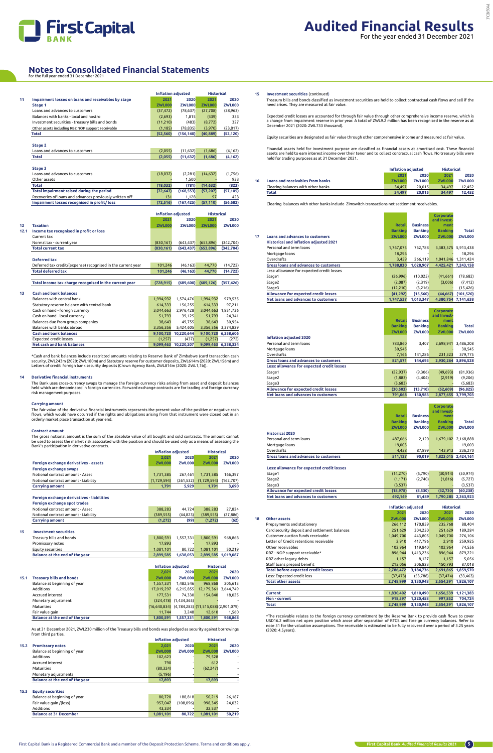

|      |                                                              |               | <b>Inflation adjusted</b> | <b>Historical</b> |                     |
|------|--------------------------------------------------------------|---------------|---------------------------|-------------------|---------------------|
| 11   | Impairment losses on loans and receivables by stage          | 2021          | 2020                      | 2021              | 2020                |
|      | Stage 1                                                      | <b>ZWL000</b> | <b>ZWL000</b>             | <b>ZWL000</b>     | <b>ZWL000</b>       |
|      | Loans and advances to customers                              | (37, 472)     | (78, 637)                 | (27, 708)         | (28, 963)           |
|      | Balances with banks - local and nostro                       | (2,693)       | 1,815                     | (439)             | 333                 |
|      | Investment securities - treasury bills and bonds             | (11, 210)     | (483)                     | (8, 772)          | 327                 |
|      | Other assets including RBZ NOP support receivable            | (1, 185)      | (78, 835)                 | (3,970)           | (23, 817)           |
|      | <b>Total</b>                                                 | (52, 560)     | (156, 140)                | (40, 889)         | (52, 120)           |
|      |                                                              |               |                           |                   |                     |
|      | Stage 2                                                      |               |                           |                   |                     |
|      | Loans and advances to customers                              | (2,055)       | (11, 632)                 | (1,686)           | (4, 162)            |
|      | Total                                                        | (2,055)       | (11, 632)                 | (1,686)           | (4, 162)            |
|      |                                                              |               |                           |                   |                     |
|      | Stage 3                                                      |               |                           |                   |                     |
|      | Loans and advances to customers                              | (18, 032)     | (2, 281)                  | (14, 632)         | (1,756)             |
|      | Other assets                                                 |               | 1,500                     |                   | 933                 |
|      | <b>Total</b>                                                 | (18,032)      | (781)                     | (14, 632)         | (823)               |
|      | Total impairment raised during the period                    | (72, 647)     | (168, 553)                | (57, 207)         | (57, 105)           |
|      | Recoveries of loans and advances previously written off      | 131           | 1,128                     | 97                | 423                 |
|      | Impairment losses recognised in profit/loss                  | (72, 516)     | (167, 425)                | (57, 110)         | (56, 682)           |
|      |                                                              |               | <b>Inflation adjusted</b> | <b>Historical</b> |                     |
|      |                                                              | 2021          | 2020                      | 2021              | 2020                |
| 12   | <b>Taxation</b>                                              | <b>ZWL000</b> | <b>ZWL000</b>             | <b>ZWL000</b>     | <b>ZWL000</b>       |
| 12.1 | Income tax recognised in profit or loss                      |               |                           |                   |                     |
|      | Current tax                                                  |               |                           |                   |                     |
|      | Normal tax - current year                                    | (830, 161)    | (643, 437)                | (653, 896)        | (342, 704)          |
|      | <b>Total current tax</b>                                     | (830, 161)    | (643, 437)                | (653, 896)        | (342, 704)          |
|      |                                                              |               |                           |                   |                     |
|      | <b>Deferred tax</b>                                          |               |                           |                   |                     |
|      | Deferred tax credit/(expense) recognised in the current year | 101,246       | (46, 163)                 | 44,770            | (14, 722)           |
|      | <b>Total deferred tax</b>                                    | 101,246       | (46, 163)                 | 44,770            | (14, 722)           |
|      |                                                              |               |                           |                   |                     |
|      | Total income tax charge recognised in the current year       | (728, 915)    | (689, 600)                | (609, 126)        | (357, 426)          |
|      |                                                              |               |                           |                   |                     |
| 13   | <b>Cash and bank balances</b>                                |               |                           |                   |                     |
|      | Balances with central bank                                   | 1,994,932     | 1,574,476                 | 1,994,932         | 979,535             |
|      | Statutory reserve balance with central bank                  | 614,333       | 156,255                   | 614,333           | 97,211              |
|      | Cash on hand - foreign currency                              | 3,044,663     | 2,976,428                 |                   | 3,044,663 1,851,736 |
|      | Cash on hand - local currency                                | 51,793        | 39,125                    | 51,793            | 24,341              |
|      | Balances due from group companies                            | 38,643        | 49,755                    | 38,643            | 30,954              |
|      | Balances with banks abroad                                   | 3,356,356     | 5,424,605                 |                   | 3,356,356 3,374,829 |
|      | <b>Cash and bank balances</b>                                |               | 9,100,720 10,220,644      |                   | 9,100,720 6,358,606 |
|      | <b>Expected credit losses</b>                                | (1, 257)      | (437)                     | (1, 257)          | (272)               |
|      | Net cash and bank balances                                   |               | 9,099,463 10,220,207      |                   | 9,099,463 6,358,334 |

\*Cash and bank balances include restricted amounts relating to Reserve Bank of Zimbabwe (card transaction cash security, ZWL243m (2020: ZWL180m) and Statutory reserve for customer deposits, ZWL614m (2020: ZWL156m) and Letters of credit foreign bank security deposits (Crown Agency Bank, ZWL814m (2020: ZWL1,1b)).

## **14 Derivative financial instruments**

The Bank uses cross-currency swaps to manage the foreign currency risks arising from asset and deposit balances held which are denominated in foreign currencies. Forward exchange contracts are for trading and foreign currency risk management purposes.

## **Carrying amount**

The fair value of the derivative financial instruments represents the present value of the positive or negative cash flows, which would have occurred if the rights and obligations arising from that instrument were closed out in an orderly market place transaction at year end.

### **Contract amount**

The gross notional amount is the sum of the absolute value of all bought and sold contracts. The amount cannot be used to assess the market risk associated with the position and should be used only as a means of assessing the Bank's participation in derivative contracts.

|                                       | <b>Inflation adjusted</b> |               | <b>Historical</b> |               |
|---------------------------------------|---------------------------|---------------|-------------------|---------------|
|                                       | 2.021                     | 2020          | 2021              | 2020          |
| Foreign exchange derivatives - assets | <b>ZWL000</b>             | <b>ZWL000</b> | <b>ZWL000</b>     | <b>ZWL000</b> |
| Foreign exchange swaps                |                           |               |                   |               |
| Notional contract amount - Asset      | 1,731,385                 | 267.461       | 1.731.385         | 166.397       |
| Notional contract amount - Liability  | (1,729,594)               | (261.532)     | (1,729,594)       | (162, 707)    |
| <b>Carrving amount</b>                | 1.791                     | 5.929         | 1.791             | 3,690         |

## **Foreign exchange derivatives - liabilities**

| Foreign exchange spot trades         |           |          |           |          |
|--------------------------------------|-----------|----------|-----------|----------|
| Notional contract amount - Asset     | 388.283   | 44.724   | 388.283   | 27.824   |
| Notional contract amount - Liability | (389.555) | (44.823) | (389.555) | (27.886) |
| <b>Carrying amount</b>               | (1.272)   | (99)     | (1.272)   | (62)     |

## **15 Investment securities**

| Balance at the end of the year | 2.899.585 | 1.638.053 |           | 2,899,585 1,019,087      |
|--------------------------------|-----------|-----------|-----------|--------------------------|
| Equity securities              | 1.081.101 | 80.722    | 1.081.101 | 50.219                   |
| Promissory notes               | 17.893    |           | 17.893    | $\overline{\phantom{a}}$ |
| Treasury bills and bonds       | 1.800.591 | 1.557.331 | 1.800.591 | 968.868                  |

|      |                                 | <b>Inflation adjusted</b>                                 |                              | <b>Historical</b> |               |
|------|---------------------------------|-----------------------------------------------------------|------------------------------|-------------------|---------------|
|      |                                 | 2.021                                                     | 2020                         | 2021              | 2020          |
| 15.1 | <b>Treasury bills and bonds</b> | <b>ZWL000</b>                                             | <b>ZWL000</b>                | <b>ZWL000</b>     | <b>ZWL000</b> |
|      | Balance at beginning of year    | 1,557,331                                                 | 1,482,546                    | 968.868           | 205,613       |
|      | <b>Additions</b>                | 17,019,297                                                | 6,215,855                    | 12,179,361        | 3,644,749     |
|      | Accrued interest                | 177.531                                                   | 74.330                       | 154.840           | 18,025        |
|      | Monetary adjustment             |                                                           | $(324, 478)$ $(1, 434, 365)$ |                   |               |
|      | <b>Maturities</b>               | $(16,640,834)$ $(4,784,283)$ $(11,515,088)$ $(2,901,079)$ |                              |                   |               |
|      | Fair value gain                 | 11.744                                                    | 3.248                        | 12.610            | 1,560         |
|      | Balance at the end of the year  | 1.800.591                                                 | 1,557,331                    | 1.800.591         | 968,868       |

As at 31 December 2021, ZWL230 million of the Treasury bills and bonds was pledged as security against borrowings from third parties.

|      |                                |               | Inflation adjusted | <b>Historical</b> |               |
|------|--------------------------------|---------------|--------------------|-------------------|---------------|
| 15.2 | <b>Promissory notes</b>        | 2.021         | 2020               | 2021              | 2020          |
|      | Balance at beginning of year   | <b>ZWL000</b> | <b>ZWL000</b>      | <b>ZWL000</b>     | <b>ZWL000</b> |
|      | Additions                      | 102.623       |                    | 79.528            |               |
|      | Accrued interest               | 790           |                    | 612               |               |
|      | <b>Maturities</b>              | (80, 324)     |                    | (62, 247)         |               |
|      | Monetary adjustments           | (5, 196)      |                    |                   |               |
|      | Balance at the end of the year | 17.893        |                    | 17.893            |               |

## **15.3 Equity securities**

| Balance at beginning of year  | 80.720    | 188.818   | 50.219    | 26.187 |
|-------------------------------|-----------|-----------|-----------|--------|
| Fair value gain /(loss)       | 957.047   | (108.096) | 998.345   | 24.032 |
| Additions                     | 43.334    |           | 32.537    |        |
| <b>Balance at 31 December</b> | 1.081.101 | 80.722    | 1.081.101 | 50.219 |

## **15 Investment securities** (continued)

Treasury bills and bonds classified as investment securities are held to collect contractual cash flows and sell if the need arises. They are measured at fair value.

Expected credit losses are accounted for through fair value through other comprehensive income reserve, which is a change from impairment reserve in prior year. A total of ZWL9.2 million has been recognised in the reserve as at December 2021 (2020: ZWL733 thousand).

Equity securities are designated as fair value through other comprehensive income and measured at fair value.

Financial assets held for investment purpose are classified as financial assets at amortised cost. These financial assets are held to earn interest income over their tenor and to collect contractual cash flows. No treasury bills were held for trading purposes as at 31 December 2021.

**Inflation adjusted Historical**

|    |                                         | <u>iiii wuuvii gurusteu</u> |        | ,,,,,,,,,,,,  |               |
|----|-----------------------------------------|-----------------------------|--------|---------------|---------------|
|    |                                         | 2021                        | 2020   | 2021          | 2020          |
| 16 | <b>Loans and receivables from banks</b> | <b>ZWL000</b>               | ZWL000 | <b>ZWL000</b> | <b>ZWL000</b> |
|    | Clearing balances with other banks      | 34.497                      | 20.015 | 34.497        | 12.452        |
|    | Total                                   | 34.497                      | 20.015 | 34.497        | 12.452        |

Clearing balances with other banks include Zimswitch transactions net settlement receivables.

**Corporate** 

|    |                                               |                |                 | and Invest-    |                     |
|----|-----------------------------------------------|----------------|-----------------|----------------|---------------------|
|    |                                               | <b>Retail</b>  | <b>Business</b> | ment           |                     |
|    |                                               | <b>Banking</b> | <b>Banking</b>  | <b>Banking</b> | Total               |
| 17 | Loans and advances to customers               | <b>ZWL000</b>  | <b>ZWL000</b>   | <b>ZWL000</b>  | <b>ZWL000</b>       |
|    | <b>Historical and inflation adjusted 2021</b> |                |                 |                |                     |
|    | Personal and term loans                       | 1,767,075      | 762,788         | 3,383,575      | 5,913,438           |
|    | Mortgage loans                                | 18,296         |                 |                | 18,296              |
|    | Overdrafts                                    | 3.459          | 266.119         | 1,041,846      | 1,311,424           |
|    | <b>Gross loans and advances to customers</b>  | 1,788,830      | 1,028,907       | 4,425,421      | 7,243,158           |
|    | Less: allowance for expected credit losses    |                |                 |                |                     |
|    | Stage1                                        | (26,996)       | (10, 025)       | (41, 661)      | (78, 682)           |
|    | Stage2                                        | (2,087)        | (2,319)         | (3,006)        | (7, 412)            |
|    | Stage3                                        | (12, 210)      | (3,216)         |                | (15, 426)           |
|    | Allowance for expected credit losses          | (41, 292)      | (15, 560)       | (44.667)       | (101, 520)          |
|    | Net loans and advances to customers           | 1.747.537      | 1,013,347       |                | 4.380.754 7.141.638 |

**Corporate** 

T.

|                                              |                |                 | and Invest-    |               |
|----------------------------------------------|----------------|-----------------|----------------|---------------|
|                                              | <b>Retail</b>  | <b>Business</b> | ment           |               |
|                                              | <b>Banking</b> | <b>Banking</b>  | <b>Banking</b> | Total         |
|                                              | <b>ZWL000</b>  | <b>ZWL000</b>   | <b>ZWL000</b>  | <b>ZWL000</b> |
| <b>Inflation adjusted 2020</b>               |                |                 |                |               |
| Personal and term loans                      | 783,860        | 3,407           | 2,698,941      | 3,486,208     |
| Mortgage loans                               | 30,545         |                 |                | 30,545        |
| Overdrafts                                   | 7.166          | 141.286         | 231,323        | 379,775       |
| <b>Gross loans and advances to customers</b> | 821,571        | 144.693         | 2.930.264      | 3,896,528     |
| Less: allowance for expected credit losses   |                |                 |                |               |
| Stage1                                       | (22, 937)      | (9,306)         | (49, 693)      | (81,936)      |
| Stage2                                       | (1,883)        | (4.404)         | (2,919)        | (9,206)       |
| Stage3                                       | (5,683)        |                 |                | (5,683)       |
| Allowance for expected credit losses         | (30.503)       | (13, 710)       | (52,609)       | (96, 825)     |
| Net loans and advances to customers          | 791,068        | 130,983         | 2.877.655      | 3,799,703     |

|                                              |                |                 | Corporate      |                     |
|----------------------------------------------|----------------|-----------------|----------------|---------------------|
|                                              |                |                 | and Invest-    |                     |
|                                              | <b>Retail</b>  | <b>Business</b> | ment           |                     |
|                                              | <b>Banking</b> | <b>Banking</b>  | <b>Banking</b> | <b>Total</b>        |
|                                              | <b>ZWL000</b>  | <b>ZWL000</b>   | <b>ZWL000</b>  | <b>ZWL000</b>       |
| <b>Historical 2020</b>                       |                |                 |                |                     |
| Personal and term loans                      | 487,666        | 2.120           |                | 1,679,102 2,168,888 |
| Mortgage loans                               | 19,003         |                 |                | 19.003              |
| Overdrafts                                   | 4.458          | 87.899          | 143.913        | 236.270             |
| <b>Gross loans and advances to customers</b> | 511,127        | 90,019          | 1,823,015      | 2,424,161           |

## **Less: allowance for expected credit losses**

| Stage1                               | (14.270) | (5.790) | (30.914) | (50.974)            |
|--------------------------------------|----------|---------|----------|---------------------|
| Stage2                               | (1.171)  | (2.740) | (1.816)  | (5.727)             |
| Stage3                               | (3.537)  |         |          | (3.537)             |
| Allowance for expected credit losses | (18.978) | (8.530) | (32.730) | (60.238)            |
| Net loans and advances to customers  | 492.149  | 81.489  |          | 1.790.285 2.363.923 |

|    |                                               | <b>Inflation adjusted</b> |               | <b>Historical</b> |               |
|----|-----------------------------------------------|---------------------------|---------------|-------------------|---------------|
|    |                                               | 2021                      | 2020          | 2021              | 2020          |
| 18 | Other assets                                  | <b>ZWL000</b>             | <b>ZWL000</b> | <b>ZWL000</b>     | <b>ZWL000</b> |
|    | Prepayments and stationery                    | 266,112                   | 170,859       | 235,768           | 88,404        |
|    | Card security deposit and settlement balances | 251,629                   | 304,250       | 251,629           | 189,284       |
|    | Customer auction funds receivable             | 1,049,700                 | 443,805       | 1,049,700         | 276,106       |
|    | Letter of Credit retentions receivable        | 2,910                     | 417,796       | 2,910             | 259,925       |
|    | Other receivables                             | 102,964                   | 119,840       | 102,964           | 74,556        |
|    | RBZ - NOP support receivable*                 | 896,944                   | 1,413,236     | 896,944           | 879,221       |
|    | RBZ other legacy debts                        | 1,157                     | 8,127         | 1,157             | 5,056         |
|    | Staff loans prepaid benefit                   | 215,056                   | 306,823       | 150,793           | 87,018        |
|    | <b>Total before expected credit losses</b>    | 2,786,472                 | 3,184,736     | 2,691,865         | 1,859,570     |
|    | Less: Expected credit loss                    | (37, 473)                 | (53, 788)     | (37, 474)         | (33, 463)     |
|    | <b>Total other assets</b>                     | 2,748,999                 | 3,130,948     | 2,654,391         | 1,826,107     |
|    |                                               |                           |               |                   |               |
|    | Current                                       | 1,830,402                 | 1,810,490     | 1,656,539         | 1,121,383     |
|    | Non - current                                 | 918,597                   | 1,320,458     | 997,852           | 704,724       |
|    | Total                                         | 2,748,999                 | 3,130,948     | 2,654,391         | 1,826,107     |

\*The receivable relates to the foreign currency commitment by the Reserve Bank to provide cash flows to cover USD16.2 million net open position which arose after separation of RTGS and foreign currency balances. Refer to<br>note 31 for the valuation assumptions. The receivable is estimated to be fully recovered over a period of 3.25 (2020: 4.5years).

## **Notes to Consolidated Financial Statements**

|  | for the full year ended 31 December 2021 |  |
|--|------------------------------------------|--|
|  |                                          |  |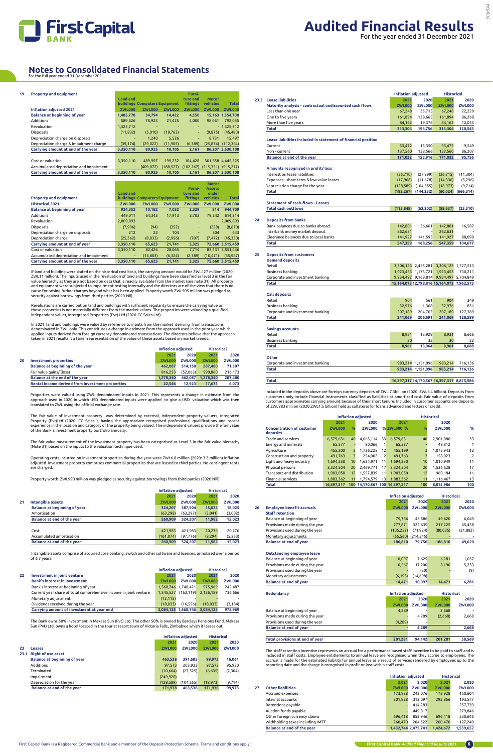

| 19 | <b>Property and equipment</b>           |                 |                               |               | Furni-          |                                        |                   |
|----|-----------------------------------------|-----------------|-------------------------------|---------------|-----------------|----------------------------------------|-------------------|
|    |                                         | <b>Land and</b> |                               |               | ture and        | <b>Motor</b>                           |                   |
|    |                                         |                 | buildings Computers Equipment |               | <b>fittings</b> | vehicles                               | <b>Total</b>      |
|    | <b>Inflation adjusted 2021</b>          | <b>ZWL000</b>   | <b>ZWL000</b>                 | <b>ZWL000</b> | <b>ZWL000</b>   | <b>ZWL000</b>                          | <b>ZWL000</b>     |
|    | <b>Balance at beginning of year</b>     | 1,485,778       | 34.794                        | 14,422        | 4.550           |                                        | 15,163 1,554,708  |
|    | Additions                               | 589,626         | 78,923                        | 21,425        | 4,000           | 98.061                                 | 792,035           |
|    | Revaluation                             | 1,325,712       |                               |               |                 |                                        | $-1,325,712$      |
|    | <b>Disposals</b>                        | (11, 832)       | (5,010)                       | (18, 763)     | ÷               | (9, 875)                               | (45, 480)         |
|    | Depreciation charge on disposals        | ٠               | 1.240                         | 5,526         | ۰.              | 8.731                                  | 15,497            |
|    | Depreciation charge & Impairment charge | (39, 174)       | (29, 022)                     | (11,905)      | (6,389)         | (25, 874)                              | (112, 364)        |
|    | Carrying amount at end of the year      | 3,350,110       | 80,925                        | 10,705        | 2,161           |                                        | 86,207 3,530,108  |
|    |                                         |                 |                               |               |                 |                                        |                   |
|    | Cost or valuation                       | 3,350,110       | 489,997                       | 199.232       | 104.428         |                                        | 301,558 4,445,325 |
|    | Accumulated depreciation and impairment | ٠               | (409, 072)                    | (188, 527)    |                 | $(102, 267)$ $(215, 351)$ $(915, 217)$ |                   |
|    | Carrying amount at end of the year      | 3,350,110       | 80,925                        | 10.705        | 2.161           |                                        | 86,207 3,530,108  |

If land and building were stated on the historical cost basis, the carrying amount would be ZWL127 million (2020:<br>ZWL11 million). The inputs used in the revaluation of land and buildings have been classified as level 3 in and equipment were subjected to impairment testing internally and the directors are of the view that there is no cause for raising futher charges beyond what has been applied. Property worth ZWL905 million was pledged as security against borrowings from third parties (2020-Nil).

Revaluations are carried out on land and buildings with sufficient regularity to ensure the carrying value on those properties is not materially different from the market values. The properties were valued by a qualified,<br>independent valuer, Intergrated Properties (Pvt) Ltd (2020-CC Sales Ltd).

In 2021 land and buildings were valued by reference to inputs from the market deriving from transactions denominated in ZWL only. This constitutes a change in estimate from the approach used in the prior year which applied inputs derived from foreign currency denominated transcactions. The directors believe that the approach<br>taken in 2021 results is a fairer representation of the value of these assets based on market trends.

|                                         |                 |                               |               | Furni-          | <b>Motor</b><br><b>Assets</b> |                  |
|-----------------------------------------|-----------------|-------------------------------|---------------|-----------------|-------------------------------|------------------|
|                                         | <b>Land and</b> |                               |               | ture and        | under                         |                  |
| <b>Property and equipment</b>           |                 | buildings Computers Equipment |               | <b>fittings</b> | vehicles                      | <b>Total</b>     |
| <b>Historical 2021</b>                  | <b>ZWL000</b>   | <b>ZWL000</b>                 | <b>ZWL000</b> | <b>ZWL000</b>   | <b>ZWL000</b>                 | <b>ZWL000</b>    |
| <b>Balance at beginning of year</b>     | 924,352         | 10,182                        | 7,032         | 2,329           | 814                           | 944.709          |
| Additions                               | 449,011         | 64,345                        | 17,913        | 3,703           | 79.242                        | 614,214          |
| Revaluation                             | 2,009,893       |                               |               |                 |                               | $-2,009,893$     |
| <b>Disposals</b>                        | (7,996)         | (94)                          | (352)         | ٠               | (228)                         | (8,670)          |
| Depreciation charge on disposals        | 212             | 23                            | 104           | ٠               | 304                           | 643              |
| Depreciation charge                     | (25, 362)       | (8, 833)                      | (2,956)       | (707)           | (7.472)                       | (45, 330)        |
| Carrying amount at end of year          | 3,350,110       | 65,623                        | 21,741        | 5,325           |                               | 72,660 3,515,459 |
| Cost or valuation                       | 3.350.110       | 82,426                        | 28.065        | 7.714           |                               | 83.131 3.551.446 |
| Accumulated depreciation and impairment | ٠               | (16, 803)                     | (6, 324)      | (2,389)         | (10.471)                      | (35, 987)        |
| Carrying amount at end of the year      | 3,350,110       | 65,623                        | 21,741        | 5,325           |                               | 72,660 3,515,459 |

|    |                                                  | <b>Inflation adiusted</b> |               | <b>Historical</b> |               |
|----|--------------------------------------------------|---------------------------|---------------|-------------------|---------------|
|    |                                                  | 2021                      | 2020          | 2021              | 2020          |
| 20 | <b>Investment properties</b>                     | <b>ZWL000</b>             | <b>ZWL000</b> | <b>ZWL000</b>     | <b>ZWL000</b> |
|    | <b>Balance at beginning of the year</b>          | 462.087                   | 514.150       | 287.480           | 71.307        |
|    | Fair value gains/ (loss)                         | 816.253                   | (52.063)      | 990.860           | 216.173       |
|    | <b>Balance at the end of the year</b>            | 1.278.340                 | 462.087       | 1.278.340         | 287.480       |
|    | Rental income derived from investment properties | 22.546                    | 12.923        | 17.671            | 6.073         |

Properties were valued using ZWL denominated inputs in 2021. This represents a change in estimate from the approach used in 2020 in which USD denominated inputs were applied to give a USD valuation which was then translated to ZWL using the official exchange rate.

The fair value of investment property was determined by external, independent property valuers, Integrated Property (Pvt)Ltd (2020: CC Sales ), having the appropriate recognised professional qualifications and recent experience in the location and category of the property being valued. The independent valuers provide the fair value of the Bank`s investment property portfolio annually.

The fair value measurement of the investment property has been categorised as Level 3 in the fair value hierarchy (Note 31) based on the inputs to the valuation technique used.

Included in the deposits above are foreign currency deposits of ZWL 7.3billion (2020: ZWL6.4 billion). Deposits from<br>customers only include financial instruments classified as liabilities at amortised cost. Fair value of d customers approximates carrying amount because of their short tenure. Included in customer accounts are deposits of ZWL983 million (2020:ZWL1.5 billion) held as collateral for loans advanced and letters of credit.

Operating costs incurred on investment properties during the year were ZWL6.8 million (2020: 3.2 million) inflation adjusted. Investment property comprises commercial properties that are leased to third parties. No contingent rents are charged.

Property worth ZWL990 million was pledged as security against borrowings from third parties (2020:Nill).

|    |                                     |               | Inflation adjusted |               | <b>Historical</b> |
|----|-------------------------------------|---------------|--------------------|---------------|-------------------|
|    |                                     | 2021          | 2020               | 2021          | 2020              |
| 21 | Intangible assets                   | <b>ZWL000</b> | <b>ZWL000</b>      | <b>ZWL000</b> | <b>ZWL000</b>     |
|    | <b>Balance at beginning of year</b> | 324.207       | 387.504            | 15,023        | 18,025            |
|    | Amortisation                        | (63, 298)     | (63, 297)          | (3,041)       | (3,002)           |
|    | <b>Balance at end of the year</b>   | 260.909       | 324.207            | 11,982        | 15,023            |
|    |                                     |               |                    |               |                   |
|    | Cost                                | 421,983       | 421.983            | 20.276        | 20.276            |
|    | Accumulated amortisation            | (161, 074)    | (97, 776)          | (8, 294)      | (5,253)           |
|    | Balance at end of the year          | 260.909       | 324.207            | 11,982        | 15,023            |

 Intangible assets comprise of acquired core banking, switch and other software and licences, armotised over a period of 6.7 years.

> The staff retention incentive represents an accrual for a performance based staff incentive to be paid to staff and is<br>included in staff costs. Employee entitlements to annual leave are recognised when they accrue to emplo accrual is made for the estimated liability for annual leave as a result of services rendered by employees up to the reporting date and the charge is recognised in profit or loss within staff costs.

|                                                                   |  | <b>Historical</b>                                  |                                                                                                           |  |
|-------------------------------------------------------------------|--|----------------------------------------------------|-----------------------------------------------------------------------------------------------------------|--|
| <b>Investment in joint venture</b>                                |  | 2021                                               | 2020                                                                                                      |  |
| <b>Bank's interest in investment</b>                              |  |                                                    | <b>ZWL000</b>                                                                                             |  |
| Bank's interest at beginning of year                              |  |                                                    | 242.487                                                                                                   |  |
| Current year share of total comprehensive income in joint venture |  |                                                    | 736.666                                                                                                   |  |
|                                                                   |  | <b>Inflation adjusted</b><br>2021<br><b>ZWL000</b> | 2020<br><b>ZWL000</b><br><b>ZWL000</b><br>1.568.746 1.748.421<br>975.969<br>1.545.527 (163.119) 2.126.189 |  |

| Carrying amount of investment at year end |          | 3,084,125 1,568,746 3,084,125    | 975.969 |
|-------------------------------------------|----------|----------------------------------|---------|
| Dividends received during the year        |          | $(18.033)$ $(16.556)$ $(18.033)$ | (3.184) |
| Monetary adjustment                       | (12.115) |                                  |         |

The Bank owns 50% investment in Makasa Sun (Pvt) Ltd. The other 50% is owned by Barclays Pensions Fund. Makasa Sun (Pvt) Ltd. owns a hotel located in the tourist resort town of Victoria Falls, Zimbabwe which it leases out.

|      |                                     |               | <b>Inflation adiusted</b> | <b>Historical</b> |               |
|------|-------------------------------------|---------------|---------------------------|-------------------|---------------|
|      |                                     | 2021          | 2020                      | 2021              | 2020          |
| 23   | Leases                              | <b>ZWL000</b> | <b>ZWL000</b>             | <b>ZWL000</b>     | <b>ZWL000</b> |
| 23.1 | <b>Right of use asset</b>           |               |                           |                   |               |
|      | <b>Balance at beginning of year</b> | 463.538       | 391.685                   | 99.973            | 16,061        |
|      | Additions                           | 97.573        | 203.933                   | 97.573            | 95,930        |
|      | Terminated                          | (10, 664)     | (27, 525)                 | (6, 635)          | (2,304)       |
|      | Impairment                          | (249, 920)    |                           |                   |               |
|      | Depreciation for the year           | (128, 589)    | (104, 555)                | (18, 973)         | (9, 714)      |
|      | Balance at end of the year          | 171.938       | 463.538                   | 171.938           | 99.973        |

| 2021<br>2021<br>23.2 Lease liabilities<br>2020<br>Maturity analysis - contractual undiscounted cash flows<br><b>ZWL000</b><br><b>ZWL000</b><br><b>ZWL000</b><br>Less than one year<br>67,248<br>35,715<br>67,248<br>One to five years<br>161,894<br>161,894<br>138,665<br>More than five years<br>84,162<br>19,376<br>84,162<br><b>Total</b><br>313,304<br>193,756<br>313,304<br>Lease liabilities included in statement of financial position<br>33,472<br>15,350<br>33,472<br>Current<br>137,560<br>137,560<br>Non - current<br>138,566<br>Balance at end of the year<br>171,032<br>153,916<br>171,032<br>Amounts recognised in profit/loss<br>Interest on lease liabilities<br>(35, 710)<br>(27,999)<br>(26, 715)<br>Expenses - short term & low value leases<br>(17,968)<br>(14, 336)<br>(11, 678)<br>Depreciation charge for the year<br>(128, 589)<br>(104, 555)<br>(18, 973)<br><b>Total</b><br>(60, 024)<br>(182, 267)<br>(144, 232)<br><b>Statement of cash-flows - Leases</b><br><b>Total cash outflows</b><br>(115, 848)<br>(63, 202)<br>(58, 637)<br>(25, 310)<br>24<br><b>Deposits from banks</b><br>Bank balances due to banks abroad<br>142,801<br>26,661<br>142,801<br>16,587<br>Interbank money market deposit<br>262,631<br>262,631<br>Clearance balances due to local banks<br>141,927<br>141,927<br>141,595<br>88,090<br><b>Total</b><br>547,359<br>168,256<br>547,359<br>104,677<br>25<br><b>Deposits from customers</b><br><b>Demand deposits</b><br>Retail<br>3,306,123 2,455,281 3,306,123 1,527,513<br>Business banking<br>1,923,453 1,173,721 1,923,453<br>730,211<br>Corporate and investment banking<br>9,934,497 9,169,814 9,934,497 5,704,849<br><b>Total</b><br>15,164,073 12,798,816 15,164,073 7,962,573<br><b>Call deposits</b><br>Retail<br>904<br>904<br>561<br>349<br>32,976<br>Business banking<br>32,976<br>1,368<br>851<br>Corporate and investment banking<br>207,189<br>204,762<br>207,189<br>127,389<br><b>Total</b><br>241,069<br>128,589<br>241,069<br>206,691<br><b>Savings accounts</b><br>Retail<br>8,931<br>8,931<br>13,929<br>8,666<br>Business banking<br>35<br>22<br>30<br>30<br><b>Total</b><br>8,961<br>13,964<br>8,961<br>8,688<br><b>Other</b><br>Corporate and investment banking<br>983,214 1,151,096<br>983,214<br>716,136<br><b>Total</b><br>983,214 1,151,096<br>983,214<br>716,136<br>16,397,317 14,170,567 16,397,317 8,815,986<br><b>Total</b> |  | <b>Inflation adjusted</b> |  | <b>Historical</b> |               |  |  |  |  |  |  |
|----------------------------------------------------------------------------------------------------------------------------------------------------------------------------------------------------------------------------------------------------------------------------------------------------------------------------------------------------------------------------------------------------------------------------------------------------------------------------------------------------------------------------------------------------------------------------------------------------------------------------------------------------------------------------------------------------------------------------------------------------------------------------------------------------------------------------------------------------------------------------------------------------------------------------------------------------------------------------------------------------------------------------------------------------------------------------------------------------------------------------------------------------------------------------------------------------------------------------------------------------------------------------------------------------------------------------------------------------------------------------------------------------------------------------------------------------------------------------------------------------------------------------------------------------------------------------------------------------------------------------------------------------------------------------------------------------------------------------------------------------------------------------------------------------------------------------------------------------------------------------------------------------------------------------------------------------------------------------------------------------------------------------------------------------------------------------------------------------------------------------------------------------------------------------------------------------------------------------------------------------------------------------------------------------------------------------------------------------------------------------------------------------------------|--|---------------------------|--|-------------------|---------------|--|--|--|--|--|--|
|                                                                                                                                                                                                                                                                                                                                                                                                                                                                                                                                                                                                                                                                                                                                                                                                                                                                                                                                                                                                                                                                                                                                                                                                                                                                                                                                                                                                                                                                                                                                                                                                                                                                                                                                                                                                                                                                                                                                                                                                                                                                                                                                                                                                                                                                                                                                                                                                                |  |                           |  |                   | 2020          |  |  |  |  |  |  |
|                                                                                                                                                                                                                                                                                                                                                                                                                                                                                                                                                                                                                                                                                                                                                                                                                                                                                                                                                                                                                                                                                                                                                                                                                                                                                                                                                                                                                                                                                                                                                                                                                                                                                                                                                                                                                                                                                                                                                                                                                                                                                                                                                                                                                                                                                                                                                                                                                |  |                           |  |                   | <b>ZWL000</b> |  |  |  |  |  |  |
|                                                                                                                                                                                                                                                                                                                                                                                                                                                                                                                                                                                                                                                                                                                                                                                                                                                                                                                                                                                                                                                                                                                                                                                                                                                                                                                                                                                                                                                                                                                                                                                                                                                                                                                                                                                                                                                                                                                                                                                                                                                                                                                                                                                                                                                                                                                                                                                                                |  |                           |  |                   | 22,220        |  |  |  |  |  |  |
|                                                                                                                                                                                                                                                                                                                                                                                                                                                                                                                                                                                                                                                                                                                                                                                                                                                                                                                                                                                                                                                                                                                                                                                                                                                                                                                                                                                                                                                                                                                                                                                                                                                                                                                                                                                                                                                                                                                                                                                                                                                                                                                                                                                                                                                                                                                                                                                                                |  |                           |  |                   | 86,268        |  |  |  |  |  |  |
|                                                                                                                                                                                                                                                                                                                                                                                                                                                                                                                                                                                                                                                                                                                                                                                                                                                                                                                                                                                                                                                                                                                                                                                                                                                                                                                                                                                                                                                                                                                                                                                                                                                                                                                                                                                                                                                                                                                                                                                                                                                                                                                                                                                                                                                                                                                                                                                                                |  |                           |  |                   | 12,055        |  |  |  |  |  |  |
|                                                                                                                                                                                                                                                                                                                                                                                                                                                                                                                                                                                                                                                                                                                                                                                                                                                                                                                                                                                                                                                                                                                                                                                                                                                                                                                                                                                                                                                                                                                                                                                                                                                                                                                                                                                                                                                                                                                                                                                                                                                                                                                                                                                                                                                                                                                                                                                                                |  |                           |  |                   | 120,543       |  |  |  |  |  |  |
|                                                                                                                                                                                                                                                                                                                                                                                                                                                                                                                                                                                                                                                                                                                                                                                                                                                                                                                                                                                                                                                                                                                                                                                                                                                                                                                                                                                                                                                                                                                                                                                                                                                                                                                                                                                                                                                                                                                                                                                                                                                                                                                                                                                                                                                                                                                                                                                                                |  |                           |  |                   |               |  |  |  |  |  |  |
|                                                                                                                                                                                                                                                                                                                                                                                                                                                                                                                                                                                                                                                                                                                                                                                                                                                                                                                                                                                                                                                                                                                                                                                                                                                                                                                                                                                                                                                                                                                                                                                                                                                                                                                                                                                                                                                                                                                                                                                                                                                                                                                                                                                                                                                                                                                                                                                                                |  |                           |  |                   |               |  |  |  |  |  |  |
|                                                                                                                                                                                                                                                                                                                                                                                                                                                                                                                                                                                                                                                                                                                                                                                                                                                                                                                                                                                                                                                                                                                                                                                                                                                                                                                                                                                                                                                                                                                                                                                                                                                                                                                                                                                                                                                                                                                                                                                                                                                                                                                                                                                                                                                                                                                                                                                                                |  |                           |  |                   | 9,549         |  |  |  |  |  |  |
|                                                                                                                                                                                                                                                                                                                                                                                                                                                                                                                                                                                                                                                                                                                                                                                                                                                                                                                                                                                                                                                                                                                                                                                                                                                                                                                                                                                                                                                                                                                                                                                                                                                                                                                                                                                                                                                                                                                                                                                                                                                                                                                                                                                                                                                                                                                                                                                                                |  |                           |  |                   | 86,207        |  |  |  |  |  |  |
|                                                                                                                                                                                                                                                                                                                                                                                                                                                                                                                                                                                                                                                                                                                                                                                                                                                                                                                                                                                                                                                                                                                                                                                                                                                                                                                                                                                                                                                                                                                                                                                                                                                                                                                                                                                                                                                                                                                                                                                                                                                                                                                                                                                                                                                                                                                                                                                                                |  |                           |  |                   | 95,756        |  |  |  |  |  |  |
|                                                                                                                                                                                                                                                                                                                                                                                                                                                                                                                                                                                                                                                                                                                                                                                                                                                                                                                                                                                                                                                                                                                                                                                                                                                                                                                                                                                                                                                                                                                                                                                                                                                                                                                                                                                                                                                                                                                                                                                                                                                                                                                                                                                                                                                                                                                                                                                                                |  |                           |  |                   |               |  |  |  |  |  |  |
|                                                                                                                                                                                                                                                                                                                                                                                                                                                                                                                                                                                                                                                                                                                                                                                                                                                                                                                                                                                                                                                                                                                                                                                                                                                                                                                                                                                                                                                                                                                                                                                                                                                                                                                                                                                                                                                                                                                                                                                                                                                                                                                                                                                                                                                                                                                                                                                                                |  |                           |  |                   |               |  |  |  |  |  |  |
|                                                                                                                                                                                                                                                                                                                                                                                                                                                                                                                                                                                                                                                                                                                                                                                                                                                                                                                                                                                                                                                                                                                                                                                                                                                                                                                                                                                                                                                                                                                                                                                                                                                                                                                                                                                                                                                                                                                                                                                                                                                                                                                                                                                                                                                                                                                                                                                                                |  |                           |  |                   | (11, 304)     |  |  |  |  |  |  |
|                                                                                                                                                                                                                                                                                                                                                                                                                                                                                                                                                                                                                                                                                                                                                                                                                                                                                                                                                                                                                                                                                                                                                                                                                                                                                                                                                                                                                                                                                                                                                                                                                                                                                                                                                                                                                                                                                                                                                                                                                                                                                                                                                                                                                                                                                                                                                                                                                |  |                           |  |                   | (5, 296)      |  |  |  |  |  |  |
|                                                                                                                                                                                                                                                                                                                                                                                                                                                                                                                                                                                                                                                                                                                                                                                                                                                                                                                                                                                                                                                                                                                                                                                                                                                                                                                                                                                                                                                                                                                                                                                                                                                                                                                                                                                                                                                                                                                                                                                                                                                                                                                                                                                                                                                                                                                                                                                                                |  |                           |  |                   | (9, 714)      |  |  |  |  |  |  |
|                                                                                                                                                                                                                                                                                                                                                                                                                                                                                                                                                                                                                                                                                                                                                                                                                                                                                                                                                                                                                                                                                                                                                                                                                                                                                                                                                                                                                                                                                                                                                                                                                                                                                                                                                                                                                                                                                                                                                                                                                                                                                                                                                                                                                                                                                                                                                                                                                |  |                           |  |                   | (666, 314)    |  |  |  |  |  |  |
|                                                                                                                                                                                                                                                                                                                                                                                                                                                                                                                                                                                                                                                                                                                                                                                                                                                                                                                                                                                                                                                                                                                                                                                                                                                                                                                                                                                                                                                                                                                                                                                                                                                                                                                                                                                                                                                                                                                                                                                                                                                                                                                                                                                                                                                                                                                                                                                                                |  |                           |  |                   |               |  |  |  |  |  |  |
|                                                                                                                                                                                                                                                                                                                                                                                                                                                                                                                                                                                                                                                                                                                                                                                                                                                                                                                                                                                                                                                                                                                                                                                                                                                                                                                                                                                                                                                                                                                                                                                                                                                                                                                                                                                                                                                                                                                                                                                                                                                                                                                                                                                                                                                                                                                                                                                                                |  |                           |  |                   |               |  |  |  |  |  |  |
|                                                                                                                                                                                                                                                                                                                                                                                                                                                                                                                                                                                                                                                                                                                                                                                                                                                                                                                                                                                                                                                                                                                                                                                                                                                                                                                                                                                                                                                                                                                                                                                                                                                                                                                                                                                                                                                                                                                                                                                                                                                                                                                                                                                                                                                                                                                                                                                                                |  |                           |  |                   |               |  |  |  |  |  |  |
|                                                                                                                                                                                                                                                                                                                                                                                                                                                                                                                                                                                                                                                                                                                                                                                                                                                                                                                                                                                                                                                                                                                                                                                                                                                                                                                                                                                                                                                                                                                                                                                                                                                                                                                                                                                                                                                                                                                                                                                                                                                                                                                                                                                                                                                                                                                                                                                                                |  |                           |  |                   |               |  |  |  |  |  |  |
|                                                                                                                                                                                                                                                                                                                                                                                                                                                                                                                                                                                                                                                                                                                                                                                                                                                                                                                                                                                                                                                                                                                                                                                                                                                                                                                                                                                                                                                                                                                                                                                                                                                                                                                                                                                                                                                                                                                                                                                                                                                                                                                                                                                                                                                                                                                                                                                                                |  |                           |  |                   |               |  |  |  |  |  |  |
|                                                                                                                                                                                                                                                                                                                                                                                                                                                                                                                                                                                                                                                                                                                                                                                                                                                                                                                                                                                                                                                                                                                                                                                                                                                                                                                                                                                                                                                                                                                                                                                                                                                                                                                                                                                                                                                                                                                                                                                                                                                                                                                                                                                                                                                                                                                                                                                                                |  |                           |  |                   |               |  |  |  |  |  |  |
|                                                                                                                                                                                                                                                                                                                                                                                                                                                                                                                                                                                                                                                                                                                                                                                                                                                                                                                                                                                                                                                                                                                                                                                                                                                                                                                                                                                                                                                                                                                                                                                                                                                                                                                                                                                                                                                                                                                                                                                                                                                                                                                                                                                                                                                                                                                                                                                                                |  |                           |  |                   |               |  |  |  |  |  |  |
|                                                                                                                                                                                                                                                                                                                                                                                                                                                                                                                                                                                                                                                                                                                                                                                                                                                                                                                                                                                                                                                                                                                                                                                                                                                                                                                                                                                                                                                                                                                                                                                                                                                                                                                                                                                                                                                                                                                                                                                                                                                                                                                                                                                                                                                                                                                                                                                                                |  |                           |  |                   |               |  |  |  |  |  |  |
|                                                                                                                                                                                                                                                                                                                                                                                                                                                                                                                                                                                                                                                                                                                                                                                                                                                                                                                                                                                                                                                                                                                                                                                                                                                                                                                                                                                                                                                                                                                                                                                                                                                                                                                                                                                                                                                                                                                                                                                                                                                                                                                                                                                                                                                                                                                                                                                                                |  |                           |  |                   |               |  |  |  |  |  |  |
|                                                                                                                                                                                                                                                                                                                                                                                                                                                                                                                                                                                                                                                                                                                                                                                                                                                                                                                                                                                                                                                                                                                                                                                                                                                                                                                                                                                                                                                                                                                                                                                                                                                                                                                                                                                                                                                                                                                                                                                                                                                                                                                                                                                                                                                                                                                                                                                                                |  |                           |  |                   |               |  |  |  |  |  |  |
|                                                                                                                                                                                                                                                                                                                                                                                                                                                                                                                                                                                                                                                                                                                                                                                                                                                                                                                                                                                                                                                                                                                                                                                                                                                                                                                                                                                                                                                                                                                                                                                                                                                                                                                                                                                                                                                                                                                                                                                                                                                                                                                                                                                                                                                                                                                                                                                                                |  |                           |  |                   |               |  |  |  |  |  |  |
|                                                                                                                                                                                                                                                                                                                                                                                                                                                                                                                                                                                                                                                                                                                                                                                                                                                                                                                                                                                                                                                                                                                                                                                                                                                                                                                                                                                                                                                                                                                                                                                                                                                                                                                                                                                                                                                                                                                                                                                                                                                                                                                                                                                                                                                                                                                                                                                                                |  |                           |  |                   |               |  |  |  |  |  |  |
|                                                                                                                                                                                                                                                                                                                                                                                                                                                                                                                                                                                                                                                                                                                                                                                                                                                                                                                                                                                                                                                                                                                                                                                                                                                                                                                                                                                                                                                                                                                                                                                                                                                                                                                                                                                                                                                                                                                                                                                                                                                                                                                                                                                                                                                                                                                                                                                                                |  |                           |  |                   |               |  |  |  |  |  |  |
|                                                                                                                                                                                                                                                                                                                                                                                                                                                                                                                                                                                                                                                                                                                                                                                                                                                                                                                                                                                                                                                                                                                                                                                                                                                                                                                                                                                                                                                                                                                                                                                                                                                                                                                                                                                                                                                                                                                                                                                                                                                                                                                                                                                                                                                                                                                                                                                                                |  |                           |  |                   |               |  |  |  |  |  |  |
|                                                                                                                                                                                                                                                                                                                                                                                                                                                                                                                                                                                                                                                                                                                                                                                                                                                                                                                                                                                                                                                                                                                                                                                                                                                                                                                                                                                                                                                                                                                                                                                                                                                                                                                                                                                                                                                                                                                                                                                                                                                                                                                                                                                                                                                                                                                                                                                                                |  |                           |  |                   |               |  |  |  |  |  |  |
|                                                                                                                                                                                                                                                                                                                                                                                                                                                                                                                                                                                                                                                                                                                                                                                                                                                                                                                                                                                                                                                                                                                                                                                                                                                                                                                                                                                                                                                                                                                                                                                                                                                                                                                                                                                                                                                                                                                                                                                                                                                                                                                                                                                                                                                                                                                                                                                                                |  |                           |  |                   |               |  |  |  |  |  |  |
|                                                                                                                                                                                                                                                                                                                                                                                                                                                                                                                                                                                                                                                                                                                                                                                                                                                                                                                                                                                                                                                                                                                                                                                                                                                                                                                                                                                                                                                                                                                                                                                                                                                                                                                                                                                                                                                                                                                                                                                                                                                                                                                                                                                                                                                                                                                                                                                                                |  |                           |  |                   |               |  |  |  |  |  |  |
|                                                                                                                                                                                                                                                                                                                                                                                                                                                                                                                                                                                                                                                                                                                                                                                                                                                                                                                                                                                                                                                                                                                                                                                                                                                                                                                                                                                                                                                                                                                                                                                                                                                                                                                                                                                                                                                                                                                                                                                                                                                                                                                                                                                                                                                                                                                                                                                                                |  |                           |  |                   |               |  |  |  |  |  |  |
|                                                                                                                                                                                                                                                                                                                                                                                                                                                                                                                                                                                                                                                                                                                                                                                                                                                                                                                                                                                                                                                                                                                                                                                                                                                                                                                                                                                                                                                                                                                                                                                                                                                                                                                                                                                                                                                                                                                                                                                                                                                                                                                                                                                                                                                                                                                                                                                                                |  |                           |  |                   |               |  |  |  |  |  |  |
|                                                                                                                                                                                                                                                                                                                                                                                                                                                                                                                                                                                                                                                                                                                                                                                                                                                                                                                                                                                                                                                                                                                                                                                                                                                                                                                                                                                                                                                                                                                                                                                                                                                                                                                                                                                                                                                                                                                                                                                                                                                                                                                                                                                                                                                                                                                                                                                                                |  |                           |  |                   |               |  |  |  |  |  |  |
|                                                                                                                                                                                                                                                                                                                                                                                                                                                                                                                                                                                                                                                                                                                                                                                                                                                                                                                                                                                                                                                                                                                                                                                                                                                                                                                                                                                                                                                                                                                                                                                                                                                                                                                                                                                                                                                                                                                                                                                                                                                                                                                                                                                                                                                                                                                                                                                                                |  |                           |  |                   |               |  |  |  |  |  |  |
|                                                                                                                                                                                                                                                                                                                                                                                                                                                                                                                                                                                                                                                                                                                                                                                                                                                                                                                                                                                                                                                                                                                                                                                                                                                                                                                                                                                                                                                                                                                                                                                                                                                                                                                                                                                                                                                                                                                                                                                                                                                                                                                                                                                                                                                                                                                                                                                                                |  |                           |  |                   |               |  |  |  |  |  |  |
|                                                                                                                                                                                                                                                                                                                                                                                                                                                                                                                                                                                                                                                                                                                                                                                                                                                                                                                                                                                                                                                                                                                                                                                                                                                                                                                                                                                                                                                                                                                                                                                                                                                                                                                                                                                                                                                                                                                                                                                                                                                                                                                                                                                                                                                                                                                                                                                                                |  |                           |  |                   |               |  |  |  |  |  |  |
|                                                                                                                                                                                                                                                                                                                                                                                                                                                                                                                                                                                                                                                                                                                                                                                                                                                                                                                                                                                                                                                                                                                                                                                                                                                                                                                                                                                                                                                                                                                                                                                                                                                                                                                                                                                                                                                                                                                                                                                                                                                                                                                                                                                                                                                                                                                                                                                                                |  |                           |  |                   |               |  |  |  |  |  |  |
|                                                                                                                                                                                                                                                                                                                                                                                                                                                                                                                                                                                                                                                                                                                                                                                                                                                                                                                                                                                                                                                                                                                                                                                                                                                                                                                                                                                                                                                                                                                                                                                                                                                                                                                                                                                                                                                                                                                                                                                                                                                                                                                                                                                                                                                                                                                                                                                                                |  |                           |  |                   |               |  |  |  |  |  |  |
|                                                                                                                                                                                                                                                                                                                                                                                                                                                                                                                                                                                                                                                                                                                                                                                                                                                                                                                                                                                                                                                                                                                                                                                                                                                                                                                                                                                                                                                                                                                                                                                                                                                                                                                                                                                                                                                                                                                                                                                                                                                                                                                                                                                                                                                                                                                                                                                                                |  |                           |  |                   |               |  |  |  |  |  |  |
|                                                                                                                                                                                                                                                                                                                                                                                                                                                                                                                                                                                                                                                                                                                                                                                                                                                                                                                                                                                                                                                                                                                                                                                                                                                                                                                                                                                                                                                                                                                                                                                                                                                                                                                                                                                                                                                                                                                                                                                                                                                                                                                                                                                                                                                                                                                                                                                                                |  |                           |  |                   |               |  |  |  |  |  |  |
|                                                                                                                                                                                                                                                                                                                                                                                                                                                                                                                                                                                                                                                                                                                                                                                                                                                                                                                                                                                                                                                                                                                                                                                                                                                                                                                                                                                                                                                                                                                                                                                                                                                                                                                                                                                                                                                                                                                                                                                                                                                                                                                                                                                                                                                                                                                                                                                                                |  |                           |  |                   |               |  |  |  |  |  |  |
|                                                                                                                                                                                                                                                                                                                                                                                                                                                                                                                                                                                                                                                                                                                                                                                                                                                                                                                                                                                                                                                                                                                                                                                                                                                                                                                                                                                                                                                                                                                                                                                                                                                                                                                                                                                                                                                                                                                                                                                                                                                                                                                                                                                                                                                                                                                                                                                                                |  |                           |  |                   |               |  |  |  |  |  |  |
|                                                                                                                                                                                                                                                                                                                                                                                                                                                                                                                                                                                                                                                                                                                                                                                                                                                                                                                                                                                                                                                                                                                                                                                                                                                                                                                                                                                                                                                                                                                                                                                                                                                                                                                                                                                                                                                                                                                                                                                                                                                                                                                                                                                                                                                                                                                                                                                                                |  |                           |  |                   |               |  |  |  |  |  |  |
|                                                                                                                                                                                                                                                                                                                                                                                                                                                                                                                                                                                                                                                                                                                                                                                                                                                                                                                                                                                                                                                                                                                                                                                                                                                                                                                                                                                                                                                                                                                                                                                                                                                                                                                                                                                                                                                                                                                                                                                                                                                                                                                                                                                                                                                                                                                                                                                                                |  |                           |  |                   |               |  |  |  |  |  |  |
|                                                                                                                                                                                                                                                                                                                                                                                                                                                                                                                                                                                                                                                                                                                                                                                                                                                                                                                                                                                                                                                                                                                                                                                                                                                                                                                                                                                                                                                                                                                                                                                                                                                                                                                                                                                                                                                                                                                                                                                                                                                                                                                                                                                                                                                                                                                                                                                                                |  |                           |  |                   |               |  |  |  |  |  |  |

|                                              | <b>Inflation adiusted</b> |     |               |                |                           | <b>Historical</b> |               |                |
|----------------------------------------------|---------------------------|-----|---------------|----------------|---------------------------|-------------------|---------------|----------------|
|                                              | 2021                      |     | 2020          |                | 2021                      |                   | 2020          |                |
| <b>Concentration of customer</b><br>deposits | <b>ZWL000</b>             | %   | <b>ZWL000</b> |                | % ZWL000 %                | $\%$              | <b>ZWL000</b> | %              |
| Trade and services                           | 6,579,631                 | 40  | 4.663.114     | 33             | 6.579.631                 | 40                | 2,901,080     | 33             |
| Energy and minerals                          | 65,577                    |     | 80.066        |                | 65,577                    |                   | 49.812        | 1              |
| Agriculture                                  | 455.200                   | 3   | 1.726.225     | 12             | 455.199                   | 3                 | 1.073.943     | 12             |
| Construction and property                    | 491,763                   | 3   | 254.002       | $\overline{2}$ | 491.763                   | 3                 | 158.023       | $\overline{2}$ |
| Light and heavy industry                     | 1.694.230                 | 10  | 1.624.971     | 11             | 1.694.230                 | 10                | 1.010.949     | 11             |
| Physical persons                             | 3,324,504                 | 20  | 2.469.771     | 17             | 3.324.504                 | 20                | 1,536,528     | 17             |
| Transport and distribution                   | 1.903.050                 | 12  | 1.557.839     | 11             | 1.903.050                 | 12                | 969,184       | 11             |
| <b>Financial services</b>                    | 1,883,362                 | 11  | 1.794.579     | 13             | 1.883.362                 | 11                | 1.116.467     | 13             |
| <b>Total</b>                                 | 16.397.317                | 100 |               |                | 14.170.567 100 16.397.317 | 100               | 8.815.986     | 100            |

**Inflation adjusted Historical**

|                                   |                           | <u>mmandu adlaseed</u> |                   |               |  |
|-----------------------------------|---------------------------|------------------------|-------------------|---------------|--|
|                                   | 2021                      | 2020                   | 2021              | 2020          |  |
| <b>Employee benefit accruals</b>  | <b>ZWL000</b>             | <b>ZWL000</b>          | <b>ZWL000</b>     | <b>ZWL000</b> |  |
| <b>Staff retention</b>            |                           |                        |                   |               |  |
| Balance at beginning of year      | 79,756                    | 43,586                 | 49,620            | 6,045         |  |
| Provisions made during the year   | 277,871                   | 322,639                | 217,225           | 65,458        |  |
| Provisions used during the year   | (105, 257)                | (71, 924)              | (80, 035)         | (21, 883)     |  |
| Monetary adjustments              | (65, 560)                 | (214, 545)             |                   |               |  |
| <b>Balance at end of year</b>     | 186.810                   | 79,756                 | 186.810           | 49,620        |  |
| <b>Outstanding employee leave</b> |                           |                        |                   |               |  |
| Balance at beginning of year      | 10,097                    | 7,625                  | 6,281             | 1,057         |  |
| Provisions made during the year   | 10,567                    | 17.200                 | 8.190             | 5,233         |  |
| Provisions used during the year   |                           | (30)                   |                   | (9)           |  |
| Monetary adjustments              | (6, 193)                  | (14, 698)              |                   |               |  |
| <b>Balance at end of year</b>     | 14,471                    | 10,097                 | 14,471            | 6,281         |  |
| Redundancy                        | <b>Inflation adjusted</b> |                        | <b>Historical</b> |               |  |
|                                   |                           |                        |                   |               |  |

|                                 | 2021          | 2020          | 2021          | 2020          |
|---------------------------------|---------------|---------------|---------------|---------------|
|                                 | <b>ZWL000</b> | <b>ZWL000</b> | <b>ZWL000</b> | <b>ZWL000</b> |
| Balance at beginning of year    | 4,289         |               | 2,668         |               |
| Provisions made during the year |               | 4.289         | (2.668)       | 2.668         |
| Provisions used during the year | (4, 289)      |               |               |               |
| <b>Balance at end of year</b>   |               | 4.289         |               | 2,668         |
|                                 |               |               |               |               |
| Total provisions at end of year | 201.281       | 94.142        | 201.281       | 58.569        |

|    |                                  |               | <b>Inflation adjusted</b> |               | <b>Historical</b> |
|----|----------------------------------|---------------|---------------------------|---------------|-------------------|
|    |                                  | 2.021         | 2.020                     | 2.021         | 2.020             |
| 27 | <b>Other liabilities</b>         | <b>ZWL000</b> | <b>ZWL000</b>             | <b>ZWL000</b> | <b>ZWL000</b>     |
|    | Accrued expenses                 | 173,928       | 242.076                   | 173,928       | 150,604           |
|    | Internal accounts                | 301.928       | 312.097                   | 293.856       | 193,577           |
|    | Retentions payable               |               | 414.283                   |               | 257,739           |
|    | Auction funds payable            |               | 449.817                   |               | 279,846           |
|    | Other foreign currency claims    | 696,418       | 852.946                   | 696,418       | 530,646           |
|    | Withholding taxes including IMTT | 260.470       | 204.522                   | 260,470       | 127,240           |
|    | Balance at end of the year       |               | 1,432,744 2,475,741       | 1,424,672     | 1,539,652         |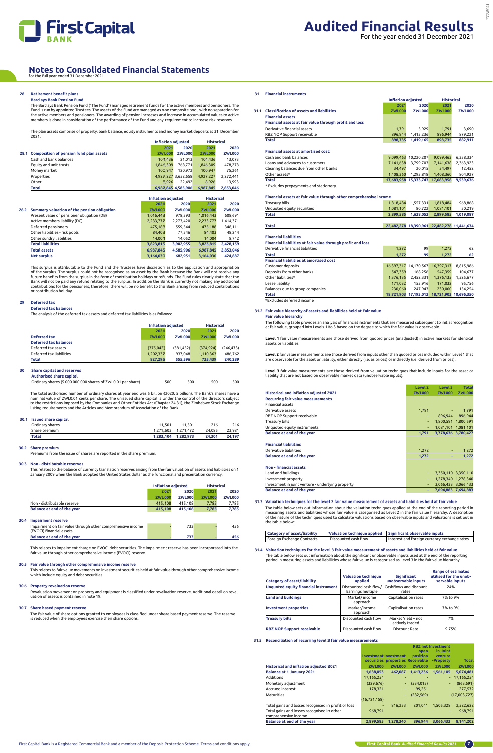

## **28 Retirement benefit plans**

## **Barclays Bank Pension Fund**

The Barclays Bank Pension Fund ("The Fund") manages retirement funds for the active members and pensioners. The Fund is run by appointed Trustees. The assets of the Fund are managed as one composite pool, with no separation for<br>the active members and pensioners. The awarding of pension increases and increase in accumulated values to members is done in consideration of the performance of the Fund and any requirement to increase risk reserves.

The plan assets comprise of property, bank balance, equity instruments and money market deposits at 31 December 2021.

|                                              | Inflation adiusted |                     | <b>Historical</b> |               |
|----------------------------------------------|--------------------|---------------------|-------------------|---------------|
|                                              | 2021               | 2020                | 2021              | 2020          |
| 28.1 Composition of pension fund plan assets | <b>ZWL000</b>      | <b>ZWL000</b>       | <b>ZWL000</b>     | <b>ZWL000</b> |
| Cash and bank balances                       | 104.436            | 21.013              | 104.436           | 13,073        |
| Equity and unit trusts                       | 1,846,309          | 768.771             | 1,846,309         | 478,278       |
| Money market                                 | 100.947            | 120.972             | 100.947           | 75.261        |
| Properties                                   |                    | 4,927,227 3,652,658 | 4,927,227         | 2,272,441     |
| Other                                        | 8.926              | 22.492              | 8.926             | 13.993        |
| Total                                        |                    | 6.987.845 4.585.906 | 6.987.845         | 2,853,046     |

|      |                                             | <b>Inflation adjusted</b> |               | <b>Historical</b> |               |
|------|---------------------------------------------|---------------------------|---------------|-------------------|---------------|
|      |                                             | 2021                      | 2020          | 2021              | 2020          |
| 28.2 | Summary valuation of the pension obligation | <b>ZWL000</b>             | <b>ZWL000</b> | <b>ZWL000</b>     | <b>ZWL000</b> |
|      | Present value of pensioner obligation (DB)  | 1,016,443                 | 978,393       | 1,016,443         | 608,691       |
|      | Active members liability (DC)               | 2,233,777                 | 2,273,420     | 2,233,777         | 1,414,371     |
|      | Deferred pensioners                         | 475,188                   | 559.544       | 475,188           | 348,111       |
|      | Other liabilities - risk pools              | 84.403                    | 77.546        | 84,403            | 48.244        |
|      | Other sundry liabilities                    | 14.004                    | 14,052        | 14.004            | 8,742         |
|      | <b>Total liabilities</b>                    | 3,823,815                 | 3,902,955     | 3,823,815         | 2,428,159     |
|      | <b>Total assets</b>                         | 6,987,845                 | 4,585,906     | 6,987,845         | 2,853,046     |
|      | <b>Net surplus</b>                          | 3,164,030                 | 682.951       | 3.164.030         | 424,887       |

This surplus is attributable to the Fund and the Trustees have discretion as to the application and appropriation of the surplus. The surplus could not be recognised as an asset by the Bank because the Bank will not receive any<br>future benefits from the surplus in the form of contribution holidays or refunds. The Fund rules clearly sta contributions for the pensioners, therefore, there will be no benefit to the Bank arising from reduced contributions or contribution holiday.

## **29 Deferred tax**

**Deferred tax balances**

The analysis of the deferred tax assets and deferred tax liabilities is as follows:

|                              |               | <b>Inflation adjusted</b> |               | <b>Historical</b> |
|------------------------------|---------------|---------------------------|---------------|-------------------|
|                              | 2021          | 2020                      | 2021          | 2020              |
| Deferred tax                 | <b>ZWL000</b> | <b>ZWL000</b>             | <b>ZWL000</b> | <b>ZWL000</b>     |
| <b>Deferred tax balances</b> |               |                           |               |                   |
| Deferred tax assets          | (375, 042)    | (381.452)                 | (374.924)     | (246.473)         |
| Deferred tax liabilities     | 1,202,337     | 937.048                   | 1,110,363     | 486,762           |
| <b>Total</b>                 | 827.295       | 555.596                   | 735.439       | 240,289           |
|                              |               |                           |               |                   |

## **30 Share capital and reserves Authorised share capital**

Ordinary shares (5 000 000 000 shares of ZWL0.01 per share) 500 500 500 500 500

The total authorised number of ordinary shares at year end was 5 billion (2020: 5 billion). The Bank's shares have a nominal value of ZWL0.01 cents per share. The unissued share capital is under the control of the directors subject<br>to the restrictions imposed by the Companies and Other Entities Act (Chapter 24.31), the Zimbabwe Stock Exc listing requirements and the Articles and Memorandum of Association of the Bank.

## **30.1 Issued share capital**

| Ordinary shares<br>11.501<br>216<br>216<br>11.501<br>24.085<br>23.981<br>1.271.603 1.271.472<br>Share premium<br><b>Total</b><br>1.282.973<br>24.301<br>24.197<br>1.283.104 |  |  |  |
|-----------------------------------------------------------------------------------------------------------------------------------------------------------------------------|--|--|--|
|                                                                                                                                                                             |  |  |  |
|                                                                                                                                                                             |  |  |  |
|                                                                                                                                                                             |  |  |  |

## **30.2 Share premium**

Premiums from the issue of shares are reported in the share premium.

## **30.3 Non - distributable reserves**

This relates to the balance of currency translation reserves arising from the fair valuation of assets and liabilities on 1 January 2009 when the Bank adopted the United States dollar as the functional and presentation currency.

|                                   |               | <b>Inflation adjusted</b> |               | <b>Historical</b> |
|-----------------------------------|---------------|---------------------------|---------------|-------------------|
|                                   | 2021          | 2020                      | 2021          | 2020              |
|                                   | <b>ZWL000</b> | <b>ZWL000</b>             | <b>ZWL000</b> | <b>ZWL000</b>     |
| Non - distributable reserve       | 415.108       | 415.108                   | 7.785         | 7.785             |
| <b>Balance at end of the year</b> | 415.108       | 415.108                   | 7.785         | 7.785             |

## **30.4 Impairment reserve**

| Impairment on fair value through other comprehensive income<br>(FVOCI) financial assets | 733 | 456 |
|-----------------------------------------------------------------------------------------|-----|-----|
| <b>Balance at end of the year</b>                                                       | 733 |     |
|                                                                                         |     |     |

This relates to impairment charge on FVOCI debt securities. The impairment reserve has been incorporated into the fair value through other comprehensive income (FVOCI) reserve.

## **30.5 Fair value through other comprehensive income reserve**

This relates to fair value movements on investment securities held at fair value through other comprehensive income which include equity and debt securities.

## **30.6 Property revaluation reserve**

Revaluation movement on property and equipment is classified under revaluation reserve. Additional detail on revaluation of assets is contained in note 19.

## **30.7 Share based payment reserve**

The fair value of share options granted to employees is classified under share based payment reserve. The reserve is reduced when the employees exercise their share options.

## **31 Financial instruments**

**Inflation adjusted Historical**

|                                                         | 2021          | 2020          | 2021          | 2020          |
|---------------------------------------------------------|---------------|---------------|---------------|---------------|
| <b>Classification of assets and liabilities</b><br>31.1 | <b>ZWL000</b> | <b>ZWL000</b> | <b>ZWL000</b> | <b>ZWL000</b> |
| <b>Financial assets</b>                                 |               |               |               |               |
| Financial assets at fair value through profit and loss  |               |               |               |               |
| Derivative financial assets                             | 1.791         | 5.929         | 1.791         | 3.690         |
| RBZ NOP Support receivable                              | 896.944       | 1,413,236     | 896.944       | 879,221       |
| <b>Total</b>                                            | 898.735       | 1.419.165     | 898.735       | 882,911       |
|                                                         |               |               |               |               |
| <b>Financial assets at amortised cost</b>               |               |               |               |               |
| Cash and bank balances                                  | 9,099,463     | 10.220.207    | 9,099,463     | 6,358,334     |
| Loans and advances to customers                         | 7,141,638     | 3.799.703     | 7,141,638     | 2,363,923     |
| Clearing balances due from other banks                  | 34.497        | 20.015        | 34.497        | 12.452        |
| Other assets*                                           | 1,408,360     | 1.293.818     | 1.408.360     | 804,927       |
| <b>Total</b>                                            | 17.683.958    | 15.333.743    | 17.683.958    | 9,539,636     |

\* Excludes prepayments and stationery.

## **Financial assets at fair value through other comprehensive income**

| Treasury bills             |           | 1.818.484 1.557.331 | 1.818.484           | 968.868 |
|----------------------------|-----------|---------------------|---------------------|---------|
| Unquoted equity securities | 1.081.101 | 80.722              | 1.081.101           | 50.219  |
| Total                      | 2.899.585 | 1.638.053           | 2.899.585 1.019.087 |         |
|                            |           |                     |                     |         |

**Total 22,482,278 18,390,961 22,482,278 11,441,634** 

| <b>Financial liabilities</b> |  |  |
|------------------------------|--|--|

**Financial liabilities at fair value through profit and loss**

| Derivative financial liabilities               | 1,272      | 99                    | 1.272      | 62                    |
|------------------------------------------------|------------|-----------------------|------------|-----------------------|
| <b>Total</b>                                   | 1,272      | 99                    | 1.272      | 62                    |
| <b>Financial liabilities at amortised cost</b> |            |                       |            |                       |
| Customer deposits                              |            | 16,397,317 14,170,567 | 16,397,317 | 8,815,986             |
| Deposits from other banks                      | 547.359    | 168.256               | 547.359    | 104,677               |
| Other liabilities*                             | 1,376,135  | 2,452,331             | 1,376,135  | 1,525,677             |
| Lease liability                                | 171,032    | 153.916               | 171,032    | 95.756                |
| Balances due to group companies                | 230.060    | 247.943               | 230.060    | 154.254               |
| <b>Total</b>                                   | 18.721.903 | 17,193,013            |            | 18.721.903 10.696.350 |
| *Excludes deferred income                      |            |                       |            |                       |

## **31.2 Fair value hierarchy of assets and liabilities held at Fair value Fair value hierarchy**

The following table provides an analysis of financial instruments that are measured subsequent to initial recognition at fair value, grouped into Levels 1 to 3 based on the degree to which the fair value is observable.

**Level 1** fair value measurements are those derived from quoted prices (unadjusted) in active markets for identical assets or liabilities.

**Level 2** fair value measurements are those derived from inputs other than quoted prices included within Level 1 that are observable for the asset or liability, either directly (i.e. as prices) or indirectly (i.e. derived from prices).

**Level 3** fair value measurements are those derived from valuation techniques that include inputs for the asset or liability that are not based on observable market data (unobservable inputs).

|                                                   | Level 2       | Level 3       | <b>Total</b>        |
|---------------------------------------------------|---------------|---------------|---------------------|
| <b>Historical and inflation adjusted 2021</b>     | <b>ZWL000</b> | <b>ZWL000</b> | <b>ZWL000</b>       |
| <b>Recurring fair value measurements</b>          |               |               |                     |
| <b>Financial assets</b>                           |               |               |                     |
| Derivative assets                                 | 1.791         | ٠             | 1,791               |
| RBZ NOP Support receivable                        |               | 896.944<br>٠  | 896,944             |
| Treasury bills                                    |               | ۰             | 1,800,591 1,800,591 |
| Unquoted equity instruments                       |               | ٠             | 1,081,101 1,081,101 |
| Balance at end of the year                        | 1,791         |               | 3,778,636 3,780,427 |
|                                                   |               |               |                     |
| <b>Financial liabilities</b>                      |               |               |                     |
| Derivative liabilities                            | 1,272         |               | 1,272               |
| Balance at end of the year                        | 1,272         | ٠             | 1,272               |
| <b>Non-financial assets</b>                       |               |               |                     |
| Land and buildings                                |               | ٠             | 3,350,110 3,350,110 |
| Investment property                               |               | ٠             | 1,278,340 1,278,340 |
| Investment in joint venture - underlying property |               | ٠             | 3,066,433 3,066,433 |
| Balance at end of the year                        |               | ٠             | 7,694,883 7,694,883 |

## **31.3 Valuation techniques for the level 2 fair value measurement of assets and liabilities held at fair value** The table below sets out information about the valuation techniques applied at the end of the reporting period in<br>measuring assets and liabilities whose fair value is categorised as Level 2 in the fair value hierarchy. A d of the nature of the techniques used to calculate valuations based on observable inputs and valuations is set out in the table below:

| <b>Category of asset/liability</b> |                      | Valuation technique applied   Significant observable inputs |
|------------------------------------|----------------------|-------------------------------------------------------------|
| Foreign Exchange Contracts         | Discounted cash flow | Interest and foreign currency exchange rates                |

 **31.4 Valuation techniques for the level 3 fair value measurement of assets and liabilities held at fair value** The table below sets out information about the significant unobservable inputs used at the end of the reporting period in measuring assets and liabilities whose fair value is categorised as Level 3 in the fair value hierarchy.

| Category of asset/liability                 | <b>Valuation technique</b><br>applied      | Significant<br>unobservable inputs    | <b>Range of estimates</b><br>utilised for the unob-<br>servable inputs |
|---------------------------------------------|--------------------------------------------|---------------------------------------|------------------------------------------------------------------------|
| <b>Unquoted equity financial instrument</b> | Discounted cash flow/<br>Earnings multiple | Cashflows and discount<br>rates       | 24%                                                                    |
| <b>Land and buildings</b>                   | Market/income<br>approach                  | Capitalisation rates                  | 7% to 9%                                                               |
| <b>Investment properties</b>                | Market/income<br>approach                  | Capitalisation rates                  | 7% to 9%                                                               |
| Treasury bills                              | Discounted cash flow                       | Market Yield - not<br>actively traded | 7%                                                                     |
| <b>RBZ NOP Support receivable</b>           | Discounted cash flow                       | Discount Rate                         | 9.75%                                                                  |

## **31.5 Reconciliation of recurring level 3 fair value measurements**

|                                                                    | <b>Investment Investment</b> |               | open<br><b>position</b>          | <b>RBZ net Investment</b><br>in Joint<br>venture |                 |
|--------------------------------------------------------------------|------------------------------|---------------|----------------------------------|--------------------------------------------------|-----------------|
|                                                                    |                              |               | securities properties Receivable | -Property                                        | <b>Total</b>    |
| <b>Historical and inflation adjusted 2021</b>                      | <b>ZWL000</b>                | <b>ZWL000</b> | <b>ZWL000</b>                    | <b>ZWL000</b>                                    | <b>ZWL000</b>   |
| <b>Balance at 1 January 2021</b>                                   | 1,638,053                    | 462.087       | 1,413,236                        | 1,561,105                                        | 5,074,481       |
| Additions                                                          | 17,165,254                   |               |                                  |                                                  | $-17,165,254$   |
| Monetary adjustment                                                | (329.676)                    | $\sim$        | (534.015)                        | ÷                                                | (863, 691)      |
| Accrued interest                                                   | 178,321                      |               | 99,251                           | ٠                                                | 277,572         |
| Maturities                                                         |                              |               | (282, 569)                       |                                                  | $-(17,003,727)$ |
|                                                                    | (16, 721, 158)               |               |                                  |                                                  |                 |
| Total gains and losses recognised in profit or loss                | ۰                            | 816.253       | 201.041                          | 1.505.328                                        | 2,522,622       |
| Total gains and losses recognised in other<br>comprehensive income | 968.791                      |               |                                  | ۰                                                | 968.791         |
| <b>Balance at end of the year</b>                                  | 2.899.585                    | 1.278.340     | 896.944                          | 3.066.433                                        | 8.141.202       |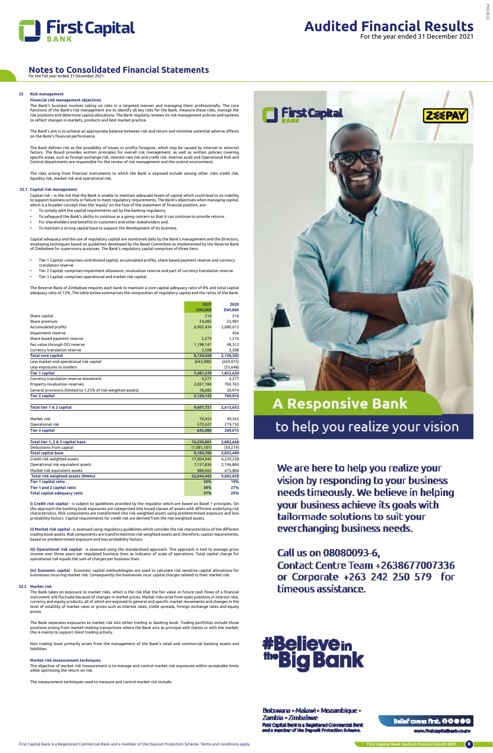

## **32 Risk management**

## **Financial risk management objectives**

The Bank defines risk as the possibility of losses or profits foregone, which may be caused by internal or external factors. The Board provides written principles for overall risk management, as well as written policies covering<br>specific areas, such as foreign exchange risk, interest rate risk and credit risk. Internal audit and Operati

The Bank's business involves taking on risks in a targeted manner and managing them professionally. The core functions of the Bank's risk management are to identify all key risks for the Bank, measure these risks, manage the<br>risk positions and determine capital allocations. The Bank regularly reviews its risk management policies to reflect changes in markets, products and best market practice.

Capital risk – is the risk that the Bank is unable to maintain adequate levels of capital which could lead to an inability to support business activity or failure to meet regulatory requirements. The Bank's objectives when managing capital,<br>which is a broader concept than the 'equity' on the face of the statement of financial position, are:

The Bank's aim is to achieve an appropriate balance between risk and return and minimise potential adverse effects on the Bank's financial performance.

- To comply with the capital requirements set by the banking regulators;
- To safeguard the Bank's ability to continue as a going concern so that it can continue to provide returns
- For shareholders and benefits to customers and other stakeholders and; To maintain a strong capital base to support the development of its business.
- 

The risks arising from financial instruments to which the Bank is exposed include among other risks credit risk, liquidity risk, market risk and operational risk.

## **32.1 Capital risk management**

**i) Credit risk capital** - is subject to guidelines provided by the regulator which are based on Basel 1 principles. On this approach the banking book exposures are categorised into broad classes of assets with different underlying risk characteristics. Risk components are transformed into risk weighted assets using predetermined exposure and loss<br>probability factors. Capital requirements for credit risk are derived from the risk weighted assets.

Capital adequacy and the use of regulatory capital are monitored daily by the Bank's management and the Directors, employing techniques based on guidelines developed by the Basel Committee as implemented by the Reserve Bank of Zimbabwe for supervisory purposes. The Bank's regulatory capital comprises of three tiers;

- Tier 1 Capital: comprises contributed capital, accumulated profits, share based payment reserve and currency translation reserve.
- Tier 2 Capital: comprises impairment allowance, revaluation reserve and part of currency translation reserve. • Tier 3 Capital: comprises operational and market risk capital.

(iv) Economic capital - Economic capital methodologies are used to calculate risk sensitive capital allocations for businesses incurring market risk. Consequently the businesses incur capital charges related to their market risk.

The Reserve Bank of Zimbabwe requires each bank to maintain a core capital adequacy ratio of 8% and total capital adequacy ratio of 12%. The table below summarises the composition of regulatory capital and the ratios of the Bank.

The Bank separates exposures to market risk into either trading or banking book. Trading portfolios include those<br>positions arising from market–making transactions where the Bank acts as principal with clients or with the this is mainly to support client trading activity.

## **Notes to Consolidated Financial Statements** for the full year ended 31 December 2021

|                                                               | 2021          | 2020          |
|---------------------------------------------------------------|---------------|---------------|
|                                                               | <b>ZWL000</b> | <b>ZWL000</b> |
| Share capital                                                 | 216           | 216           |
| Share premium                                                 | 24,085        | 23,981        |
| Accumulated profits                                           | 6,902,434     | 2,080,613     |
| Impairment reserve                                            |               | 456           |
| Share based payment reserve                                   | 2,274         | 1,216         |
| Fair value through OCI reserve                                | 1,198,141     | 48,312        |
| Currency translation reserve                                  | 3,508         | 3,508         |
| <b>Total core capital</b>                                     | 8,130,658     | 2,158,302     |
| Less market and operational risk capital                      | (643,080)     | (269, 015)    |
| Less exposures to insiders                                    |               | (35, 648)     |
| <b>Tier 1 capital</b>                                         | 7,487,578     | 1,853,639     |
| Currency translation reserve movement                         | 4,277         | 4,277         |
| Property revaluation reserves                                 | 2,037,184     | 704,763       |
| General provisions (limited to 1.25% of risk weighted assets) | 78,682        | 50,974        |
| <b>Tier 2 capital</b>                                         | 2,120,143     | 760,014       |
|                                                               |               |               |
| Total tier 1 & 2 capital                                      | 9,607,721     | 2,613,653     |
|                                                               |               |               |
| Market risk                                                   | 70,453        | 49,265        |
| Operational risk                                              | 572,627       | 219,750       |
| <b>Tier 3 capital</b>                                         | 643,080       | 269,015       |
|                                                               |               |               |
| Total tier 1, 2 & 3 capital base                              | 10,250,801    | 2,882,668     |
| Deductions from capital                                       | (1,081,101)   | (50, 219)     |
| <b>Total capital base</b>                                     | 9,169,700     | 2,832,449     |
| Credit risk weighted assets                                   | 17,004,942    | 6,239,338     |
| Operational risk equivalent assets                            | 7,157,836     | 2,746,884     |
| Market risk equivalent assets                                 | 880,665       | 615,806       |
| <b>Total risk weighted assets (RWAs)</b>                      | 25,043,443    | 9,602,028     |
| <b>Tier 1 capital ratio</b>                                   | 30%           | 19%           |
| Tier 1 and 2 capital ratio                                    | 38%           | 27%           |
| <b>Total capital adequacy ratio</b>                           | 37%           | 29%           |

**ii) Market risk capital** - is assessed using regulatory guidelines which consider the risk characteristics of the different trading book assets. Risk components are transformed into risk weighted assets and, therefore, capital requirements, based on predetermined exposure and loss probability factors.

**iii) Operational risk capital** - is assessed using the standardised approach. This approach is tied to average gross income over three years per regulated business lines as indicator of scale of operations. Total capital charge for operational risk equals the sum of charges per business lines.

### **32.2 Market risk**

The Bank takes on exposure to market risks, which is the risk that the fair value or future cash flows of a financial instrument will fluctuate because of changes in market prices. Market risks arise from open positions in interest rate,



# **A Responsive Bank** to help you realize your vision

We are here to help you realize your vision by responding to your business needs timeously. We believe in helping your business achieve its goals with tailormade solutions to suit your everchanging business needs.

## Call us on 08080093-6,

**Contact Centre Team +2638677007336** or Corporate +263 242 250 579 for timeous assistance.

currency and equity products, all of which are exposed to general and specific market movements and changes in the level of volatility of market rates or prices such as interest rates, credit spreads, foreign exchange rates and equity prices.

Non trading book primarily arises from the management of the Bank's retail and commercial banking assets and liabilities.

## **Market risk measurement techniques**

The objective of market risk measurement is to manage and control market risk exposures within acceptable limits while optimising the return on risk.

The measurement techniques used to measure and control market risk include:



## <u> Botswana - Malawi - Mozambique -</u> Zambia - Zimbabwe

First Capital Benkis a Registered Commercial Benk<br>and e member of the Deposit Protection Scheme.

## Bellef comes first, 000000

www.firstcapitalbusis.co.zv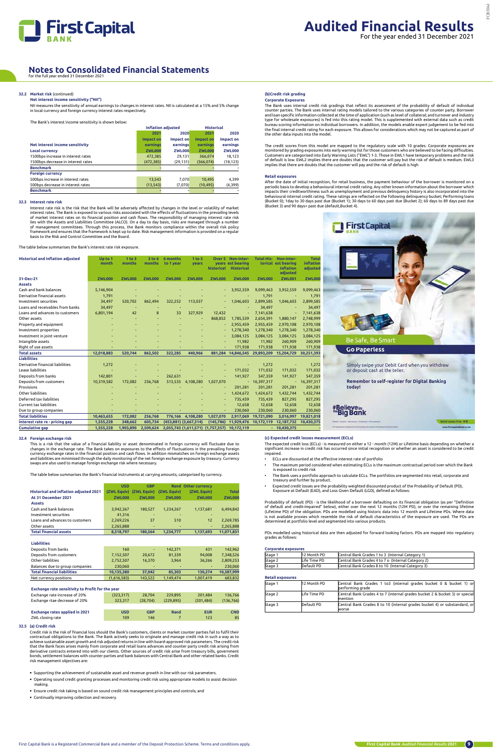

## **32.2 Market risk** (continued)

## **Net interest income sensitivity ("NII")**

NII measures the sensitivity of annual earnings to changes in interest rates. NII is calculated at a 15% and 5% change in local currency and foreign currency interest rates respectively.

The Bank's interest income sensitivity is shown below:

|                                    |                  | <b>Inflation adjusted</b> | <b>Historical</b> |               |  |
|------------------------------------|------------------|---------------------------|-------------------|---------------|--|
|                                    | 2021             | 2020                      | 2021              | 2020          |  |
|                                    | <b>Impact on</b> | Impact on                 | <b>Impact on</b>  | Impact on     |  |
| Net interest income sensitivity    | earnings         | earnings                  | earnings          | earnings      |  |
| <b>Local currency</b>              | <b>ZWL000</b>    | <b>ZWL000</b>             | <b>ZWL000</b>     | <b>ZWL000</b> |  |
| 1500bps increase in interest rates | 472,385          | 29.131                    | 366,074           | 18,123        |  |
| 1500bps decrease in interest rates | (472, 385)       | (29, 131)                 | (366, 074)        | (18, 123)     |  |
| <b>Benchmark</b>                   |                  |                           |                   |               |  |
| <b>Foreign currency</b>            |                  |                           |                   |               |  |
| 500bps increase in interest rates  | 13,543           | 7.070                     | 10,495            | 4.399         |  |
| 500bps decrease in interest rates  | (13, 543)        | (7,070)                   | (10, 495)         | (4,399)       |  |
| <b>Benchmark</b>                   |                  |                           |                   |               |  |

## **32.3 Interest rate risk**

Interest rate risk is the risk that the Bank will be adversely affected by changes in the level or volatility of market interest rates. The Bank is exposed to various risks associated with the effects of fluctuations in the prevailing levels<br>of market interest rates on its financial position and cash flows. The responsibility of managing in of management committees. Through this process, the Bank monitors compliance within the overall risk policy framework and ensures that the framework is kept up to date. Risk management information is provided on a regular basis to the Risk and Control Committee and the Board.

The table below summarises the Bank's interest rate risk exposure.

| <b>Historical and inflation adjusted</b> | Up to 1<br>month | 1 to 3<br>months | 3 to 6<br>months | 6 months<br>to 1 year | 1 to 5<br>years       | historical                        | <b>Over 5 Non-inter-</b><br>years est bearing<br><b>Historical</b> | <b>Total His-</b> | Non-inter-<br>torical est bearing<br><b>inflation</b><br>adjusted | <b>Total</b><br>inflation<br>adjusted |
|------------------------------------------|------------------|------------------|------------------|-----------------------|-----------------------|-----------------------------------|--------------------------------------------------------------------|-------------------|-------------------------------------------------------------------|---------------------------------------|
| 31-Dec-21                                | <b>ZWL000</b>    | <b>ZWL000</b>    | <b>ZWL000</b>    | <b>ZWL000</b>         | <b>ZWL000</b>         | <b>ZWL000</b>                     | <b>ZWL000</b>                                                      | <b>ZWL000</b>     | <b>ZWL001</b>                                                     | <b>ZWL000</b>                         |
| <b>Assets</b>                            |                  |                  |                  |                       |                       |                                   |                                                                    |                   |                                                                   |                                       |
| Cash and bank balances                   | 5,146,904        |                  |                  |                       |                       |                                   | 3,952,559                                                          | 9.099.463         | 3,952,559                                                         | 9,099,463                             |
| Derivative financial assets              | 1,791            |                  |                  |                       |                       |                                   |                                                                    | 1,791             |                                                                   | 1,791                                 |
| Investment securities                    | 34,497           | 520,702          | 862,494          | 322,252               | 113,037               |                                   | 1,046,603                                                          | 2,899,585         | 1,046,603                                                         | 2,899,585                             |
| Loans and receivables from banks         | 34,497           |                  |                  |                       |                       |                                   |                                                                    | 34,497            |                                                                   | 34,497                                |
| Loans and advances to customers          | 6,801,194        | 42               | 8                | 33                    | 327,929               | 12,432                            |                                                                    | 7,141,638         | ÷                                                                 | 7,141,638                             |
| Other assets                             |                  |                  |                  |                       |                       | 868.852                           | 1,785,539                                                          | 2,654,391         | 1,880,147                                                         | 2,748,999                             |
| Property and equipment                   |                  |                  |                  |                       |                       |                                   | 2.955.459                                                          | 2,955,459         | 2,970,108                                                         | 2,970,108                             |
| Investment properties                    |                  |                  |                  |                       |                       |                                   | 1,278,340                                                          | 1,278,340         | 1,278,340                                                         | 1,278,340                             |
| Investment in joint venture              |                  |                  |                  |                       |                       |                                   | 3,084,125                                                          | 3,084,125         | 3,084,125                                                         | 3,084,125                             |
| Intangible assets                        |                  |                  |                  |                       |                       |                                   | 11,982                                                             | 11,982            | 260,909                                                           | 260,909                               |
| Right of use assets                      |                  |                  |                  |                       |                       |                                   | 171,938                                                            | 171,938           | 171,938                                                           | 171,938                               |
| <b>Total assets</b>                      | 12,018,883       | 520,744          | 862,502          | 322,285               | 440,966               |                                   | 881,284 14,846,545                                                 | 29,893,209        | 15,204,729                                                        | 30,251,393                            |
| <b>Liabilities</b>                       |                  |                  |                  |                       |                       |                                   |                                                                    |                   |                                                                   |                                       |
| Derivative financial liabilities         | 1,272            |                  |                  |                       |                       |                                   |                                                                    | 1,272             |                                                                   | 1,272                                 |
| Lease liabilities                        |                  |                  |                  |                       |                       |                                   | 171.032                                                            | 171,032           | 171,032                                                           | 171,032                               |
| Deposits from banks                      | 142,801          |                  |                  | 262,631               |                       |                                   | 141,927                                                            | 547,359           | 141,927                                                           | 547,359                               |
| Deposits from customers                  | 10,319,582       | 172,082          | 256,768          | 513,535               | 4,108,280             | 1,027,070                         |                                                                    | $-16,397,317$     | $\overline{\phantom{a}}$                                          | 16,397,317                            |
| Provisions                               |                  |                  |                  |                       |                       |                                   | 201.281                                                            | 201,281           | 201,281                                                           | 201,281                               |
| Other liabilities                        |                  |                  |                  |                       |                       |                                   | 1,424,672                                                          | 1,424,672         | 1,432,744                                                         | 1,432,744                             |
| Deferred tax liabilities                 |                  |                  |                  |                       |                       |                                   | 735,439                                                            | 735,439           | 827,295                                                           | 827,295                               |
| Current tax liabilities                  |                  |                  |                  |                       |                       |                                   | 12,658                                                             | 12,658            | 12,658                                                            | 12,658                                |
| Due to group companies                   |                  |                  |                  |                       |                       |                                   | 230,060                                                            | 230,060           | 230,060                                                           | 230,060                               |
| <b>Total liabilities</b>                 | 10,463,655       | 172,082          | 256,768          |                       | 776,166 4,108,280     | 1,027,070                         | 2,917,069                                                          | 19,721,090        | 3,016,997                                                         | 19,821,018                            |
| Interest rate re - pricing gap           | 1,555,228        | 348,662          | 605,734          |                       | (453,881) (3,667,314) | (145, 786)                        | 11,929,476                                                         | 10,172,119        | 12,187,732                                                        | 10,430,375                            |
| <b>Cumulative gap</b>                    | 1,555,228        | 1,903,890        | 2,509,624        |                       |                       | 2,055,743 (1,611,571) (1,757,357) | 10,172,119                                                         |                   | $-10,430,375$                                                     |                                       |

The credit scores from this model are mapped to the regulatory scale with 10 grades. Corporate exposures are monitored by grading exposures into early warning list for those customers who are believed to be facing difficulties.<br>Customers are categorised into Early Warning Lists ("EWL") 1-3. Those in EWL1 have temporary problems a of default is low. EWL2 implies there are doubts that the customer will pay but the risk of default is medium. EWL3<br>implies that there are doubts that the customer will pay and the risk of default is high

## **32.4 Foreign exchange risk**

This is a risk that the value of a financial liability or asset denominated in foreign currency will fluctuate due to changes in the exchange rate. The Bank takes on exposures to the effects of fluctuations in the prevailing foreign currency exchange rates in the financial position and cash flows. In addition mismatches on foreign exchange assets and liabilities are minimised through the daily monitoring of the net foreign exchange exposure by treasury. Currency swaps are also used to manage foreign exchange risk where necessary.

After the date of initial recognition, for retail business, the payment behaviour of the borrower is monitored on a<br>periodic basis to develop a behavioural internal credit rating. Any other known information about the borr behavioural internal credit rating. These ratings are reflected on the following delinquency bucket; Performing loans<br>(Bucket 0); 1day to 30 days past due (Bucket 1); 30 days to 60 days past due (Bucket 2); 60 days to 89 d (Bucket 3) and 90 days+ past due (default,Bucket 4).



Simply swipe your Debit Card when you withdraw or deposit cash at the teller.

Remember to self-register for Digital Banking today!

# #Believe<sub>in</sub><br>""Big Bank

The table below summarises the Bank's financial instruments at carrying amounts, categorised by currency.

|                                               | <b>USD</b>    | <b>GBP</b>    |               | <b>Rand Other currency</b> |               |
|-----------------------------------------------|---------------|---------------|---------------|----------------------------|---------------|
| <b>Historical and inflation adjusted 2021</b> | (ZWL Equiv)   | (ZWL Equiv)   | (ZWL Equiv)   | (ZWL Equiv)                | <b>Total</b>  |
| At 31 December 2021                           | <b>ZWL000</b> | <b>ZWL000</b> | <b>ZWL000</b> | <b>ZWL000</b>              | <b>ZWL000</b> |
| <b>Assets</b>                                 |               |               |               |                            |               |
| Cash and bank balances                        | 3,942,367     | 180,527       | 1,234,267     | 1,137,681                  | 6,494,842     |
| Investment securities                         | 41,316        | ۰             |               |                            |               |
| Loans and advances to customers               | 2,269,226     | 37            | 510           | 12                         | 2,269,785     |
| Other assets                                  | 2,265,888     | ۰             |               |                            | 2,265,888     |
| <b>Total financial assets</b>                 | 8,518,797     | 180.564       | 1.234.777     | 1,137,693                  | 11,071,831    |
|                                               |               |               |               |                            |               |
| <b>Liabilities</b>                            |               |               |               |                            |               |
| Deposits from banks                           | 160           | ۰             | 142.371       | 431                        | 142.962       |
|                                               |               |               |               |                            |               |

| _ _ _ _ _ _ _ _ _ _                |             |                          |           |           |            |
|------------------------------------|-------------|--------------------------|-----------|-----------|------------|
| Deposits from customers            | 7,152,507   | 20.672                   | 81.339    | 94.008    | 7.348.526  |
| Other liabilities                  | 2,752,507   | 16.370                   | 3.964     | 36.266    | 2.809.253  |
| Balances due to group companies    | 230,060     | $\overline{\phantom{a}}$ | -         |           | 230,060    |
| <b>Total financial liabilities</b> | 10.135.380  | 37.042                   | 85.303    | 130.274   | 10.387.999 |
| Net currency positions             | (1,616,583) | 143.522                  | 1,149,474 | 1,007,419 | 683,832    |
|                                    |             |                          |           |           |            |

## **Exchange rate sensitivity to Profit for the year**<br>**Exchange rate increase of 20%** (323,317)

## Exchange rate increase of 20% (323,317) 28,704 229,895 201,484 136,766

| Exchange rtae decrease of 20%  | 323.317    | (28.704)   | (229.895) | (201.484)  | (136.766)  |
|--------------------------------|------------|------------|-----------|------------|------------|
|                                |            |            |           |            |            |
| Exchange rates applied in 2021 | <b>USD</b> | <b>GBP</b> | Rand      | <b>EUR</b> | <b>CND</b> |
| ZWL closing rate               | 109        | 146        |           | 123        | 85         |

## **32.5 (a) Credit risk**

Credit risk is the risk of financial loss should the Bank's customers, clients or market counter parties fail to fulfil their contractual obligations to the Bank. The Bank actively seeks to originate and manage credit risk in such a way as to<br>achieve sustainable asset growth and risk adjusted returns in line with board-approved risk parameters. T that the Bank faces arises mainly from corporate and retail loans advances and counter party credit risk arising from derivative contracts entered into with our clients. Other sources of credit risk arise from treasury bills, government bonds, settlement balances with counter parties and bank balances with Central Bank and other related banks. Credit risk management objectives are:

- Supporting the achievement of sustainable asset and revenue growth in line with our risk parameters.
- Operating sound credit granting processes and monitoring credit risk using appropriate models to assist decision making.
- Ensure credit risk taking is based on sound credit risk management principles and controls; and
- Continually improving collection and recovery.

## **(b)Credit risk grading Corporate Exposures**

The Bank uses internal credit risk gradings that reflect its assessment of the probability of default of individual counter parties. The Bank uses internal rating models tailored to the various categories of counter party. Borrower<br>and loan specific information collected at the time of application (such as level of collateral; and turno bureau scoring information on individual borrowers. In addition, the models enable expert judgement to be fed into<br>the final internal credit rating for each exposure. This allows for considerations which may not be capture the other data inputs into the model.

## **Retail exposures**

**(c) Expected credit losses measurement (ECLs)**

The expected credit loss (ECLs) - is measured on either a 12 - month (12M) or Lifetime basis depending on whether a significant increase in credit risk has occurred since initial recognition or whether an asset is considered to be credit impaired.

- ECLs are discounted at the effective interest rate of portfolio
- The maximum period considered when estimating ECLs is the maximum contractual period over which the Bank is exposed to credit risk
- The Bank uses a portfolio approach to calculate ECLs. The portfolios are segmented into retail, corporate and treasury and further by product.
- Expected credit losses are the probability weighted discounted product of the Probability of Default (PD), Exposure at Default (EAD), and Loss Given Default (LGD), defined as follows:

Probability of default (PD) - is the likelihood of a borrower defaulting on its financial obligation (as per "Definition of default and credit-impaired" below), either over the next 12 months (12M PD), or over the remaining lifetime<br>(Lifetime PD) of the obligation. PDs are modelled using historic data into 12 month and Lifetime PDs. Where da determined at portfolio level and segmented into various products.

PDs modelled using historical data are then adjusted for forward looking factors. PDs are mapped into regulatory grades as follows:

### **Corporate exposures**

| Stage 1 | 12 Month PD  | Central Bank Grades 1 to 3 (Internal Category 1)   |
|---------|--------------|----------------------------------------------------|
| Stage 2 | Life Time PD | Central Bank Grades 4 to 7 o (Internal Category 2) |
| Stage 3 | Default PD   | Central Bank Grades 8 to 10 (Internal Category 3)  |

| <b>Retail exposures</b> |              |                                                                                        |
|-------------------------|--------------|----------------------------------------------------------------------------------------|
| Stage 1                 | 12 Month PD  | Central Bank Grades 1 to3 (internal grades bucket 0 & bucket 1) or<br>berforming grade |
| Stage 2                 | Life Time PD | Central Bank Grades 4 to 7 (internal grades bucket 2 & bucket 3) or special<br>mention |
| Stage 3                 | Default PD   | Central Bank Grades 8 to 10 (internal grades bucket 4) or substandard, or<br>worse     |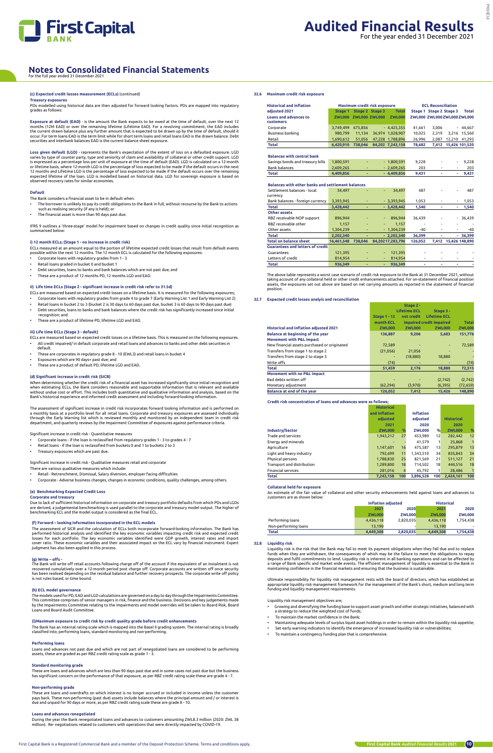

## **(c) Expected credit losses measurement (ECLs)** (continued)

## **Treasury exposures**

PDs modelled using historical data are then adjusted for forward looking factors. PDs are mapped into regulatory grades as follows:

Exposure at default (EAD) - is the amount the Bank expects to be owed at the time of default, over the next 12<br>months (12M EAD) or over the remaining lifetime (Lifetime EAD). For a revolving commitment, the EAD includes<br>th occur. For term loans EAD is the term limit while for short term loans and retail loans EAD is the drawn balance. Debt securities and interbank balances EAD is the current balance sheet exposure.

- The borrower is unlikely to pay its credit obligations to the Bank in full, without recourse by the Bank to actions such as realising security (if any is held); or
- The financial asset is more than 90 days past due

**Loss given default (LGD)** - represents the Bank's expectation of the extent of loss on a defaulted exposure. LGD varies by type of counter party, type and seniority of claim and availability of collateral or other credit support. LGD<br>is expressed as a percentage loss per unit of exposure at the time of default (EAD). LGD is calculate or lifetime basis, where 12-month LGD is the percentage of loss expected to be made if the default occurs in the next<br>12 months and Lifetime LGD is the percentage of loss expected to be made if the default occurs over the observed recovery rates for similar economies.

## **Default**

The Bank considers a financial asset to be in default when:

- These are corporates in regulatory grade 8 10 (EWL3) and retail loans in bucket 4
- Exposures which are 90 days+ past due; and
- These are a product of default PD, lifetime LGD and EAD.

IFRS 9 outlines a 'three-stage' model for impairment based on changes in credit quality since initial recognition as summarised below:

## **i) 12 month ECLs; (Stage 1 - no increase in credit risk)**

- ECLs measured at an amount equal to the portion of lifetime expected credit losses that result from default events possible within the next 12 months. The 12 month ECL is calculated for the following exposures:
- Corporate loans with regulatory grades from 1 3
- Retail loans graded in bucket 0 and bucket 1
- Debt securities, loans to banks and bank balances which are not past due; and
- These are a product of 12 months PD, 12 months LGD and EAD.

## **ii) Life time ECLs (Stage 2 - significant increase in credit risk refer to 31.5d)**

Due to lack of sufficient historical information on corporate and treasury portfolio defaults from which PDs and LGDs<br>are derived, a judgemental benchmarking is used parallel to the corporate and treasury model output. The benchmarking ECL and the model output is considered as the final ECL.

- ECLs are measured based on expected credit losses on a lifetime basis. It is measured for the following exposures; • Corporate loans with regulatory grades from grade 4 to grade 7 (Early Warning List 1 and Early Warning List 2)
- Retail loans in bucket 2 to 3 (bucket 2 is 30 days to 60 days past due, bucket 3 is 60 days to 90 days past due)
- Debt securities, loans to banks and bank balances where the credit risk has significantly increased since initial recognition; and
- These are a product of lifetime PD, lifetime LGD and EAD.

The assessment of SICR and the calculation of ECLs both incorporate forward-looking information. The Bank has<br>performed historical analysis and identified the key economic variables impacting credit risk and expected credi judgment has also been applied in this process.

## **iii) Life time ECLs (Stage 3 - default)**

ECLs are measured based on expected credit losses on a lifetime basis. This is measured on the following exposures. • All credit impaired/ in default corporate and retail loans and advances to banks and other debt securities in

default.

## **(d) Significant increase in credit risk (SICR)**

When determining whether the credit risk of a financial asset has increased significantly since initial recognition and when estimating ECLs, the Bank considers reasonable and supportable information that is relevant and available<br>without undue cost or effort. This includes both quantitative and qualitative information and analysis, based o Bank's historical experience and informed credit assessment and including forward-looking information.

The assessment of significant increase in credit risk incorporates forward looking information and is performed on a monthly basis at a portfolio level for all retail loans. Corporate and treasury exposures are assessed individually<br>through the Early Warning list which is reviewed monthly and monitored by an independent team in credit department, and quarterly reviews by the Impairment Committee of exposures against performance criteria.

Significant increase in credit risk - Quantitative measures

- Corporate loans if the loan is reclassified from regulatory grades 1 3 to grades 4 7
- Retail loans if the loan is reclassified from buckets 0 and 1 to buckets 2 to 3
- Treasury exposures which are past due.

Significant increase in credit risk - Qualitative measures retail and corporate

- There are various qualitative measures which include:
- Retail Retrenchment, Dismissal, Salary diversion, employer facing difficulties
- Corporate Adverse business changes, changes in economic conditions, quality challenges, among others.

## **(e) Benchmarking Expected Credit Loss**

## **Corporate and treasury**

## **(f) Forward – looking information incorporated in the ECL models**

### **(g) Write – offs -**

The Bank will write off retail accounts following charge off of the account if the equivalent of an instalment is not recovered cumulatively over a 12-month period post charge off. Corporate accounts are written off once security has been realised depending on the residual balance and further recovery prospects. The corporate write off policy is not rules based, or time bound.

## **(h) ECL model governance**

the models used for PD. EAD and LGD calculations are governed on a day to day through the Impairments Committee

This committee comprises of senior managers in risk, finance and the business. Decisions and key judgements made by the Impairments Committee relating to the impairments and model overrides will be taken to Board Risk, Board Loans and Board Audit Committee.

## **(i)Maximum exposure to credit risk by credit quality grade before credit enhancements**

The Bank has an internal rating scale which is mapped into the Basel II grading system. The internal rating is broadly classified into; performing loans, standard monitoring and non-performing.

### **Performing loans**

Loans and advances not past due and which are not part of renegotiated loans are considered to be performing assets, these are graded as per RBZ credit rating scale as grade 1 - 3.

## **Standard monitoring grade**

These are loans and advances which are less than 90 days past due and in some cases not past due but the business has significant concern on the performance of that exposure, as per RBZ credit rating scale these are grade 4 - 7.

## **Non-performing grade**

These are loans and overdrafts on which interest is no longer accrued or included in income unless the customer pays back. These non-performing (past due) assets include balances where the principal amount and / or interest is due and unpaid for 90 days or more, as per RBZ credit rating scale these are grade 8 - 10.

## **Loans and advances renegotiated**

During the year the Bank renegotiated loans and advances to customers amounting ZWL8.3 million (2020: ZWL 38 million). Re- negotiations related to customers with operations that were directly impacted by COVID-19.

## **32.6 Maximum credit risk exposure**

| <b>Historical and inflation</b>                          | Maximum credit risk exposure |                      |                          |                  |         | <b>ECL Reconciliation</b>   |                          |                |
|----------------------------------------------------------|------------------------------|----------------------|--------------------------|------------------|---------|-----------------------------|--------------------------|----------------|
| adiusted 2021                                            | Stage 1                      |                      | Stage 2 Stage 3          | <b>Total</b>     |         | Stage 1 Stage 2 Stage 3     |                          | <b>Total</b>   |
| <b>Loans and advances to</b>                             |                              | ZWL000 ZWL000 ZWL000 |                          | <b>ZWL000</b>    |         | ZWL000 ZWL000 ZWL000 ZWL000 |                          |                |
| customers                                                |                              |                      |                          |                  |         |                             |                          |                |
| Corporate                                                | 3,749,499                    | 675,856              |                          | $-4,425,355$     | 41,661  | 3,006                       |                          | $-44,667$      |
| Business banking                                         | 980.799                      | 11.134               |                          | 36.974 1.028.907 | 10,025  | 2.319                       |                          | 3,216 15,560   |
| Retail                                                   | 1,690,612                    | 51,056               |                          | 47,228 1,788,896 | 26,996  | 2,087                       |                          | 12,210 41,293  |
| <b>Total</b>                                             | 6,420,910                    | 738,046              |                          | 84,202 7,243,158 | 78,682  | 7,412                       |                          | 15,426 101,520 |
|                                                          |                              |                      |                          |                  |         |                             |                          |                |
| <b>Balances with central bank</b>                        |                              |                      |                          |                  |         |                             |                          |                |
| Savings bonds and treasury bills                         | 1,800,591                    |                      |                          | $-1,800,591$     | 9,228   |                             |                          | 9,228          |
| <b>Bank balances</b>                                     | 2,609,265                    | ٠                    |                          | $-2,609,265$     | 203     | $\overline{\phantom{a}}$    | $\overline{\phantom{0}}$ | 203            |
| <b>Total</b>                                             | 4,409,856                    | ٠                    |                          | $-4,409,856$     | 9,431   | ۰                           | ٠                        | 9,431          |
|                                                          |                              |                      |                          |                  |         |                             |                          |                |
| <b>Balances with other banks and settlement balances</b> |                              |                      |                          |                  |         |                             |                          |                |
| Settlement balances - local<br>currency                  | 34.497                       |                      | ÷,                       | 34.497           | 487     |                             |                          | 487            |
| Bank balances - foreign currency                         | 3,393,945                    |                      |                          | $-3,393,945$     | 1,053   |                             | $\overline{\phantom{0}}$ | 1,053          |
| <b>Total</b>                                             | 3,428,442                    | ٠                    |                          | $-3,428,442$     | 1,540   |                             | ٠                        | 1,540          |
| <b>Other assets</b>                                      |                              |                      |                          |                  |         |                             |                          |                |
| RBZ receivable NOP support                               | 896,944                      |                      | ٠                        | 896,944          | 36,439  |                             | $\overline{\phantom{0}}$ | 36,439         |
| RBZ receivable other                                     | 1.157                        |                      |                          | 1.157            |         |                             |                          |                |
| Other assets                                             | 1,304,239                    |                      |                          | $-1,304,239$     | $-40$   | $\overline{\phantom{a}}$    | ٠                        | $-40$          |
| <b>Total</b>                                             | 2,202,340                    |                      |                          | $-2,202,340$     | 36,399  |                             |                          | $-36,399$      |
| <b>Total on balance sheet</b>                            | 16,461,548                   | 738.046              |                          | 84,20217,283,796 | 126,052 | 7,412                       |                          | 15,426 148,890 |
| <b>Guarantees and letters of credit</b>                  |                              |                      |                          |                  |         |                             |                          |                |
| Guarantees                                               | 121,395                      |                      |                          | 121,395          |         |                             |                          |                |
| Letters of credit                                        | 814,954                      |                      | $\overline{\phantom{a}}$ | 814,954          |         |                             | $\overline{\phantom{a}}$ |                |
| <b>Total</b>                                             | 936.349                      | ٠                    | ٠                        | 936.349          | ٠       | ٠                           | ٠                        |                |

The above table represents a worst case scenario of credit risk exposure to the Bank at 31 December 2021, without taking account of any collateral held or other credit enhancements attached. For on-statement of financial position assets, the exposures set out above are based on net carrying amounts as reported in the statement of financial position.

**Stage 2** 

## **32.7 Expected credit losses analyis and reconciliation**

|                                               | <b>Lifetime ECL</b> |               | Stage 3 -                |               |
|-----------------------------------------------|---------------------|---------------|--------------------------|---------------|
|                                               | <b>Stage 1 - 12</b> | not credit    | <b>Lifetime ECL</b>      |               |
|                                               | month ECL           |               | impaired credit impaired | <b>Total</b>  |
| <b>Historical and inflation adjusted 2021</b> | <b>ZWL000</b>       | <b>ZWL000</b> | <b>ZWL000</b>            | <b>ZWL000</b> |
| <b>Balance at beginning of the year</b>       | 136,887             | 9,206         | 5,683                    | 151,776       |
| <b>Movement with P&amp;L impact</b>           |                     |               |                          |               |
| New financial assets purchased or originated  | 72,589              |               |                          | 72,589        |
| Transfers from stage 1 to stage 2             | (21,056)            | 21.056        |                          |               |
| Transfers from stage 2 to stage 3             |                     | (18, 880)     | 18,880                   |               |
| Write offs                                    | (74)                |               |                          | (74)          |
| <b>Total</b>                                  | 51,459              | 2,176         | 18,880                   | 72,515        |
| Movement with no P&L impact                   |                     |               |                          |               |
| Bad debts written off                         |                     |               | (2,742)                  | (2,742)       |
| Monetary adjustment                           | (62, 294)           | (3,970)       | (6, 395)                 | (72, 659)     |
| Balance at end of the year                    | 126,052             | 7,412         | 15.426                   | 148,890       |

**Credit risk concentration of loans and advances were as follows;**

|                            | <b>Historical</b> |      |                  |              |                   |     |
|----------------------------|-------------------|------|------------------|--------------|-------------------|-----|
|                            | and inflation     |      | <b>Inflation</b> |              |                   |     |
|                            | adiusted          |      | adjusted         |              | <b>Historical</b> |     |
|                            | 2021              |      | 2020             |              | 2020              |     |
| Industry/Sector            | <b>ZWL000</b>     | $\%$ | <b>ZWL000</b>    | %            | <b>ZWL000</b>     | %   |
| Trade and services         | 1,943,212         | 27   | 453.989          | 12           | 282.442           | 12  |
| Energy and minerals        |                   |      | 41,579           | $\mathbf{1}$ | 25,868            | 1   |
| Agriculture                | 1.147.601         | 16   | 475.587          | 13           | 295.879           | 13  |
| Light and heavy industry   | 792.699           | 11   | 1,343,510        | 34           | 835,843           | 34  |
| Physical persons           | 1,788,830         | 25   | 821,569          | 21           | 511,127           | 21  |
| Transport and distribution | 1.289.800         | 18   | 714.502          | 18           | 444.516           | 18  |
| <b>Financial services</b>  | 281.016           | 4    | 45.792           | 1            | 28.486            |     |
| <b>Total</b>               | 7.243.158         | 100  | 3.896.528        | 100          | 2.424.161         | 100 |

## **Collateral held for exposure**

An estimate of the fair value of collateral and other security enhancements held against loans and advances to customers are as shown below:

|                      |               | Inflation adjusted | <b>Historical</b> |               |  |
|----------------------|---------------|--------------------|-------------------|---------------|--|
|                      | 2021<br>2020  |                    | 2021              | 2020          |  |
|                      | <b>ZWL000</b> | ZWL000             | <b>ZWL000</b>     | <b>ZWL000</b> |  |
| Performing loans     | 4.436.118     | 2.820.035          | 4.436.118         | 1.754.438     |  |
| Non-performing loans | 13.190        |                    | 13.190            |               |  |
| Total                | 4,449,308     | 2,820,035          | 4,449,308         | 1,754,438     |  |

## **32.8 Liquidity risk**

Liquidity risk is the risk that the Bank may fail to meet its payment obligations when they fall due and to replace<br>funds when they are withdrawn, the consequences of which may be the failure to meet the obligations to rep deposits and fulfil commitments to lend. Liquidity risk is inherent in all banking operations and can be affected by<br>a range of Bank specific and market wide events. The efficient management of liquidity is essential to th

Ultimate responsibility for liquidity risk management rests with the board of directors, which has established an appropriate liquidity risk management framework for the management of the Bank's short, medium and long term funding and liquidity management requirements.

Liquidity risk management objectives are;

- Growing and diversifying the funding base to support asset growth and other strategic initiatives, balanced with a strategy to reduce the weighted cost of funds;
- To maintain the market confidence in the Bank;
- Maintaining adequate levels of surplus liquid asset holdings in order to remain within the liquidity risk appetite;
- Set early warning indicators to identify the emergence of increased liquidity risk or vulnerabilities;
- To maintain a contingency funding plan that is comprehensive.

## **Notes to Consolidated Financial Statements**

for the full year ended 31 December 2021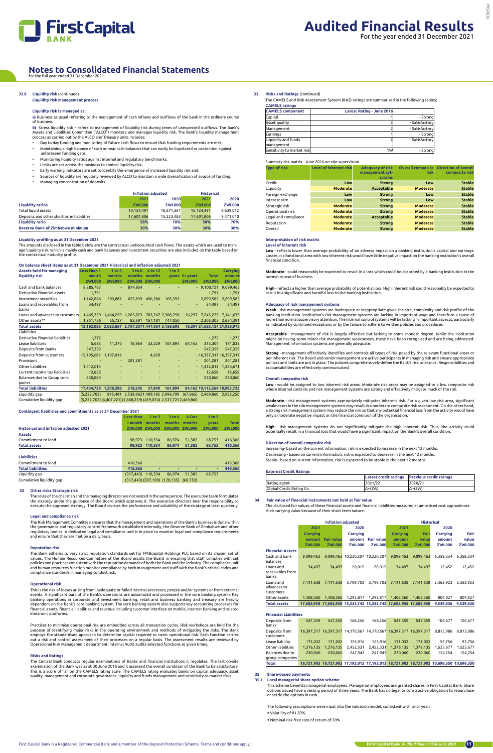

**b)** Stress liquidity risk – refers to management of liquidity risk during times of unexpected outflows. The Bank's Assets and Liabilities Committee ("ALCO") monitors and manages liquidity risk. The Bank's liquidity management<br>process as carried out by the ALCO and Treasury units includes:

## **32.8 Liquidity risk** (continued)

## **Liquidity risk management process**

## **Liquidity risk is managed as;**

**a)** Business as usual referring to the management of cash inflows and outflows of the bank in the ordinary course of business.

- Day to day funding and monitoring of future cash flows to ensure that funding requirements are met; • Maintaining a high balance of cash or near cash balances that can easily be liquidated as protection against
- unforeseen funding gaps;
- Monitoring liquidity ratios against internal and regulatory benchmarks;
- Limits are set across the business to control liquidity risk;
- Early warning indicators are set to identify the emergence of increased liquidity risk and;
- Sources of liquidity are regularly reviewed by ALCO to maintain a wide diversification of source of funding;
- Managing concentration of deposits.

|                                           |               | <b>Inflation adjusted</b> | <b>Historical</b> |               |
|-------------------------------------------|---------------|---------------------------|-------------------|---------------|
|                                           | 2021          | 2020                      | 2021              | 2020          |
| <b>Liquidity ratios</b>                   | <b>ZWL000</b> | ZWL000                    | <b>ZWL000</b>     | <b>ZWL000</b> |
| <b>Total liquid assets</b>                | 10.124.491    | 10.671.361                | 10.124.491        | 6.639.012     |
| Deposits and other short term liabilities | 17.601.806    | 15.223.483                | 17,601,806        | 9.471.040     |
| <b>Liquidity ratio</b>                    | 58%           | 70%                       | 58%               | 70%           |
| <b>Reserve Bank of Zimbabwe minimum</b>   | 30%           | 30%                       | 30%               | 30%           |

## **Liquidity profiling as at 31 December 2021**

The amounts disclosed in the table below are the contractual undiscounted cash flows. The assets which are used to manage liquidity risk, which is mainly cash and bank balances and investment securities are also included on the table based on the contractual maturity profile.

## **On balance sheet items as at 31 December 2021 Historical and inflation adjusted 2021**

The Bank adheres to very strict reputation standards set for FMBcapital Holdings PLC based on its chosen s values. The Human Resources Committee of the Board assists the Board in ensuring that staff complies with set policies and practices consistent with the reputation demands of both the Bank and the industry. The compliance unit and human resources function monitor compliance by both management and staff with the Bank's ethical codes and compliance standards in managing conduct risk.

| <b>Assets held for managing</b>      | Less than 1                                                      | $1$ to $3$     | 3 <sub>to</sub> 6                               | 6 to 12        | 1 <sub>to</sub> 5 |                |               | <b>Carrying</b>                                                   |
|--------------------------------------|------------------------------------------------------------------|----------------|-------------------------------------------------|----------------|-------------------|----------------|---------------|-------------------------------------------------------------------|
| liquidity risk                       | month                                                            | months         | months                                          | months         |                   | years 5+ years | <b>Total</b>  | amount                                                            |
|                                      | <b>ZWL000</b>                                                    | <b>ZWL000</b>  | <b>ZWL000 ZWL000</b>                            |                |                   | <b>ZWL000</b>  | <b>ZWL000</b> | <b>ZWL000</b>                                                     |
| Cash and bank balances               | 8,285,767                                                        | $\blacksquare$ | 814,954                                         |                |                   |                | $-9,100,721$  | 9,099,463                                                         |
| Derivative financial assets          | 1,791                                                            | ٠              |                                                 |                |                   | ٠              | 1.791         | 1,791                                                             |
| Investment securities                | 1,142,886                                                        | 503,881        | 652,839 496,586                                 |                | 103.393           |                | $-2,899,585$  | 2,899,585                                                         |
| Loans and receivables from<br>banks  | 34,497                                                           |                |                                                 |                |                   |                | 34.497        | 34,497                                                            |
| Loans and advances to customers      |                                                                  |                | 1,465,329 1,464,259 1,205,823 783,267 2,308,250 |                |                   |                |               | 16,297 7,243,225 7,141,639                                        |
| Other assets**                       | 1.251.756                                                        | 55.727         |                                                 | 83.591 167.181 | 747,050           |                |               | $-2,305,305$ 2,654,391                                            |
| <b>Total assets</b>                  | 12,182,026 2,023,867 2,757,2071,447,034 3,158,693                |                |                                                 |                |                   |                |               | 16,297 21,585,124 21,925,973                                      |
| Liabilities                          |                                                                  |                |                                                 |                |                   |                |               |                                                                   |
| Derivative financial liabilities     | 1,272                                                            |                |                                                 |                |                   |                | 1,272         | 1,272                                                             |
| Lease liabilities                    | 5,685                                                            | 11,370         | 16.964                                          | 33,229         | 161.894           | 84,162         | 313.304       | 171,032                                                           |
| Deposits from Banks                  | 547,359                                                          |                |                                                 |                |                   | $\sim$         | 547,359       | 547,359                                                           |
| Deposits from customers              | 15,195,681                                                       | 1,197,016      | ٠                                               | 4.620          |                   |                |               | - 16,397,317 16,397,317                                           |
| Provisions                           |                                                                  | ٠              | 201,281                                         |                |                   |                | 201.281       | 201,281                                                           |
| Other liabilities                    | 1,412,013                                                        |                |                                                 | $\sim$         |                   |                | $-1.412.013$  | 1,424,671                                                         |
| Current income tax liabilities       | 12.658                                                           |                |                                                 |                |                   |                | 12.658        | 12,658                                                            |
| Balances due to Group com-<br>panies | 230,060                                                          |                |                                                 |                |                   | $\sim$         | 230,060       | 230,060                                                           |
| <b>Total liabilities</b>             | 17,404,728                                                       | 1,208,386      | 218,245                                         | 37,849         | 161,894           |                |               | 84,162 19,115,264 18,993,723                                      |
| Liquidity gap                        | (5,222,702)                                                      |                |                                                 |                |                   |                |               | 815,481 2,538,9621,409,185 2,996,799 (67,865) 2,469,860 2,932,250 |
| Cumulative liquidity gap             | (5,222,702) (4,407,221) (1,868,259) (459,074) 2,537,7252,469,860 |                |                                                 |                |                   |                |               |                                                                   |

**Contingent liabilities and commitments as at 31 December 2021**

|                                               | <b>Less than</b> | 1 <sub>to</sub> 3 | 3 to 6                                         | 6-Dec  | 1 to 5        |               |
|-----------------------------------------------|------------------|-------------------|------------------------------------------------|--------|---------------|---------------|
|                                               | 1 month          | months            | months                                         | months | vears         | <b>Total</b>  |
| <b>Historical and inflation adjusted 2021</b> | <b>ZWL000</b>    | <b>ZWL000</b>     | ZWL000                                         | ZWL000 | <b>ZWL000</b> | <b>ZWL000</b> |
| <b>Assets</b>                                 |                  |                   |                                                |        |               |               |
| Commitment to lend                            | 98.923           | 110.334           | 86.974                                         | 51.382 | 68.753        | 416,366       |
| <b>Total assets</b>                           | 98.923           | 110,334           | 86.974                                         | 51,382 | 68,753        | 416,366       |
|                                               |                  |                   |                                                |        |               |               |
| <b>Liabilities</b>                            |                  |                   |                                                |        |               |               |
| Commitment to lend                            | 416.366          |                   |                                                |        | $\sim$        | 416,366       |
| <b>Total liabilities</b>                      | 416.366          |                   |                                                |        | ٠             | 416.366       |
| Liquidity gap                                 | (317.443)        | 110.334           | 86.974                                         | 51.382 | 68.753        |               |
| Cumulative liquidity gap                      |                  |                   | $(317,443)$ $(207,109)$ $(120,135)$ $(68,753)$ |        | -             |               |

## **33 Other risks Strategic risk**

The roles of the chairman and the managing director are not vested in the same person. The executive team formulates the strategy under the guidance of the Board which approves it. The executive directors bear the responsibility to execute the approved strategy. The Board reviews the performance and suitability of the strategy at least quarterly.

**Weak** - risk management systems are inadequate or inappropriate given the size, complexity and risk profile of the<br>banking institution. Institution's risk management systems are lacking in important ways and therefore a c more than normal supervisory attention. The internal control systems will be lacking in important aspects, particularly as indicated by continued exceptions or by the failure to adhere to written policies and procedures.

## **Legal and compliance risk**

The Risk Management Committee ensures that the management and operations of the Bank's business is done within the governance and regulatory control framework established internally, the Reserve Bank of Zimbabwe and other<br>regulatory bodies. A dedicated legal and compliance unit is in place to monitor legal and compliance requiremen and ensure that they are met on a daily basis.

## **Reputation risk**

## **Operational risk**

This is the risk of losses arising from inadequate or failed internal processes, people and/or systems or from external events. A significant part of the Bank's operations are automated and processed in the core banking system. Key banking operations in corporate and investment banking, retail and business banking and treasury are heavily

dependent on the Bank's core banking system. The core banking system also supports key accounting processes for financial assets, financial liabilities and revenue including customer interface on mobile, internet banking and related electronic platforms.

Practices to minimise operational risk are embedded across all transaction cycles. Risk workshops are held for the purpose of identifying major risks in the operating environment and methods of mitigating the risks. The Bank employs the standardised approach to determine capital required to cover operational risk. Each function carries<br>out a risk and control assessment of their processes on a regular basis. The assessment results are reviewed Operational Risk Management department. Internal Audit audits selected functions at given times.

## **Risks and Ratings**

The Central Bank conducts regular examinations of Banks and financial institutions it regulates. The last on-site examination of the Bank was as at 30 June 2016 and it assessed the overall condition of the Bank to be satisfactory. This is a score of "2" on the CAMELS rating scale. The CAMELS rating evaluates banks on capital adequacy, asset quality, management and corporate governance, liquidity and funds management and sensitivity to market risks.

**33 Risks and Ratings** (continued)

The CAMELS and Risk Assessment System (RAS) ratings are summarised in the following tables; **CAMELS ratings**

| -----------------          |                           |                |
|----------------------------|---------------------------|----------------|
| <b>CAMELS</b> component    | Latest Rating - June 2016 |                |
| Capital                    |                           | - Strong       |
| Asset quality              |                           | - Satisfactory |
| Management                 |                           | - Satisfactory |
| Earnings                   |                           | - Stronal      |
| Liquidity and funds        |                           | - Satisfactory |
| management                 |                           |                |
| Sensitivity to market risk | 1W                        | - Strongl      |

## Summary risk matrix - June 2016 on-site supervision

| <b>Type of risk</b>  | <b>Level of inherent risk</b> | <b>Adequacy of risk</b><br>management syt-<br>sytems | <b>Overall composite</b><br>risk | <b>Direction of overall</b><br>composite risk |
|----------------------|-------------------------------|------------------------------------------------------|----------------------------------|-----------------------------------------------|
| Credit               | Low                           | <b>Strong</b>                                        | Low                              | <b>Stable</b>                                 |
| Liquidity            | <b>Moderate</b>               | Acceptable                                           | <b>Moderate</b>                  | <b>Stable</b>                                 |
| Foreign exchange     | Low                           | <b>Strong</b>                                        | Low                              | <b>Stable</b>                                 |
| Interest rate        | Low                           | <b>Strong</b>                                        | Low                              | <b>Stable</b>                                 |
| Strategic risk       | <b>Moderate</b>               | <b>Strong</b>                                        | <b>Moderate</b>                  | <b>Stable</b>                                 |
| Operational risk     | <b>Moderate</b>               | <b>Strong</b>                                        | <b>Moderate</b>                  | <b>Stable</b>                                 |
| Legal and compliance | <b>Moderate</b>               | Acceptable                                           | <b>Moderate</b>                  | <b>Stable</b>                                 |
| Reputation           | <b>Moderate</b>               | <b>Strong</b>                                        | <b>Moderate</b>                  | <b>Stable</b>                                 |
| Overall              | <b>Moderate</b>               | <b>Strong</b>                                        | <b>Moderate</b>                  | <b>Stable</b>                                 |

## **Interpretation of risk matrix**

**Level of inherent risk**

**Low** - reflects lower than average probability of an adverse impact on a banking institution's capital and earnings. Losses in a functional area with low inherent risk would have little negative impact on the banking institution's overall financial condition.

**Moderate** - could reasonably be expected to result in a loss which could be absorbed by a banking institution in the normal course of business.

**High** - reflects a higher than average probability of potential loss. High inherent risk could reasonably be expected to<br>result in a significant and harmful loss to the banking institution.

## **Adequacy of risk management systems**

**Acceptable** - management of risk is largely effective but lacking to some modest degree. While the institution might be having some minor risk management weaknesses, these have been recognised and are being addressed. Management information systems are generally adequate.

**Strong** - management effectively identifies and controls all types of risk posed by the relevant functional areas or per inherent risk. The Board and senior management are active participants in managing risk and ensure appropriate<br>policies and limits are put in place. The policies comprehensively define the Bank's risk tolerance. Respon accountabilities are effectively communicated.

### **Overall composite risk**

**Low** - would be assigned to low inherent risk areas. Moderate risk areas may be assigned to a low composite risk where internal controls and risk management systems are strong and effectively mitigate much of the risk.

**Moderate** - risk management systems appropriately mitigates inherent risk. For a given low risk area, significant weaknesses in the risk management systems may result in a moderate composite risk assessment. On the other hand,<br>a strong risk management system may reduce the risk so that any potential financial loss from the activity wo only a moderate negative impact on the financial condition of the organisation.

**High** - risk management systems do not significantly mitigate the high inherent risk. Thus, the activity could potentially result in a financial loss that would have a significant impact on the Bank's overall condition.

## **Direction of overall composite risk**

Increasing- based on the current information, risk is expected to increase in the next 12 months. Decreasing - based on current information, risk is expected to decrease in the next 12 months. Stable - based on current information, risk is expected to be stable in the next 12 months.

### **External Credit Ratings**

|                          |          | Latest credit ratings Previous credit ratings |
|--------------------------|----------|-----------------------------------------------|
| Rating agent             | 2021/22  | 2020/21                                       |
| Global Credit Rating Co. | $A+(ZW)$ | $A+(ZW)$                                      |

## **34 Fair value of financial instruments not held at fair value**

The disclosed fair values of these financial assets and financial liabilities measured at amortised cost approximate their carrying value because of their short term nature.

|                                        | <b>Inflation adjusted</b> |                   |                                 |                   | <b>Historical</b> |               |               |               |  |
|----------------------------------------|---------------------------|-------------------|---------------------------------|-------------------|-------------------|---------------|---------------|---------------|--|
|                                        | 2021                      |                   | 2020                            |                   | 2021              |               | 2020          |               |  |
|                                        | Carrying                  |                   | Carrying                        |                   | <b>Carrying</b>   | Fair          | Carrying      | Fair          |  |
|                                        | amount                    | <b>Fair value</b> |                                 | amount Fair value | amount            | value         | amount        | value         |  |
|                                        | <b>ZWL000</b>             | <b>ZWL000</b>     | <b>ZWL000</b>                   | <b>ZWL000</b>     | <b>ZWL000</b>     | <b>ZWL000</b> | <b>ZWL000</b> | <b>ZWL000</b> |  |
| <b>Financial Assets</b>                |                           |                   |                                 |                   |                   |               |               |               |  |
| Cash and bank<br>balances              | 9.099.463                 |                   | 9.099.463 10.220.207 10.220.207 |                   | 9.099.463         | 9.099.463     | 6.358.334     | 6.358.334     |  |
| Loans and<br>receivables from<br>banks | 34.497                    | 34.497            | 20.015                          | 20.015            | 34.497            | 34.497        | 12.452        | 12.452        |  |
| Loans and<br>advances to<br>customers  | 7.141.638                 | 7.141.638         | 3.799.703                       | 3.799.703         | 7,141,638         | 7,141,638     | 2.363.923     | 2.363.923     |  |
| $O1$ $C2$ $C3$ $C4$                    | 1.00220                   | 1.40020           | 1.202.017                       | 1.303.017         | 1.00220           | 1.00220       | 001027        | 00102         |  |

| Other assets        |  |  | 1,408,360  1,408,360  1,293,817  1,293,817  1,408,360  1,408,360                      | 804.927 | 804.927 |
|---------------------|--|--|---------------------------------------------------------------------------------------|---------|---------|
| <b>Total assets</b> |  |  | 17,683,958 17,683,958 15,333,742 15,333,742 17,683,958 17,683,958 9,539,636 9,539,636 |         |         |

## **Financial Liabilities**

| Deposits from<br>banks     | 547,359   | 547,359   | 168,256   | 168.256   | 547,359                                                           | 547,359   | 104.677                                                                                 | 104,677   |
|----------------------------|-----------|-----------|-----------|-----------|-------------------------------------------------------------------|-----------|-----------------------------------------------------------------------------------------|-----------|
| Deposits from<br>customers |           |           |           |           | 16,397,317 16,397,317 14,170,567 14,170,567 16,397,317 16,397,317 |           | 8,815,986                                                                               | 8.815.986 |
| Lease liability            | 171,032   | 171,032   | 153,916   | 153,916   | 171,032                                                           | 171,032   | 95,756                                                                                  | 95,756    |
| Other liabilities          | 1,376,135 | 1,376,135 | 2,452,331 | 2,452,331 | 1,376,135                                                         | 1,376,135 | 1,525,677                                                                               | 1,525,677 |
| Balances due to            | 230,060   | 230,060   | 247.943   | 247.943   | 230,060                                                           | 230,060   | 154.254                                                                                 | 154,254   |
| group companies            |           |           |           |           |                                                                   |           |                                                                                         |           |
| <b>Total</b>               |           |           |           |           |                                                                   |           | 18,721,903 18,721,903 17,193,013 17,193,013 18,721,903 18,721,903 10,696,350 10,696,350 |           |

## **35 Share-based payments**

## **35.1 Local managerial share option scheme**

This scheme benefits managerial employees. Managerial employees are granted shares in First Capital Bank. Share options issued have a vesting period of three years. The Bank has no legal or constructive obligation to repurchase or settle the options in cash.

The following assumptions were input into the valuation model, consistent with prior year:

• Volatility of 81.83%

• Nominal risk free rate of return of 20%